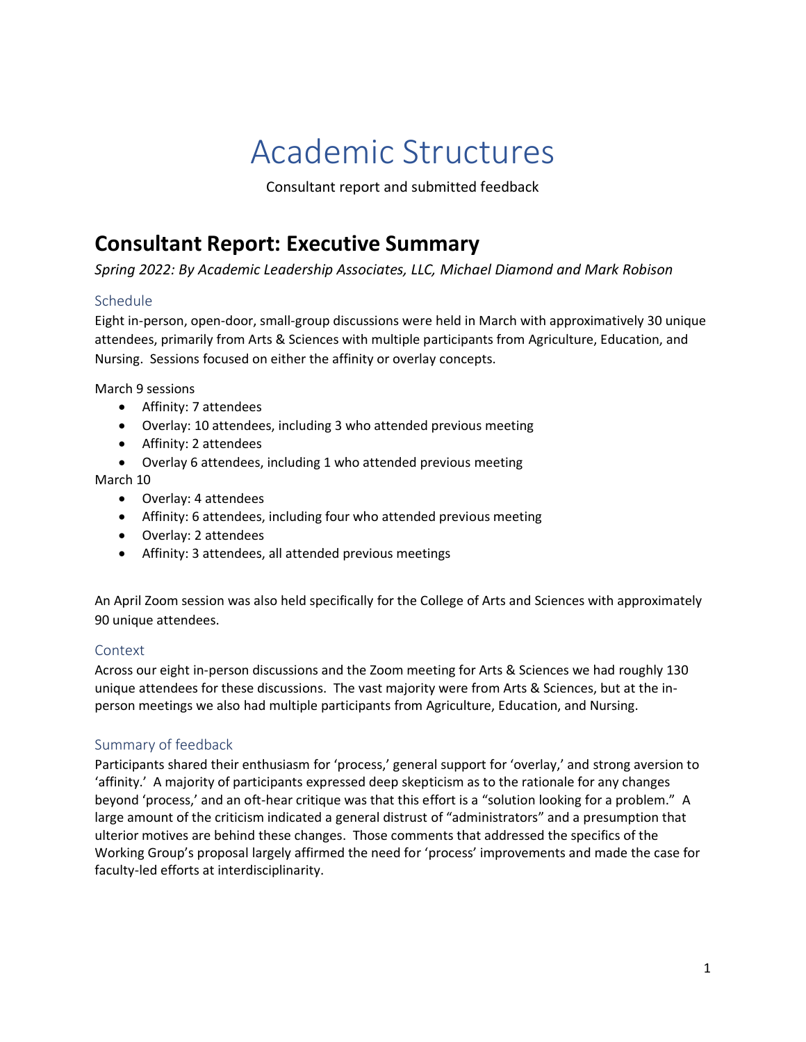# Academic Structures

Consultant report and submitted feedback

## **Consultant Report: Executive Summary**

*Spring 2022: By Academic Leadership Associates, LLC, Michael Diamond and Mark Robison*

## Schedule

Eight in-person, open-door, small-group discussions were held in March with approximatively 30 unique attendees, primarily from Arts & Sciences with multiple participants from Agriculture, Education, and Nursing. Sessions focused on either the affinity or overlay concepts.

March 9 sessions

- Affinity: 7 attendees
- Overlay: 10 attendees, including 3 who attended previous meeting
- Affinity: 2 attendees
- Overlay 6 attendees, including 1 who attended previous meeting

March 10

- Overlay: 4 attendees
- Affinity: 6 attendees, including four who attended previous meeting
- Overlay: 2 attendees
- Affinity: 3 attendees, all attended previous meetings

An April Zoom session was also held specifically for the College of Arts and Sciences with approximately 90 unique attendees.

## Context

Across our eight in-person discussions and the Zoom meeting for Arts & Sciences we had roughly 130 unique attendees for these discussions. The vast majority were from Arts & Sciences, but at the inperson meetings we also had multiple participants from Agriculture, Education, and Nursing.

## Summary of feedback

Participants shared their enthusiasm for 'process,' general support for 'overlay,' and strong aversion to 'affinity.' A majority of participants expressed deep skepticism as to the rationale for any changes beyond 'process,' and an oft-hear critique was that this effort is a "solution looking for a problem." A large amount of the criticism indicated a general distrust of "administrators" and a presumption that ulterior motives are behind these changes. Those comments that addressed the specifics of the Working Group's proposal largely affirmed the need for 'process' improvements and made the case for faculty-led efforts at interdisciplinarity.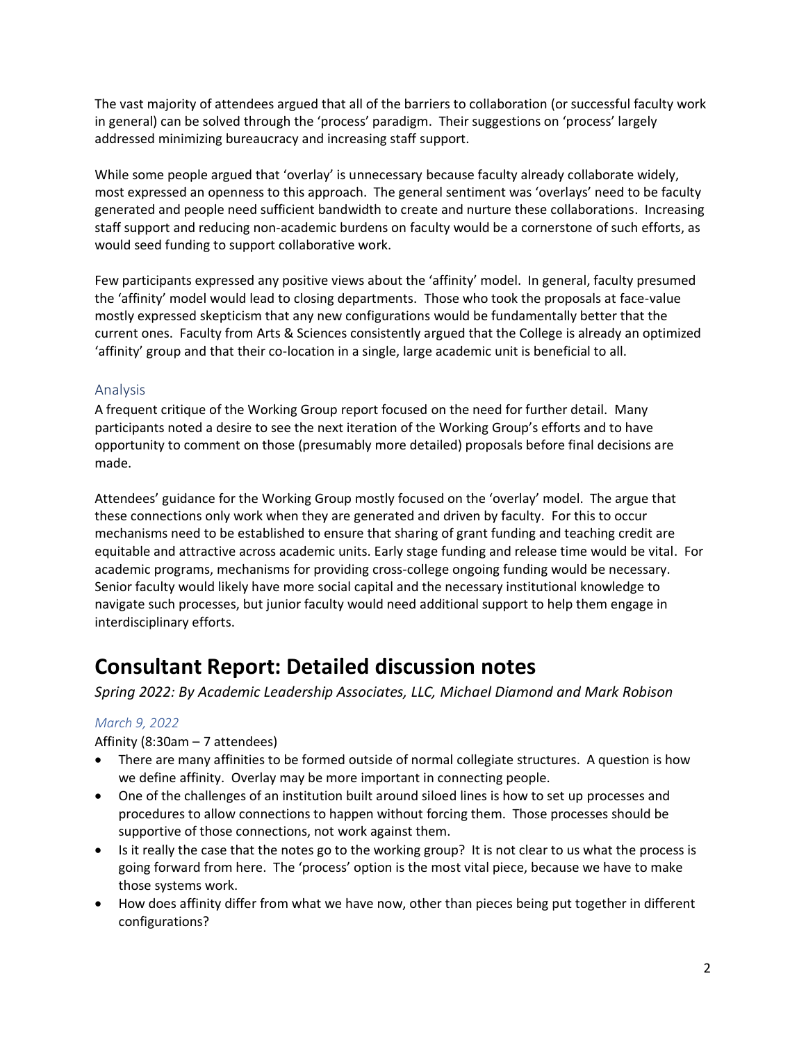The vast majority of attendees argued that all of the barriers to collaboration (or successful faculty work in general) can be solved through the 'process' paradigm. Their suggestions on 'process' largely addressed minimizing bureaucracy and increasing staff support.

While some people argued that 'overlay' is unnecessary because faculty already collaborate widely, most expressed an openness to this approach. The general sentiment was 'overlays' need to be faculty generated and people need sufficient bandwidth to create and nurture these collaborations. Increasing staff support and reducing non-academic burdens on faculty would be a cornerstone of such efforts, as would seed funding to support collaborative work.

Few participants expressed any positive views about the 'affinity' model. In general, faculty presumed the 'affinity' model would lead to closing departments. Those who took the proposals at face-value mostly expressed skepticism that any new configurations would be fundamentally better that the current ones. Faculty from Arts & Sciences consistently argued that the College is already an optimized 'affinity' group and that their co-location in a single, large academic unit is beneficial to all.

## Analysis

A frequent critique of the Working Group report focused on the need for further detail. Many participants noted a desire to see the next iteration of the Working Group's efforts and to have opportunity to comment on those (presumably more detailed) proposals before final decisions are made.

Attendees' guidance for the Working Group mostly focused on the 'overlay' model. The argue that these connections only work when they are generated and driven by faculty. For this to occur mechanisms need to be established to ensure that sharing of grant funding and teaching credit are equitable and attractive across academic units. Early stage funding and release time would be vital. For academic programs, mechanisms for providing cross-college ongoing funding would be necessary. Senior faculty would likely have more social capital and the necessary institutional knowledge to navigate such processes, but junior faculty would need additional support to help them engage in interdisciplinary efforts.

## **Consultant Report: Detailed discussion notes**

*Spring 2022: By Academic Leadership Associates, LLC, Michael Diamond and Mark Robison*

## *March 9, 2022*

Affinity (8:30am – 7 attendees)

- There are many affinities to be formed outside of normal collegiate structures. A question is how we define affinity. Overlay may be more important in connecting people.
- One of the challenges of an institution built around siloed lines is how to set up processes and procedures to allow connections to happen without forcing them. Those processes should be supportive of those connections, not work against them.
- Is it really the case that the notes go to the working group? It is not clear to us what the process is going forward from here. The 'process' option is the most vital piece, because we have to make those systems work.
- How does affinity differ from what we have now, other than pieces being put together in different configurations?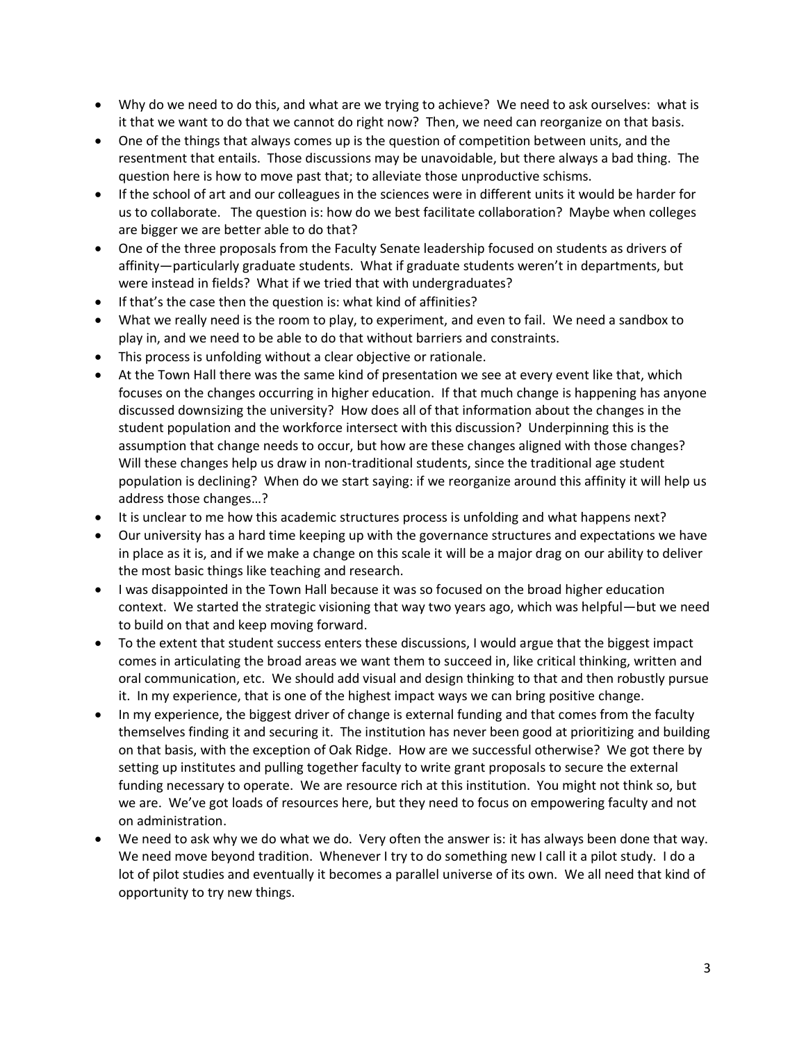- Why do we need to do this, and what are we trying to achieve? We need to ask ourselves: what is it that we want to do that we cannot do right now? Then, we need can reorganize on that basis.
- One of the things that always comes up is the question of competition between units, and the resentment that entails. Those discussions may be unavoidable, but there always a bad thing. The question here is how to move past that; to alleviate those unproductive schisms.
- If the school of art and our colleagues in the sciences were in different units it would be harder for us to collaborate. The question is: how do we best facilitate collaboration? Maybe when colleges are bigger we are better able to do that?
- One of the three proposals from the Faculty Senate leadership focused on students as drivers of affinity—particularly graduate students. What if graduate students weren't in departments, but were instead in fields? What if we tried that with undergraduates?
- If that's the case then the question is: what kind of affinities?
- What we really need is the room to play, to experiment, and even to fail. We need a sandbox to play in, and we need to be able to do that without barriers and constraints.
- This process is unfolding without a clear objective or rationale.
- At the Town Hall there was the same kind of presentation we see at every event like that, which focuses on the changes occurring in higher education. If that much change is happening has anyone discussed downsizing the university? How does all of that information about the changes in the student population and the workforce intersect with this discussion? Underpinning this is the assumption that change needs to occur, but how are these changes aligned with those changes? Will these changes help us draw in non-traditional students, since the traditional age student population is declining? When do we start saying: if we reorganize around this affinity it will help us address those changes…?
- It is unclear to me how this academic structures process is unfolding and what happens next?
- Our university has a hard time keeping up with the governance structures and expectations we have in place as it is, and if we make a change on this scale it will be a major drag on our ability to deliver the most basic things like teaching and research.
- I was disappointed in the Town Hall because it was so focused on the broad higher education context. We started the strategic visioning that way two years ago, which was helpful—but we need to build on that and keep moving forward.
- To the extent that student success enters these discussions, I would argue that the biggest impact comes in articulating the broad areas we want them to succeed in, like critical thinking, written and oral communication, etc. We should add visual and design thinking to that and then robustly pursue it. In my experience, that is one of the highest impact ways we can bring positive change.
- In my experience, the biggest driver of change is external funding and that comes from the faculty themselves finding it and securing it. The institution has never been good at prioritizing and building on that basis, with the exception of Oak Ridge. How are we successful otherwise? We got there by setting up institutes and pulling together faculty to write grant proposals to secure the external funding necessary to operate. We are resource rich at this institution. You might not think so, but we are. We've got loads of resources here, but they need to focus on empowering faculty and not on administration.
- We need to ask why we do what we do. Very often the answer is: it has always been done that way. We need move beyond tradition. Whenever I try to do something new I call it a pilot study. I do a lot of pilot studies and eventually it becomes a parallel universe of its own. We all need that kind of opportunity to try new things.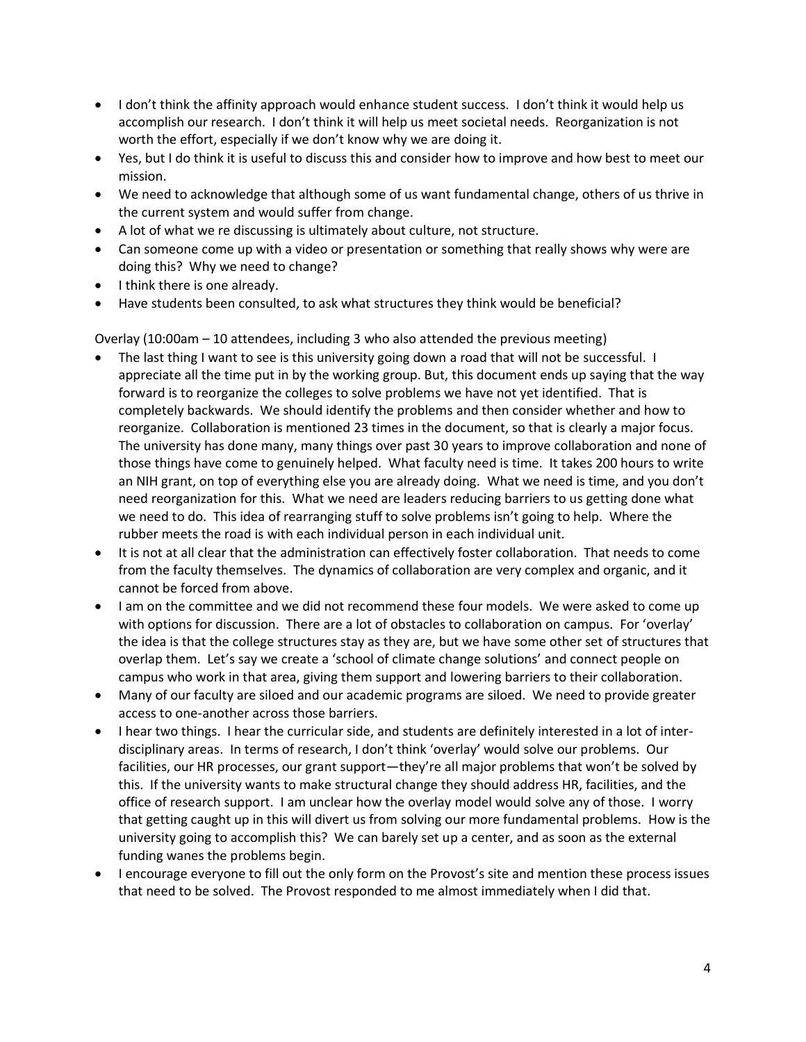- I don't think the affinity approach would enhance student success. I don't think it would help us accomplish our research. I don't think it will help us meet societal needs. Reorganization is not worth the effort, especially if we don't know why we are doing it.
- Yes, but I do think it is useful to discuss this and consider how to improve and how best to meet our mission.
- We need to acknowledge that although some of us want fundamental change, others of us thrive in the current system and would suffer from change.
- A lot of what we re discussing is ultimately about culture, not structure.
- Can someone come up with a video or presentation or something that really shows why were are doing this? Why we need to change?
- I think there is one already.
- Have students been consulted, to ask what structures they think would be beneficial?

Overlay (10:00am – 10 attendees, including 3 who also attended the previous meeting)

- The last thing I want to see is this university going down a road that will not be successful. I appreciate all the time put in by the working group. But, this document ends up saying that the way forward is to reorganize the colleges to solve problems we have not yet identified. That is completely backwards. We should identify the problems and then consider whether and how to reorganize. Collaboration is mentioned 23 times in the document, so that is clearly a major focus. The university has done many, many things over past 30 years to improve collaboration and none of those things have come to genuinely helped. What faculty need is time. It takes 200 hours to write an NIH grant, on top of everything else you are already doing. What we need is time, and you don't need reorganization for this. What we need are leaders reducing barriers to us getting done what we need to do. This idea of rearranging stuff to solve problems isn't going to help. Where the rubber meets the road is with each individual person in each individual unit.
- It is not at all clear that the administration can effectively foster collaboration. That needs to come from the faculty themselves. The dynamics of collaboration are very complex and organic, and it cannot be forced from above.
- I am on the committee and we did not recommend these four models. We were asked to come up with options for discussion. There are a lot of obstacles to collaboration on campus. For 'overlay' the idea is that the college structures stay as they are, but we have some other set of structures that overlap them. Let's say we create a 'school of climate change solutions' and connect people on campus who work in that area, giving them support and lowering barriers to their collaboration.
- Many of our faculty are siloed and our academic programs are siloed. We need to provide greater access to one-another across those barriers.
- I hear two things. I hear the curricular side, and students are definitely interested in a lot of interdisciplinary areas. In terms of research, I don't think 'overlay' would solve our problems. Our facilities, our HR processes, our grant support—they're all major problems that won't be solved by this. If the university wants to make structural change they should address HR, facilities, and the office of research support. I am unclear how the overlay model would solve any of those. I worry that getting caught up in this will divert us from solving our more fundamental problems. How is the university going to accomplish this? We can barely set up a center, and as soon as the external funding wanes the problems begin.
- I encourage everyone to fill out the only form on the Provost's site and mention these process issues that need to be solved. The Provost responded to me almost immediately when I did that.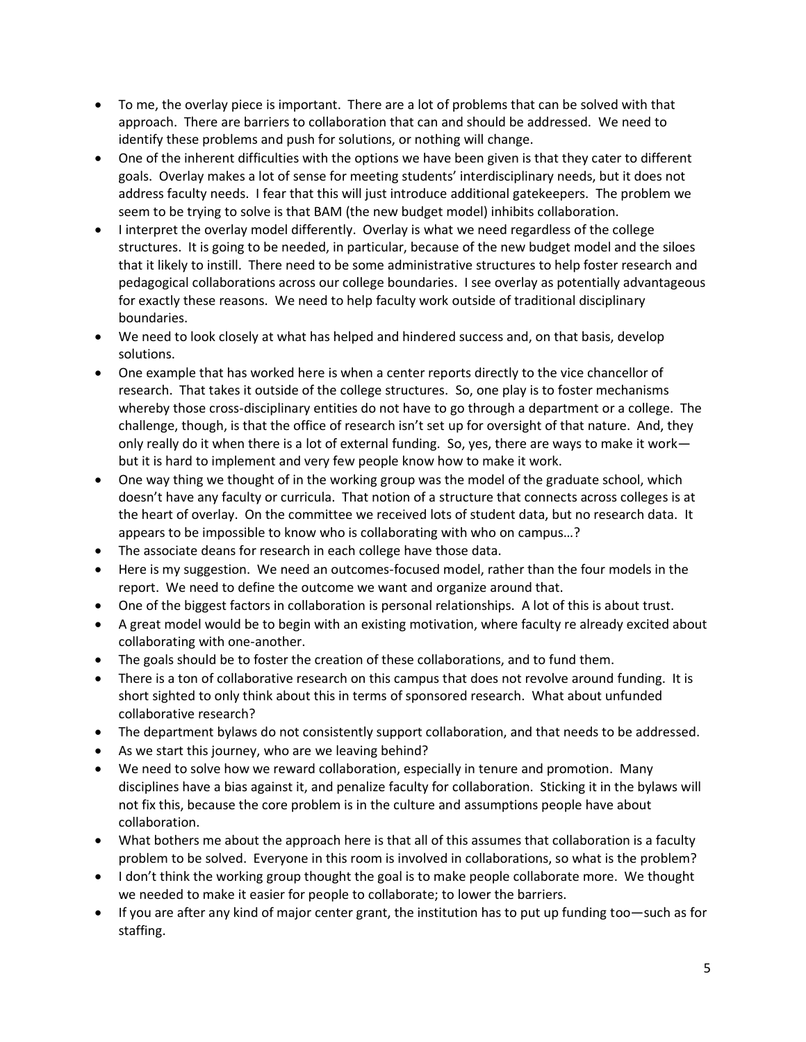- To me, the overlay piece is important. There are a lot of problems that can be solved with that approach. There are barriers to collaboration that can and should be addressed. We need to identify these problems and push for solutions, or nothing will change.
- One of the inherent difficulties with the options we have been given is that they cater to different goals. Overlay makes a lot of sense for meeting students' interdisciplinary needs, but it does not address faculty needs. I fear that this will just introduce additional gatekeepers. The problem we seem to be trying to solve is that BAM (the new budget model) inhibits collaboration.
- I interpret the overlay model differently. Overlay is what we need regardless of the college structures. It is going to be needed, in particular, because of the new budget model and the siloes that it likely to instill. There need to be some administrative structures to help foster research and pedagogical collaborations across our college boundaries. I see overlay as potentially advantageous for exactly these reasons. We need to help faculty work outside of traditional disciplinary boundaries.
- We need to look closely at what has helped and hindered success and, on that basis, develop solutions.
- One example that has worked here is when a center reports directly to the vice chancellor of research. That takes it outside of the college structures. So, one play is to foster mechanisms whereby those cross-disciplinary entities do not have to go through a department or a college. The challenge, though, is that the office of research isn't set up for oversight of that nature. And, they only really do it when there is a lot of external funding. So, yes, there are ways to make it work but it is hard to implement and very few people know how to make it work.
- One way thing we thought of in the working group was the model of the graduate school, which doesn't have any faculty or curricula. That notion of a structure that connects across colleges is at the heart of overlay. On the committee we received lots of student data, but no research data. It appears to be impossible to know who is collaborating with who on campus…?
- The associate deans for research in each college have those data.
- Here is my suggestion. We need an outcomes-focused model, rather than the four models in the report. We need to define the outcome we want and organize around that.
- One of the biggest factors in collaboration is personal relationships. A lot of this is about trust.
- A great model would be to begin with an existing motivation, where faculty re already excited about collaborating with one-another.
- The goals should be to foster the creation of these collaborations, and to fund them.
- There is a ton of collaborative research on this campus that does not revolve around funding. It is short sighted to only think about this in terms of sponsored research. What about unfunded collaborative research?
- The department bylaws do not consistently support collaboration, and that needs to be addressed.
- As we start this journey, who are we leaving behind?
- We need to solve how we reward collaboration, especially in tenure and promotion. Many disciplines have a bias against it, and penalize faculty for collaboration. Sticking it in the bylaws will not fix this, because the core problem is in the culture and assumptions people have about collaboration.
- What bothers me about the approach here is that all of this assumes that collaboration is a faculty problem to be solved. Everyone in this room is involved in collaborations, so what is the problem?
- I don't think the working group thought the goal is to make people collaborate more. We thought we needed to make it easier for people to collaborate; to lower the barriers.
- If you are after any kind of major center grant, the institution has to put up funding too—such as for staffing.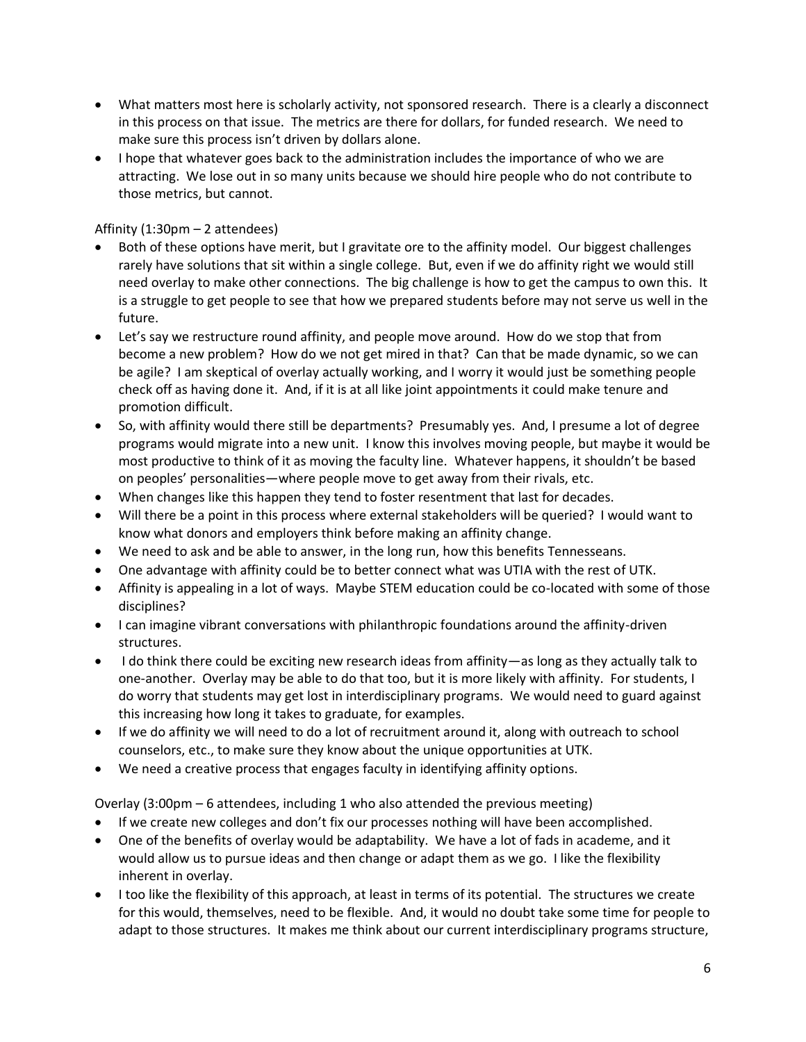- What matters most here is scholarly activity, not sponsored research. There is a clearly a disconnect in this process on that issue. The metrics are there for dollars, for funded research. We need to make sure this process isn't driven by dollars alone.
- I hope that whatever goes back to the administration includes the importance of who we are attracting. We lose out in so many units because we should hire people who do not contribute to those metrics, but cannot.

Affinity (1:30pm – 2 attendees)

- Both of these options have merit, but I gravitate ore to the affinity model. Our biggest challenges rarely have solutions that sit within a single college. But, even if we do affinity right we would still need overlay to make other connections. The big challenge is how to get the campus to own this. It is a struggle to get people to see that how we prepared students before may not serve us well in the future.
- Let's say we restructure round affinity, and people move around. How do we stop that from become a new problem? How do we not get mired in that? Can that be made dynamic, so we can be agile? I am skeptical of overlay actually working, and I worry it would just be something people check off as having done it. And, if it is at all like joint appointments it could make tenure and promotion difficult.
- So, with affinity would there still be departments? Presumably yes. And, I presume a lot of degree programs would migrate into a new unit. I know this involves moving people, but maybe it would be most productive to think of it as moving the faculty line. Whatever happens, it shouldn't be based on peoples' personalities—where people move to get away from their rivals, etc.
- When changes like this happen they tend to foster resentment that last for decades.
- Will there be a point in this process where external stakeholders will be queried? I would want to know what donors and employers think before making an affinity change.
- We need to ask and be able to answer, in the long run, how this benefits Tennesseans.
- One advantage with affinity could be to better connect what was UTIA with the rest of UTK.
- Affinity is appealing in a lot of ways. Maybe STEM education could be co-located with some of those disciplines?
- I can imagine vibrant conversations with philanthropic foundations around the affinity-driven structures.
- I do think there could be exciting new research ideas from affinity—as long as they actually talk to one-another. Overlay may be able to do that too, but it is more likely with affinity. For students, I do worry that students may get lost in interdisciplinary programs. We would need to guard against this increasing how long it takes to graduate, for examples.
- If we do affinity we will need to do a lot of recruitment around it, along with outreach to school counselors, etc., to make sure they know about the unique opportunities at UTK.
- We need a creative process that engages faculty in identifying affinity options.

Overlay (3:00pm – 6 attendees, including 1 who also attended the previous meeting)

- If we create new colleges and don't fix our processes nothing will have been accomplished.
- One of the benefits of overlay would be adaptability. We have a lot of fads in academe, and it would allow us to pursue ideas and then change or adapt them as we go. I like the flexibility inherent in overlay.
- I too like the flexibility of this approach, at least in terms of its potential. The structures we create for this would, themselves, need to be flexible. And, it would no doubt take some time for people to adapt to those structures. It makes me think about our current interdisciplinary programs structure,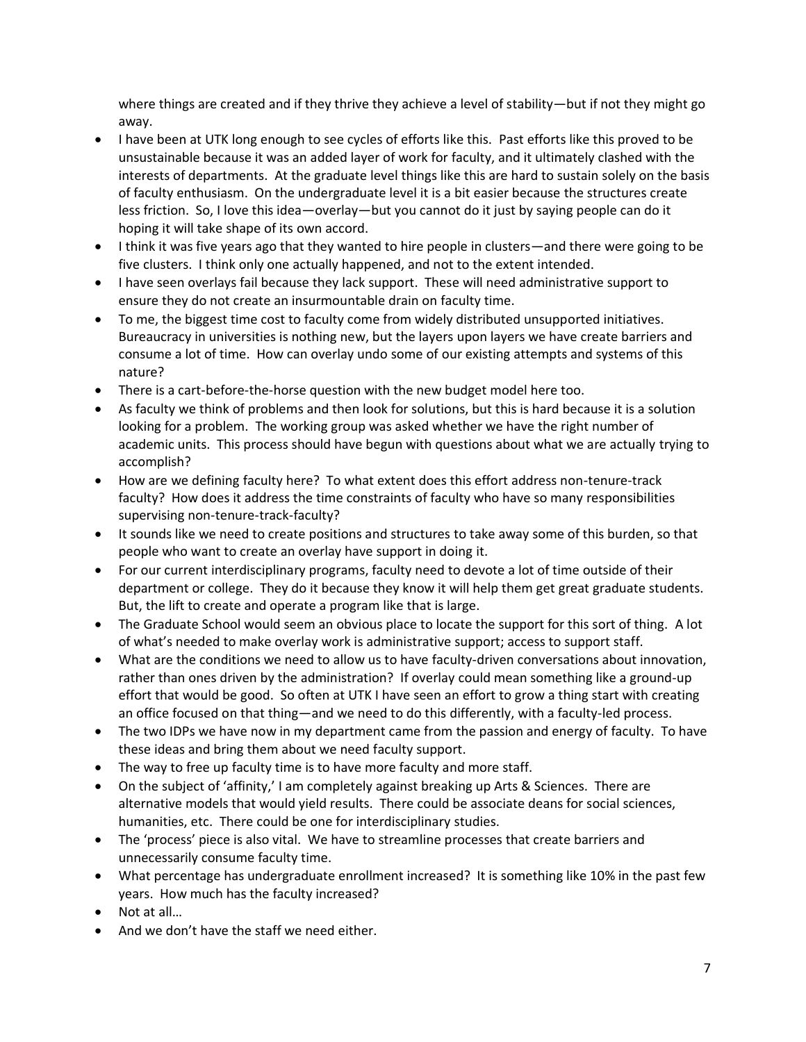where things are created and if they thrive they achieve a level of stability—but if not they might go away.

- I have been at UTK long enough to see cycles of efforts like this. Past efforts like this proved to be unsustainable because it was an added layer of work for faculty, and it ultimately clashed with the interests of departments. At the graduate level things like this are hard to sustain solely on the basis of faculty enthusiasm. On the undergraduate level it is a bit easier because the structures create less friction. So, I love this idea—overlay—but you cannot do it just by saying people can do it hoping it will take shape of its own accord.
- I think it was five years ago that they wanted to hire people in clusters—and there were going to be five clusters. I think only one actually happened, and not to the extent intended.
- I have seen overlays fail because they lack support. These will need administrative support to ensure they do not create an insurmountable drain on faculty time.
- To me, the biggest time cost to faculty come from widely distributed unsupported initiatives. Bureaucracy in universities is nothing new, but the layers upon layers we have create barriers and consume a lot of time. How can overlay undo some of our existing attempts and systems of this nature?
- There is a cart-before-the-horse question with the new budget model here too.
- As faculty we think of problems and then look for solutions, but this is hard because it is a solution looking for a problem. The working group was asked whether we have the right number of academic units. This process should have begun with questions about what we are actually trying to accomplish?
- How are we defining faculty here? To what extent does this effort address non-tenure-track faculty? How does it address the time constraints of faculty who have so many responsibilities supervising non-tenure-track-faculty?
- It sounds like we need to create positions and structures to take away some of this burden, so that people who want to create an overlay have support in doing it.
- For our current interdisciplinary programs, faculty need to devote a lot of time outside of their department or college. They do it because they know it will help them get great graduate students. But, the lift to create and operate a program like that is large.
- The Graduate School would seem an obvious place to locate the support for this sort of thing. A lot of what's needed to make overlay work is administrative support; access to support staff.
- What are the conditions we need to allow us to have faculty-driven conversations about innovation, rather than ones driven by the administration? If overlay could mean something like a ground-up effort that would be good. So often at UTK I have seen an effort to grow a thing start with creating an office focused on that thing—and we need to do this differently, with a faculty-led process.
- The two IDPs we have now in my department came from the passion and energy of faculty. To have these ideas and bring them about we need faculty support.
- The way to free up faculty time is to have more faculty and more staff.
- On the subject of 'affinity,' I am completely against breaking up Arts & Sciences. There are alternative models that would yield results. There could be associate deans for social sciences, humanities, etc. There could be one for interdisciplinary studies.
- The 'process' piece is also vital. We have to streamline processes that create barriers and unnecessarily consume faculty time.
- What percentage has undergraduate enrollment increased? It is something like 10% in the past few years. How much has the faculty increased?
- Not at all…
- And we don't have the staff we need either.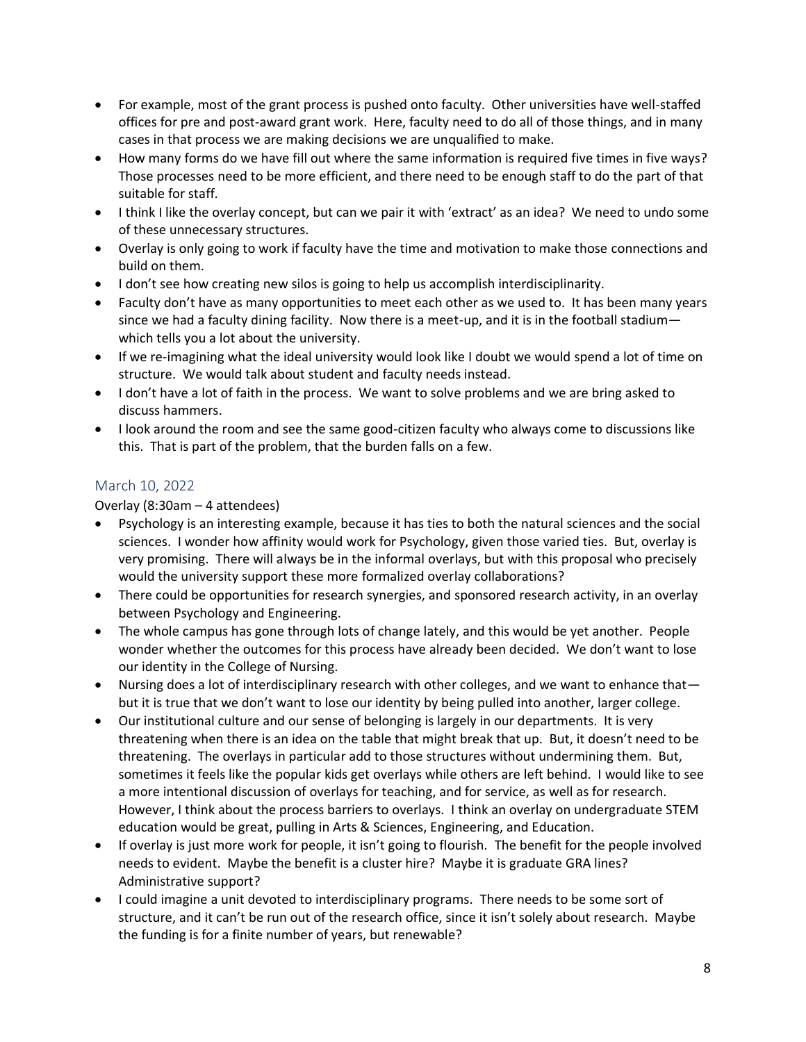- For example, most of the grant process is pushed onto faculty. Other universities have well-staffed offices for pre and post-award grant work. Here, faculty need to do all of those things, and in many cases in that process we are making decisions we are unqualified to make.
- How many forms do we have fill out where the same information is required five times in five ways? Those processes need to be more efficient, and there need to be enough staff to do the part of that suitable for staff.
- I think I like the overlay concept, but can we pair it with 'extract' as an idea? We need to undo some of these unnecessary structures.
- Overlay is only going to work if faculty have the time and motivation to make those connections and build on them.
- I don't see how creating new silos is going to help us accomplish interdisciplinarity.
- Faculty don't have as many opportunities to meet each other as we used to. It has been many years since we had a faculty dining facility. Now there is a meet-up, and it is in the football stadium which tells you a lot about the university.
- If we re-imagining what the ideal university would look like I doubt we would spend a lot of time on structure. We would talk about student and faculty needs instead.
- I don't have a lot of faith in the process. We want to solve problems and we are bring asked to discuss hammers.
- I look around the room and see the same good-citizen faculty who always come to discussions like this. That is part of the problem, that the burden falls on a few.

## March 10, 2022

Overlay (8:30am – 4 attendees)

- Psychology is an interesting example, because it has ties to both the natural sciences and the social sciences. I wonder how affinity would work for Psychology, given those varied ties. But, overlay is very promising. There will always be in the informal overlays, but with this proposal who precisely would the university support these more formalized overlay collaborations?
- There could be opportunities for research synergies, and sponsored research activity, in an overlay between Psychology and Engineering.
- The whole campus has gone through lots of change lately, and this would be yet another. People wonder whether the outcomes for this process have already been decided. We don't want to lose our identity in the College of Nursing.
- Nursing does a lot of interdisciplinary research with other colleges, and we want to enhance that but it is true that we don't want to lose our identity by being pulled into another, larger college.
- Our institutional culture and our sense of belonging is largely in our departments. It is very threatening when there is an idea on the table that might break that up. But, it doesn't need to be threatening. The overlays in particular add to those structures without undermining them. But, sometimes it feels like the popular kids get overlays while others are left behind. I would like to see a more intentional discussion of overlays for teaching, and for service, as well as for research. However, I think about the process barriers to overlays. I think an overlay on undergraduate STEM education would be great, pulling in Arts & Sciences, Engineering, and Education.
- If overlay is just more work for people, it isn't going to flourish. The benefit for the people involved needs to evident. Maybe the benefit is a cluster hire? Maybe it is graduate GRA lines? Administrative support?
- I could imagine a unit devoted to interdisciplinary programs. There needs to be some sort of structure, and it can't be run out of the research office, since it isn't solely about research. Maybe the funding is for a finite number of years, but renewable?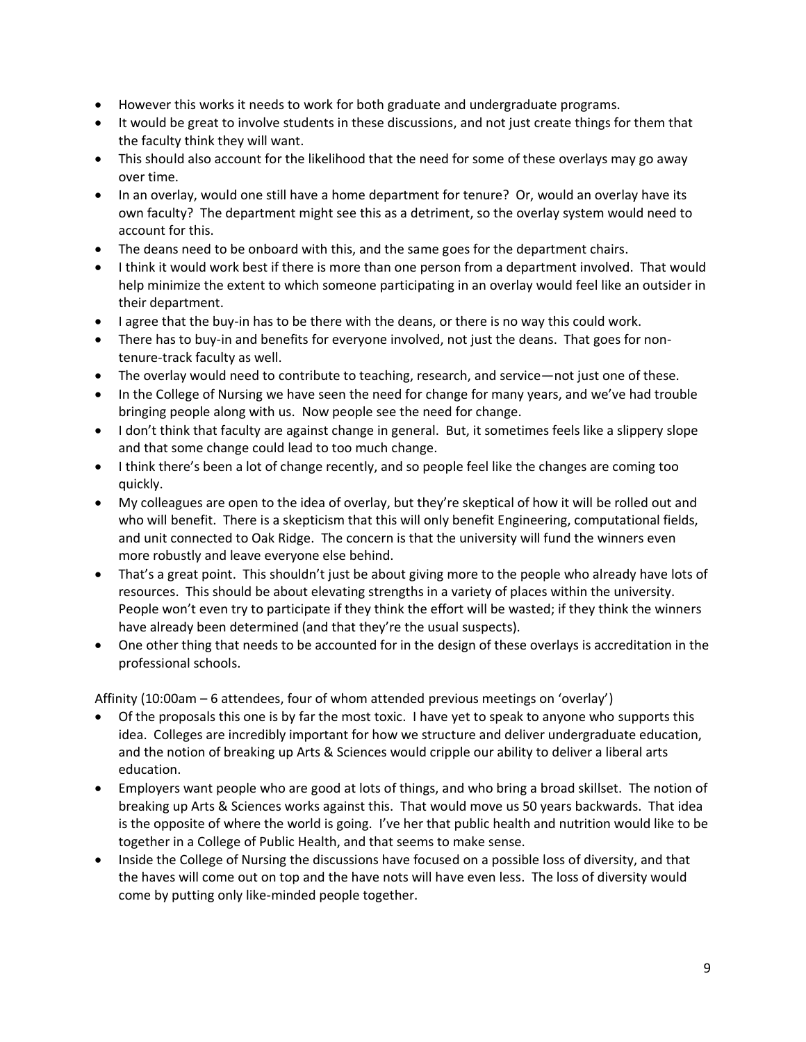- However this works it needs to work for both graduate and undergraduate programs.
- It would be great to involve students in these discussions, and not just create things for them that the faculty think they will want.
- This should also account for the likelihood that the need for some of these overlays may go away over time.
- In an overlay, would one still have a home department for tenure? Or, would an overlay have its own faculty? The department might see this as a detriment, so the overlay system would need to account for this.
- The deans need to be onboard with this, and the same goes for the department chairs.
- I think it would work best if there is more than one person from a department involved. That would help minimize the extent to which someone participating in an overlay would feel like an outsider in their department.
- I agree that the buy-in has to be there with the deans, or there is no way this could work.
- There has to buy-in and benefits for everyone involved, not just the deans. That goes for nontenure-track faculty as well.
- The overlay would need to contribute to teaching, research, and service—not just one of these.
- In the College of Nursing we have seen the need for change for many years, and we've had trouble bringing people along with us. Now people see the need for change.
- I don't think that faculty are against change in general. But, it sometimes feels like a slippery slope and that some change could lead to too much change.
- I think there's been a lot of change recently, and so people feel like the changes are coming too quickly.
- My colleagues are open to the idea of overlay, but they're skeptical of how it will be rolled out and who will benefit. There is a skepticism that this will only benefit Engineering, computational fields, and unit connected to Oak Ridge. The concern is that the university will fund the winners even more robustly and leave everyone else behind.
- That's a great point. This shouldn't just be about giving more to the people who already have lots of resources. This should be about elevating strengths in a variety of places within the university. People won't even try to participate if they think the effort will be wasted; if they think the winners have already been determined (and that they're the usual suspects).
- One other thing that needs to be accounted for in the design of these overlays is accreditation in the professional schools.

Affinity (10:00am – 6 attendees, four of whom attended previous meetings on 'overlay')

- Of the proposals this one is by far the most toxic. I have yet to speak to anyone who supports this idea. Colleges are incredibly important for how we structure and deliver undergraduate education, and the notion of breaking up Arts & Sciences would cripple our ability to deliver a liberal arts education.
- Employers want people who are good at lots of things, and who bring a broad skillset. The notion of breaking up Arts & Sciences works against this. That would move us 50 years backwards. That idea is the opposite of where the world is going. I've her that public health and nutrition would like to be together in a College of Public Health, and that seems to make sense.
- Inside the College of Nursing the discussions have focused on a possible loss of diversity, and that the haves will come out on top and the have nots will have even less. The loss of diversity would come by putting only like-minded people together.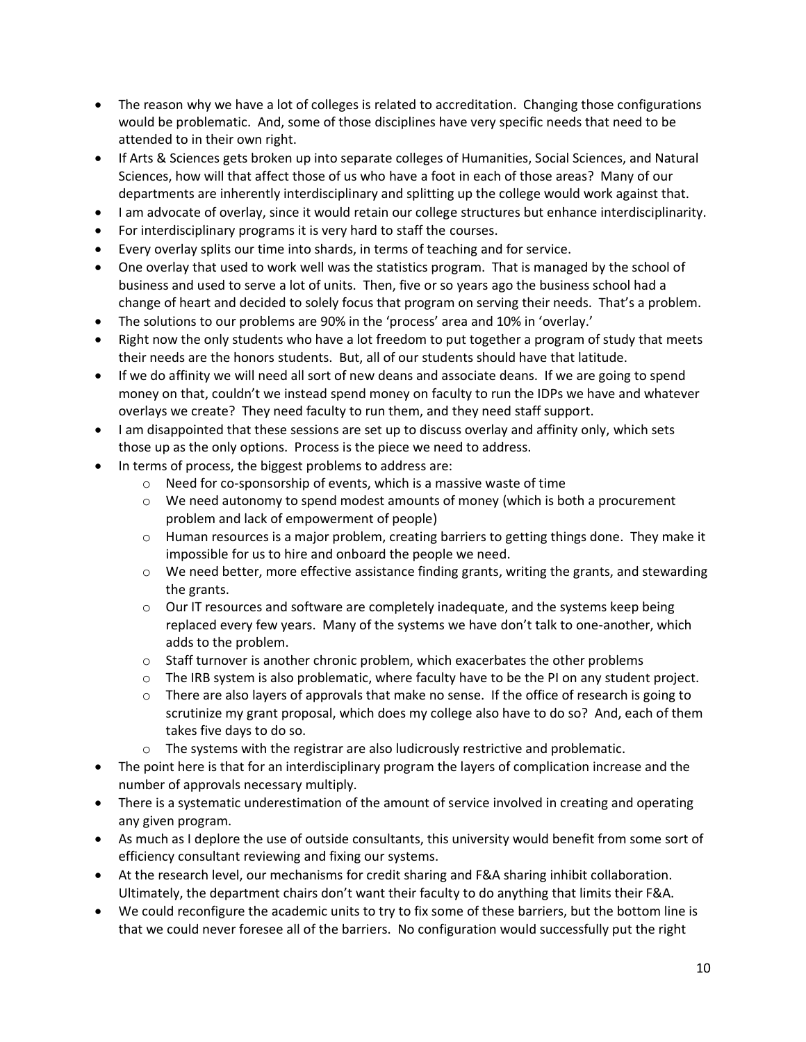- The reason why we have a lot of colleges is related to accreditation. Changing those configurations would be problematic. And, some of those disciplines have very specific needs that need to be attended to in their own right.
- If Arts & Sciences gets broken up into separate colleges of Humanities, Social Sciences, and Natural Sciences, how will that affect those of us who have a foot in each of those areas? Many of our departments are inherently interdisciplinary and splitting up the college would work against that.
- I am advocate of overlay, since it would retain our college structures but enhance interdisciplinarity.
- For interdisciplinary programs it is very hard to staff the courses.
- Every overlay splits our time into shards, in terms of teaching and for service.
- One overlay that used to work well was the statistics program. That is managed by the school of business and used to serve a lot of units. Then, five or so years ago the business school had a change of heart and decided to solely focus that program on serving their needs. That's a problem.
- The solutions to our problems are 90% in the 'process' area and 10% in 'overlay.'
- Right now the only students who have a lot freedom to put together a program of study that meets their needs are the honors students. But, all of our students should have that latitude.
- If we do affinity we will need all sort of new deans and associate deans. If we are going to spend money on that, couldn't we instead spend money on faculty to run the IDPs we have and whatever overlays we create? They need faculty to run them, and they need staff support.
- I am disappointed that these sessions are set up to discuss overlay and affinity only, which sets those up as the only options. Process is the piece we need to address.
- In terms of process, the biggest problems to address are:
	- o Need for co-sponsorship of events, which is a massive waste of time
	- $\circ$  We need autonomy to spend modest amounts of money (which is both a procurement problem and lack of empowerment of people)
	- $\circ$  Human resources is a major problem, creating barriers to getting things done. They make it impossible for us to hire and onboard the people we need.
	- $\circ$  We need better, more effective assistance finding grants, writing the grants, and stewarding the grants.
	- $\circ$  Our IT resources and software are completely inadequate, and the systems keep being replaced every few years. Many of the systems we have don't talk to one-another, which adds to the problem.
	- $\circ$  Staff turnover is another chronic problem, which exacerbates the other problems
	- $\circ$  The IRB system is also problematic, where faculty have to be the PI on any student project.
	- $\circ$  There are also layers of approvals that make no sense. If the office of research is going to scrutinize my grant proposal, which does my college also have to do so? And, each of them takes five days to do so.
	- o The systems with the registrar are also ludicrously restrictive and problematic.
- The point here is that for an interdisciplinary program the layers of complication increase and the number of approvals necessary multiply.
- There is a systematic underestimation of the amount of service involved in creating and operating any given program.
- As much as I deplore the use of outside consultants, this university would benefit from some sort of efficiency consultant reviewing and fixing our systems.
- At the research level, our mechanisms for credit sharing and F&A sharing inhibit collaboration. Ultimately, the department chairs don't want their faculty to do anything that limits their F&A.
- We could reconfigure the academic units to try to fix some of these barriers, but the bottom line is that we could never foresee all of the barriers. No configuration would successfully put the right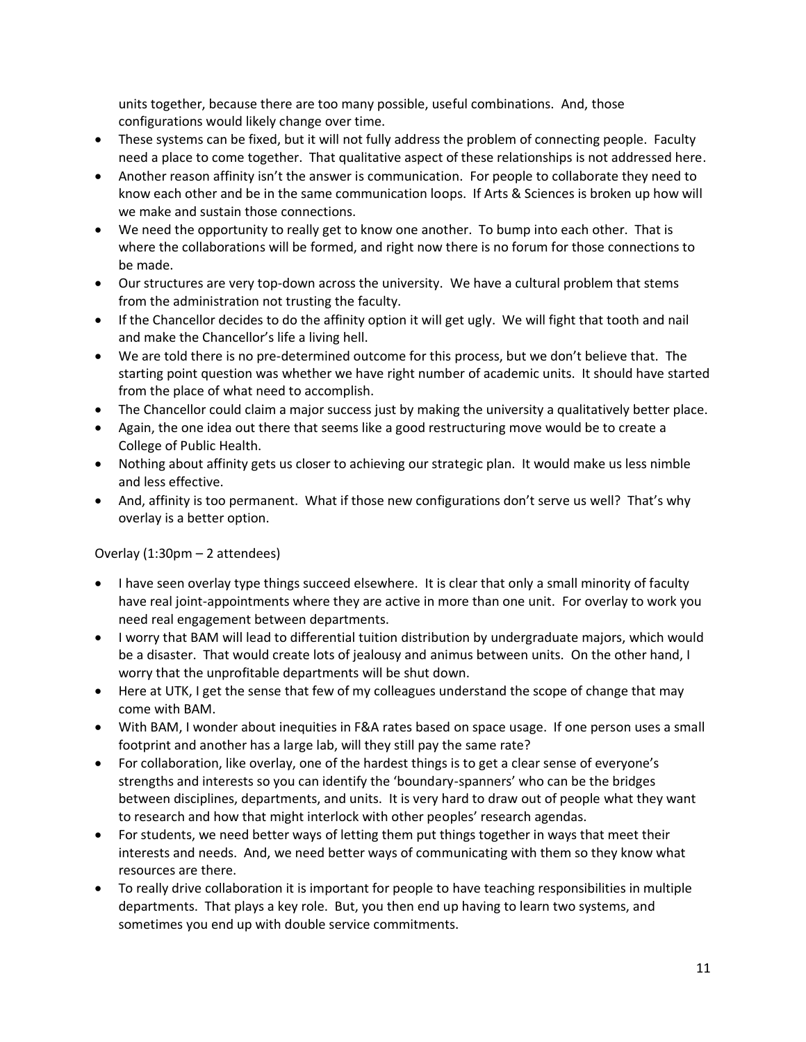units together, because there are too many possible, useful combinations. And, those configurations would likely change over time.

- These systems can be fixed, but it will not fully address the problem of connecting people. Faculty need a place to come together. That qualitative aspect of these relationships is not addressed here.
- Another reason affinity isn't the answer is communication. For people to collaborate they need to know each other and be in the same communication loops. If Arts & Sciences is broken up how will we make and sustain those connections.
- We need the opportunity to really get to know one another. To bump into each other. That is where the collaborations will be formed, and right now there is no forum for those connections to be made.
- Our structures are very top-down across the university. We have a cultural problem that stems from the administration not trusting the faculty.
- If the Chancellor decides to do the affinity option it will get ugly. We will fight that tooth and nail and make the Chancellor's life a living hell.
- We are told there is no pre-determined outcome for this process, but we don't believe that. The starting point question was whether we have right number of academic units. It should have started from the place of what need to accomplish.
- The Chancellor could claim a major success just by making the university a qualitatively better place.
- Again, the one idea out there that seems like a good restructuring move would be to create a College of Public Health.
- Nothing about affinity gets us closer to achieving our strategic plan. It would make us less nimble and less effective.
- And, affinity is too permanent. What if those new configurations don't serve us well? That's why overlay is a better option.

## Overlay (1:30pm – 2 attendees)

- I have seen overlay type things succeed elsewhere. It is clear that only a small minority of faculty have real joint-appointments where they are active in more than one unit. For overlay to work you need real engagement between departments.
- I worry that BAM will lead to differential tuition distribution by undergraduate majors, which would be a disaster. That would create lots of jealousy and animus between units. On the other hand, I worry that the unprofitable departments will be shut down.
- Here at UTK, I get the sense that few of my colleagues understand the scope of change that may come with BAM.
- With BAM, I wonder about inequities in F&A rates based on space usage. If one person uses a small footprint and another has a large lab, will they still pay the same rate?
- For collaboration, like overlay, one of the hardest things is to get a clear sense of everyone's strengths and interests so you can identify the 'boundary-spanners' who can be the bridges between disciplines, departments, and units. It is very hard to draw out of people what they want to research and how that might interlock with other peoples' research agendas.
- For students, we need better ways of letting them put things together in ways that meet their interests and needs. And, we need better ways of communicating with them so they know what resources are there.
- To really drive collaboration it is important for people to have teaching responsibilities in multiple departments. That plays a key role. But, you then end up having to learn two systems, and sometimes you end up with double service commitments.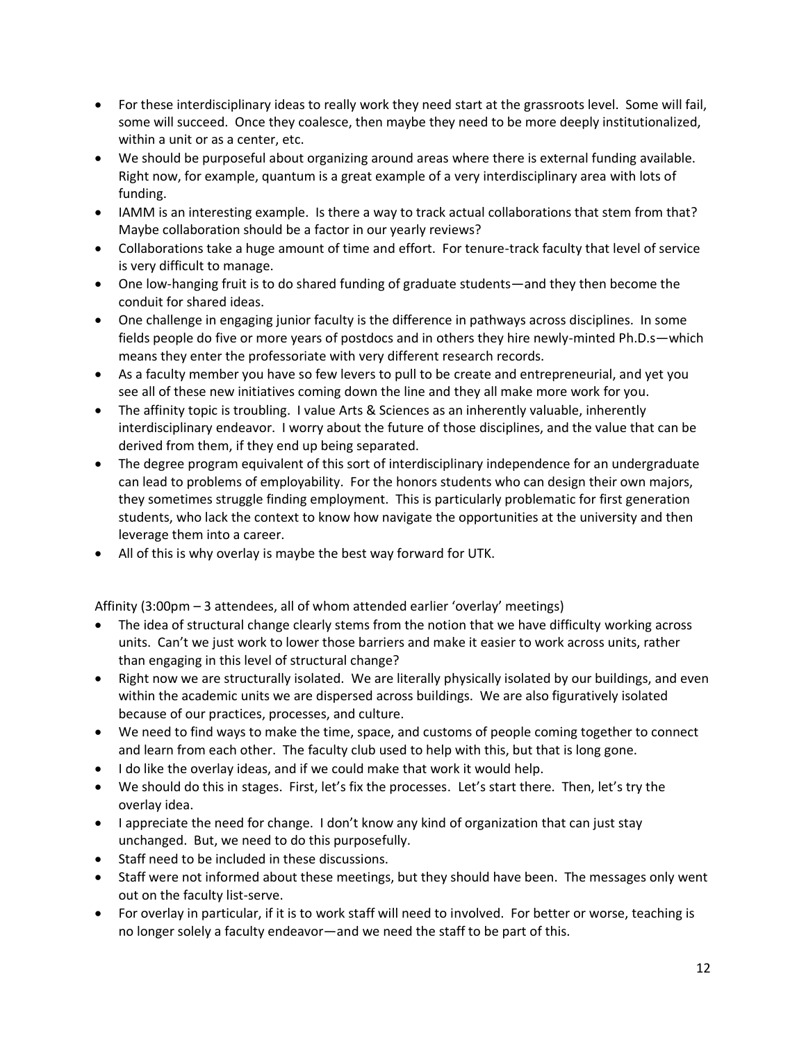- For these interdisciplinary ideas to really work they need start at the grassroots level. Some will fail, some will succeed. Once they coalesce, then maybe they need to be more deeply institutionalized, within a unit or as a center, etc.
- We should be purposeful about organizing around areas where there is external funding available. Right now, for example, quantum is a great example of a very interdisciplinary area with lots of funding.
- IAMM is an interesting example. Is there a way to track actual collaborations that stem from that? Maybe collaboration should be a factor in our yearly reviews?
- Collaborations take a huge amount of time and effort. For tenure-track faculty that level of service is very difficult to manage.
- One low-hanging fruit is to do shared funding of graduate students—and they then become the conduit for shared ideas.
- One challenge in engaging junior faculty is the difference in pathways across disciplines. In some fields people do five or more years of postdocs and in others they hire newly-minted Ph.D.s—which means they enter the professoriate with very different research records.
- As a faculty member you have so few levers to pull to be create and entrepreneurial, and yet you see all of these new initiatives coming down the line and they all make more work for you.
- The affinity topic is troubling. I value Arts & Sciences as an inherently valuable, inherently interdisciplinary endeavor. I worry about the future of those disciplines, and the value that can be derived from them, if they end up being separated.
- The degree program equivalent of this sort of interdisciplinary independence for an undergraduate can lead to problems of employability. For the honors students who can design their own majors, they sometimes struggle finding employment. This is particularly problematic for first generation students, who lack the context to know how navigate the opportunities at the university and then leverage them into a career.
- All of this is why overlay is maybe the best way forward for UTK.

Affinity (3:00pm – 3 attendees, all of whom attended earlier 'overlay' meetings)

- The idea of structural change clearly stems from the notion that we have difficulty working across units. Can't we just work to lower those barriers and make it easier to work across units, rather than engaging in this level of structural change?
- Right now we are structurally isolated. We are literally physically isolated by our buildings, and even within the academic units we are dispersed across buildings. We are also figuratively isolated because of our practices, processes, and culture.
- We need to find ways to make the time, space, and customs of people coming together to connect and learn from each other. The faculty club used to help with this, but that is long gone.
- I do like the overlay ideas, and if we could make that work it would help.
- We should do this in stages. First, let's fix the processes. Let's start there. Then, let's try the overlay idea.
- I appreciate the need for change. I don't know any kind of organization that can just stay unchanged. But, we need to do this purposefully.
- Staff need to be included in these discussions.
- Staff were not informed about these meetings, but they should have been. The messages only went out on the faculty list-serve.
- For overlay in particular, if it is to work staff will need to involved. For better or worse, teaching is no longer solely a faculty endeavor—and we need the staff to be part of this.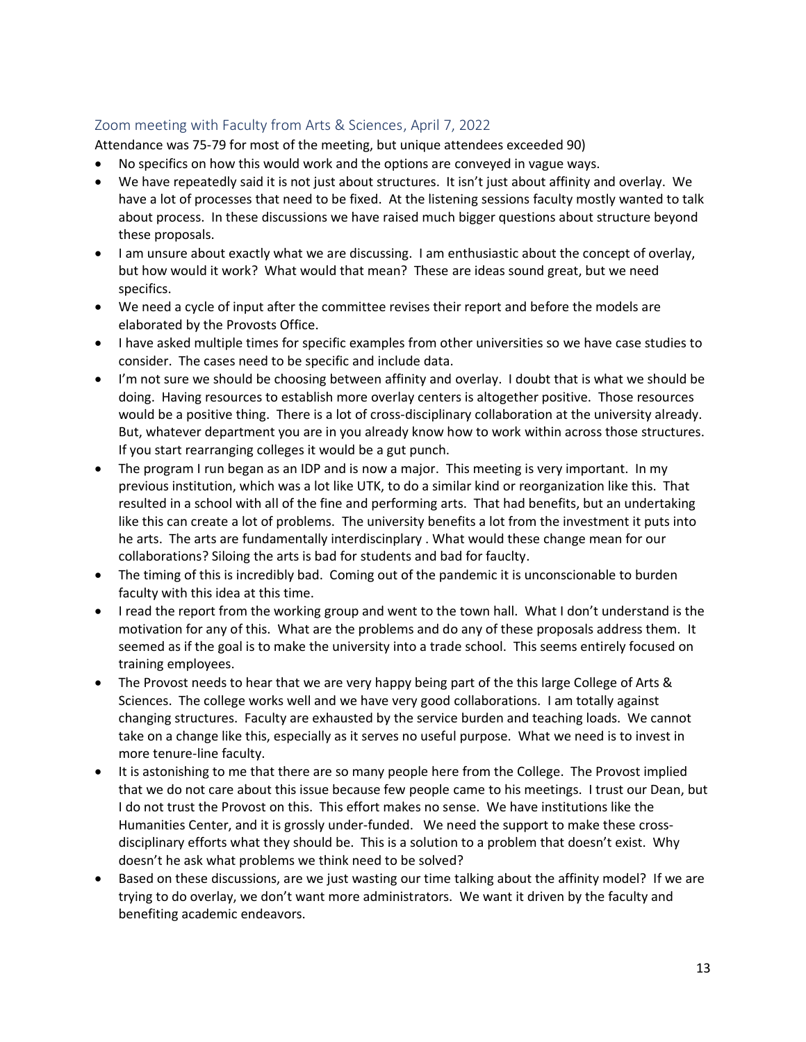## Zoom meeting with Faculty from Arts & Sciences, April 7, 2022

Attendance was 75-79 for most of the meeting, but unique attendees exceeded 90)

- No specifics on how this would work and the options are conveyed in vague ways.
- We have repeatedly said it is not just about structures. It isn't just about affinity and overlay. We have a lot of processes that need to be fixed. At the listening sessions faculty mostly wanted to talk about process. In these discussions we have raised much bigger questions about structure beyond these proposals.
- I am unsure about exactly what we are discussing. I am enthusiastic about the concept of overlay, but how would it work? What would that mean? These are ideas sound great, but we need specifics.
- We need a cycle of input after the committee revises their report and before the models are elaborated by the Provosts Office.
- I have asked multiple times for specific examples from other universities so we have case studies to consider. The cases need to be specific and include data.
- I'm not sure we should be choosing between affinity and overlay. I doubt that is what we should be doing. Having resources to establish more overlay centers is altogether positive. Those resources would be a positive thing. There is a lot of cross-disciplinary collaboration at the university already. But, whatever department you are in you already know how to work within across those structures. If you start rearranging colleges it would be a gut punch.
- The program I run began as an IDP and is now a major. This meeting is very important. In my previous institution, which was a lot like UTK, to do a similar kind or reorganization like this. That resulted in a school with all of the fine and performing arts. That had benefits, but an undertaking like this can create a lot of problems. The university benefits a lot from the investment it puts into he arts. The arts are fundamentally interdiscinplary . What would these change mean for our collaborations? Siloing the arts is bad for students and bad for fauclty.
- The timing of this is incredibly bad. Coming out of the pandemic it is unconscionable to burden faculty with this idea at this time.
- I read the report from the working group and went to the town hall. What I don't understand is the motivation for any of this. What are the problems and do any of these proposals address them. It seemed as if the goal is to make the university into a trade school. This seems entirely focused on training employees.
- The Provost needs to hear that we are very happy being part of the this large College of Arts & Sciences. The college works well and we have very good collaborations. I am totally against changing structures. Faculty are exhausted by the service burden and teaching loads. We cannot take on a change like this, especially as it serves no useful purpose. What we need is to invest in more tenure-line faculty.
- It is astonishing to me that there are so many people here from the College. The Provost implied that we do not care about this issue because few people came to his meetings. I trust our Dean, but I do not trust the Provost on this. This effort makes no sense. We have institutions like the Humanities Center, and it is grossly under-funded. We need the support to make these crossdisciplinary efforts what they should be. This is a solution to a problem that doesn't exist. Why doesn't he ask what problems we think need to be solved?
- Based on these discussions, are we just wasting our time talking about the affinity model? If we are trying to do overlay, we don't want more administrators. We want it driven by the faculty and benefiting academic endeavors.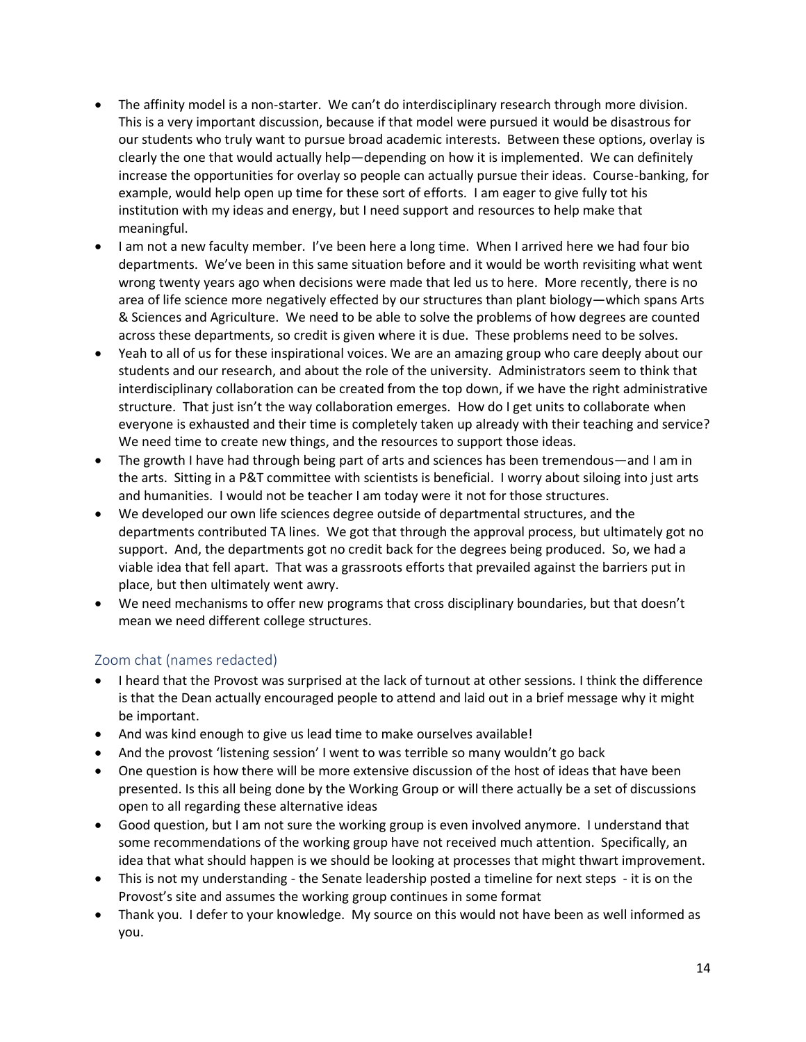- The affinity model is a non-starter. We can't do interdisciplinary research through more division. This is a very important discussion, because if that model were pursued it would be disastrous for our students who truly want to pursue broad academic interests. Between these options, overlay is clearly the one that would actually help—depending on how it is implemented. We can definitely increase the opportunities for overlay so people can actually pursue their ideas. Course-banking, for example, would help open up time for these sort of efforts. I am eager to give fully tot his institution with my ideas and energy, but I need support and resources to help make that meaningful.
- I am not a new faculty member. I've been here a long time. When I arrived here we had four bio departments. We've been in this same situation before and it would be worth revisiting what went wrong twenty years ago when decisions were made that led us to here. More recently, there is no area of life science more negatively effected by our structures than plant biology—which spans Arts & Sciences and Agriculture. We need to be able to solve the problems of how degrees are counted across these departments, so credit is given where it is due. These problems need to be solves.
- Yeah to all of us for these inspirational voices. We are an amazing group who care deeply about our students and our research, and about the role of the university. Administrators seem to think that interdisciplinary collaboration can be created from the top down, if we have the right administrative structure. That just isn't the way collaboration emerges. How do I get units to collaborate when everyone is exhausted and their time is completely taken up already with their teaching and service? We need time to create new things, and the resources to support those ideas.
- The growth I have had through being part of arts and sciences has been tremendous—and I am in the arts. Sitting in a P&T committee with scientists is beneficial. I worry about siloing into just arts and humanities. I would not be teacher I am today were it not for those structures.
- We developed our own life sciences degree outside of departmental structures, and the departments contributed TA lines. We got that through the approval process, but ultimately got no support. And, the departments got no credit back for the degrees being produced. So, we had a viable idea that fell apart. That was a grassroots efforts that prevailed against the barriers put in place, but then ultimately went awry.
- We need mechanisms to offer new programs that cross disciplinary boundaries, but that doesn't mean we need different college structures.

## Zoom chat (names redacted)

- I heard that the Provost was surprised at the lack of turnout at other sessions. I think the difference is that the Dean actually encouraged people to attend and laid out in a brief message why it might be important.
- And was kind enough to give us lead time to make ourselves available!
- And the provost 'listening session' I went to was terrible so many wouldn't go back
- One question is how there will be more extensive discussion of the host of ideas that have been presented. Is this all being done by the Working Group or will there actually be a set of discussions open to all regarding these alternative ideas
- Good question, but I am not sure the working group is even involved anymore. I understand that some recommendations of the working group have not received much attention. Specifically, an idea that what should happen is we should be looking at processes that might thwart improvement.
- This is not my understanding the Senate leadership posted a timeline for next steps it is on the Provost's site and assumes the working group continues in some format
- Thank you. I defer to your knowledge. My source on this would not have been as well informed as you.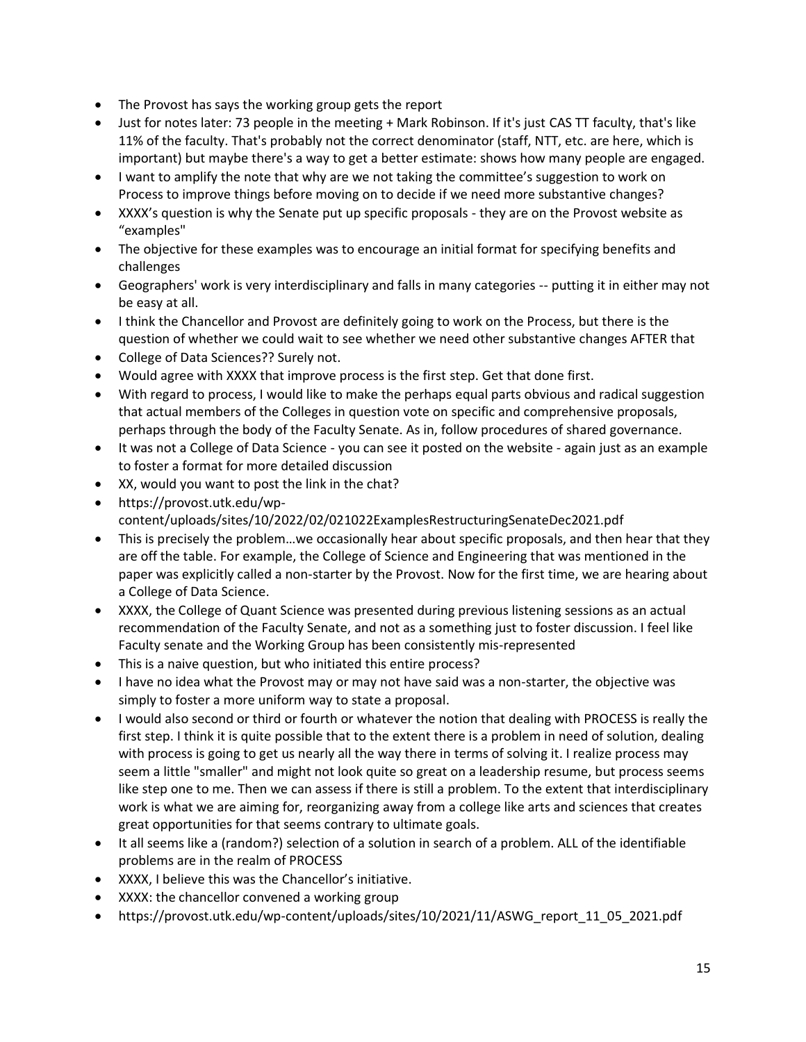- The Provost has says the working group gets the report
- Just for notes later: 73 people in the meeting + Mark Robinson. If it's just CAS TT faculty, that's like 11% of the faculty. That's probably not the correct denominator (staff, NTT, etc. are here, which is important) but maybe there's a way to get a better estimate: shows how many people are engaged.
- I want to amplify the note that why are we not taking the committee's suggestion to work on Process to improve things before moving on to decide if we need more substantive changes?
- XXXX's question is why the Senate put up specific proposals they are on the Provost website as "examples"
- The objective for these examples was to encourage an initial format for specifying benefits and challenges
- Geographers' work is very interdisciplinary and falls in many categories -- putting it in either may not be easy at all.
- I think the Chancellor and Provost are definitely going to work on the Process, but there is the question of whether we could wait to see whether we need other substantive changes AFTER that
- College of Data Sciences?? Surely not.
- Would agree with XXXX that improve process is the first step. Get that done first.
- With regard to process, I would like to make the perhaps equal parts obvious and radical suggestion that actual members of the Colleges in question vote on specific and comprehensive proposals, perhaps through the body of the Faculty Senate. As in, follow procedures of shared governance.
- It was not a College of Data Science you can see it posted on the website again just as an example to foster a format for more detailed discussion
- XX, would you want to post the link in the chat?
- https://provost.utk.edu/wpcontent/uploads/sites/10/2022/02/021022ExamplesRestructuringSenateDec2021.pdf
- This is precisely the problem…we occasionally hear about specific proposals, and then hear that they are off the table. For example, the College of Science and Engineering that was mentioned in the paper was explicitly called a non-starter by the Provost. Now for the first time, we are hearing about a College of Data Science.
- XXXX, the College of Quant Science was presented during previous listening sessions as an actual recommendation of the Faculty Senate, and not as a something just to foster discussion. I feel like Faculty senate and the Working Group has been consistently mis-represented
- This is a naive question, but who initiated this entire process?
- I have no idea what the Provost may or may not have said was a non-starter, the objective was simply to foster a more uniform way to state a proposal.
- I would also second or third or fourth or whatever the notion that dealing with PROCESS is really the first step. I think it is quite possible that to the extent there is a problem in need of solution, dealing with process is going to get us nearly all the way there in terms of solving it. I realize process may seem a little "smaller" and might not look quite so great on a leadership resume, but process seems like step one to me. Then we can assess if there is still a problem. To the extent that interdisciplinary work is what we are aiming for, reorganizing away from a college like arts and sciences that creates great opportunities for that seems contrary to ultimate goals.
- It all seems like a (random?) selection of a solution in search of a problem. ALL of the identifiable problems are in the realm of PROCESS
- XXXX, I believe this was the Chancellor's initiative.
- XXXX: the chancellor convened a working group
- https://provost.utk.edu/wp-content/uploads/sites/10/2021/11/ASWG\_report\_11\_05\_2021.pdf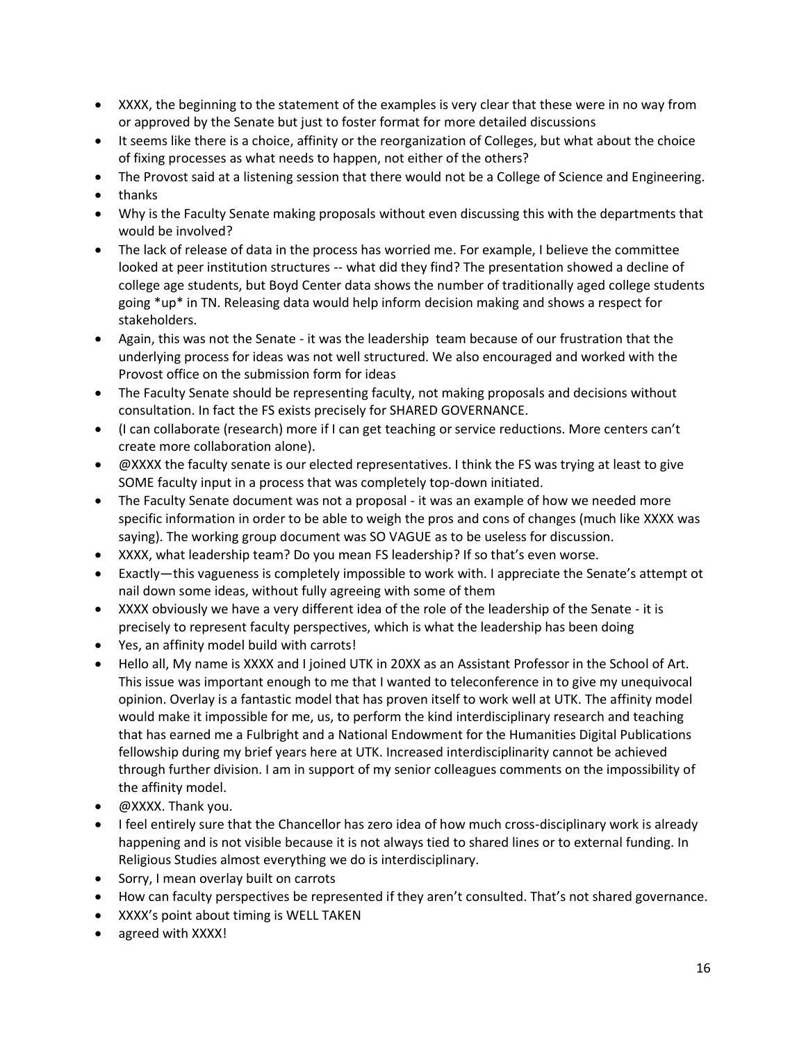- XXXX, the beginning to the statement of the examples is very clear that these were in no way from or approved by the Senate but just to foster format for more detailed discussions
- It seems like there is a choice, affinity or the reorganization of Colleges, but what about the choice of fixing processes as what needs to happen, not either of the others?
- The Provost said at a listening session that there would not be a College of Science and Engineering.
- thanks
- Why is the Faculty Senate making proposals without even discussing this with the departments that would be involved?
- The lack of release of data in the process has worried me. For example, I believe the committee looked at peer institution structures -- what did they find? The presentation showed a decline of college age students, but Boyd Center data shows the number of traditionally aged college students going \*up\* in TN. Releasing data would help inform decision making and shows a respect for stakeholders.
- Again, this was not the Senate it was the leadership team because of our frustration that the underlying process for ideas was not well structured. We also encouraged and worked with the Provost office on the submission form for ideas
- The Faculty Senate should be representing faculty, not making proposals and decisions without consultation. In fact the FS exists precisely for SHARED GOVERNANCE.
- (I can collaborate (research) more if I can get teaching or service reductions. More centers can't create more collaboration alone).
- @XXXX the faculty senate is our elected representatives. I think the FS was trying at least to give SOME faculty input in a process that was completely top-down initiated.
- The Faculty Senate document was not a proposal it was an example of how we needed more specific information in order to be able to weigh the pros and cons of changes (much like XXXX was saying). The working group document was SO VAGUE as to be useless for discussion.
- XXXX, what leadership team? Do you mean FS leadership? If so that's even worse.
- Exactly—this vagueness is completely impossible to work with. I appreciate the Senate's attempt ot nail down some ideas, without fully agreeing with some of them
- XXXX obviously we have a very different idea of the role of the leadership of the Senate it is precisely to represent faculty perspectives, which is what the leadership has been doing
- Yes, an affinity model build with carrots!
- Hello all, My name is XXXX and I joined UTK in 20XX as an Assistant Professor in the School of Art. This issue was important enough to me that I wanted to teleconference in to give my unequivocal opinion. Overlay is a fantastic model that has proven itself to work well at UTK. The affinity model would make it impossible for me, us, to perform the kind interdisciplinary research and teaching that has earned me a Fulbright and a National Endowment for the Humanities Digital Publications fellowship during my brief years here at UTK. Increased interdisciplinarity cannot be achieved through further division. I am in support of my senior colleagues comments on the impossibility of the affinity model.
- @XXXX. Thank you.
- I feel entirely sure that the Chancellor has zero idea of how much cross-disciplinary work is already happening and is not visible because it is not always tied to shared lines or to external funding. In Religious Studies almost everything we do is interdisciplinary.
- Sorry, I mean overlay built on carrots
- How can faculty perspectives be represented if they aren't consulted. That's not shared governance.
- XXXX's point about timing is WELL TAKEN
- agreed with XXXX!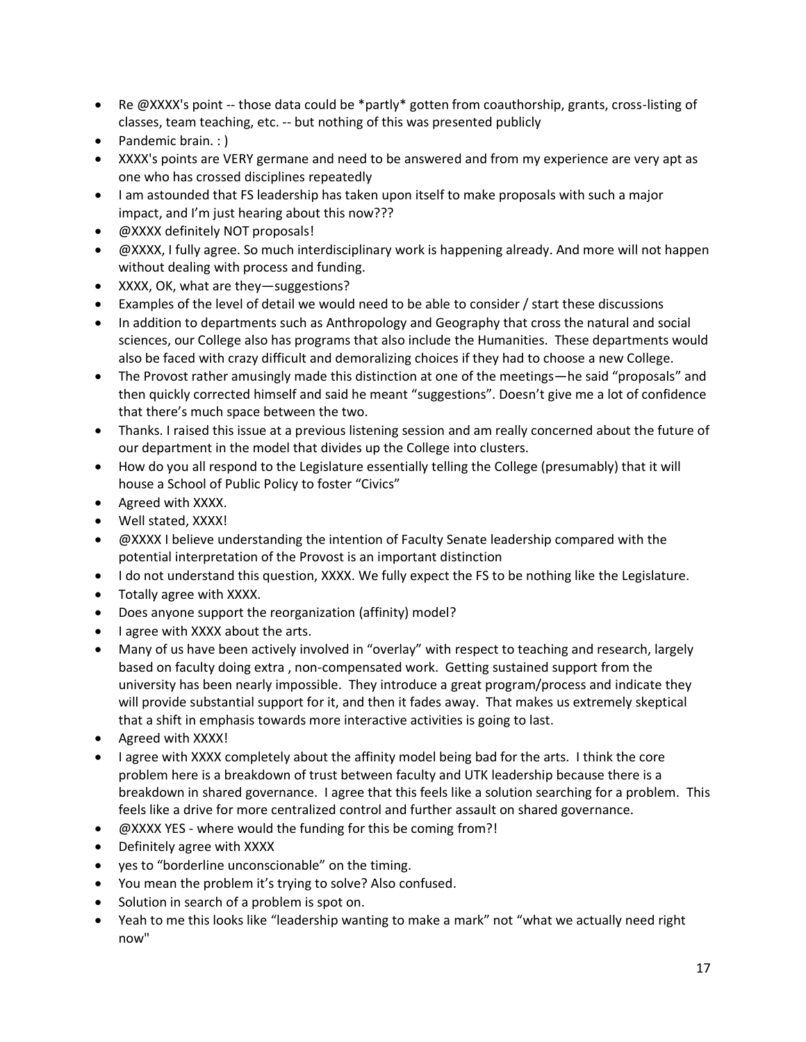- Re @XXXX's point -- those data could be \*partly\* gotten from coauthorship, grants, cross-listing of classes, team teaching, etc. -- but nothing of this was presented publicly
- Pandemic brain. : )
- XXXX's points are VERY germane and need to be answered and from my experience are very apt as one who has crossed disciplines repeatedly
- I am astounded that FS leadership has taken upon itself to make proposals with such a major impact, and I'm just hearing about this now???
- @XXXX definitely NOT proposals!
- @XXXX, I fully agree. So much interdisciplinary work is happening already. And more will not happen without dealing with process and funding.
- XXXX, OK, what are they—suggestions?
- Examples of the level of detail we would need to be able to consider / start these discussions
- In addition to departments such as Anthropology and Geography that cross the natural and social sciences, our College also has programs that also include the Humanities. These departments would also be faced with crazy difficult and demoralizing choices if they had to choose a new College.
- The Provost rather amusingly made this distinction at one of the meetings—he said "proposals" and then quickly corrected himself and said he meant "suggestions". Doesn't give me a lot of confidence that there's much space between the two.
- Thanks. I raised this issue at a previous listening session and am really concerned about the future of our department in the model that divides up the College into clusters.
- How do you all respond to the Legislature essentially telling the College (presumably) that it will house a School of Public Policy to foster "Civics"
- Agreed with XXXX.
- Well stated, XXXX!
- @XXXX I believe understanding the intention of Faculty Senate leadership compared with the potential interpretation of the Provost is an important distinction
- I do not understand this question, XXXX. We fully expect the FS to be nothing like the Legislature.
- Totally agree with XXXX.
- Does anyone support the reorganization (affinity) model?
- I agree with XXXX about the arts.
- Many of us have been actively involved in "overlay" with respect to teaching and research, largely based on faculty doing extra , non-compensated work. Getting sustained support from the university has been nearly impossible. They introduce a great program/process and indicate they will provide substantial support for it, and then it fades away. That makes us extremely skeptical that a shift in emphasis towards more interactive activities is going to last.
- Agreed with XXXX!
- I agree with XXXX completely about the affinity model being bad for the arts. I think the core problem here is a breakdown of trust between faculty and UTK leadership because there is a breakdown in shared governance. I agree that this feels like a solution searching for a problem. This feels like a drive for more centralized control and further assault on shared governance.
- @XXXX YES where would the funding for this be coming from?!
- Definitely agree with XXXX
- yes to "borderline unconscionable" on the timing.
- You mean the problem it's trying to solve? Also confused.
- Solution in search of a problem is spot on.
- Yeah to me this looks like "leadership wanting to make a mark" not "what we actually need right now"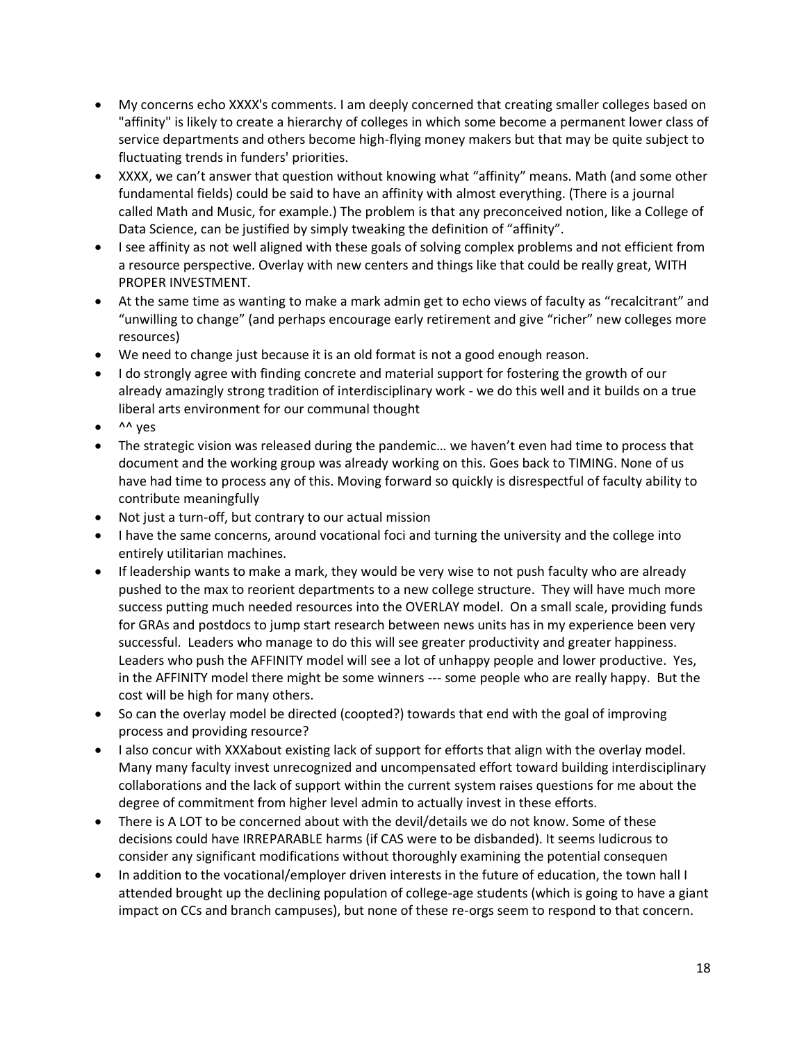- My concerns echo XXXX's comments. I am deeply concerned that creating smaller colleges based on "affinity" is likely to create a hierarchy of colleges in which some become a permanent lower class of service departments and others become high-flying money makers but that may be quite subject to fluctuating trends in funders' priorities.
- XXXX, we can't answer that question without knowing what "affinity" means. Math (and some other fundamental fields) could be said to have an affinity with almost everything. (There is a journal called Math and Music, for example.) The problem is that any preconceived notion, like a College of Data Science, can be justified by simply tweaking the definition of "affinity".
- I see affinity as not well aligned with these goals of solving complex problems and not efficient from a resource perspective. Overlay with new centers and things like that could be really great, WITH PROPER INVESTMENT.
- At the same time as wanting to make a mark admin get to echo views of faculty as "recalcitrant" and "unwilling to change" (and perhaps encourage early retirement and give "richer" new colleges more resources)
- We need to change just because it is an old format is not a good enough reason.
- I do strongly agree with finding concrete and material support for fostering the growth of our already amazingly strong tradition of interdisciplinary work - we do this well and it builds on a true liberal arts environment for our communal thought
- $\bullet$  ^^ yes
- The strategic vision was released during the pandemic… we haven't even had time to process that document and the working group was already working on this. Goes back to TIMING. None of us have had time to process any of this. Moving forward so quickly is disrespectful of faculty ability to contribute meaningfully
- Not just a turn-off, but contrary to our actual mission
- I have the same concerns, around vocational foci and turning the university and the college into entirely utilitarian machines.
- If leadership wants to make a mark, they would be very wise to not push faculty who are already pushed to the max to reorient departments to a new college structure. They will have much more success putting much needed resources into the OVERLAY model. On a small scale, providing funds for GRAs and postdocs to jump start research between news units has in my experience been very successful. Leaders who manage to do this will see greater productivity and greater happiness. Leaders who push the AFFINITY model will see a lot of unhappy people and lower productive. Yes, in the AFFINITY model there might be some winners --- some people who are really happy. But the cost will be high for many others.
- So can the overlay model be directed (coopted?) towards that end with the goal of improving process and providing resource?
- I also concur with XXXabout existing lack of support for efforts that align with the overlay model. Many many faculty invest unrecognized and uncompensated effort toward building interdisciplinary collaborations and the lack of support within the current system raises questions for me about the degree of commitment from higher level admin to actually invest in these efforts.
- There is A LOT to be concerned about with the devil/details we do not know. Some of these decisions could have IRREPARABLE harms (if CAS were to be disbanded). It seems ludicrous to consider any significant modifications without thoroughly examining the potential consequen
- In addition to the vocational/employer driven interests in the future of education, the town hall I attended brought up the declining population of college-age students (which is going to have a giant impact on CCs and branch campuses), but none of these re-orgs seem to respond to that concern.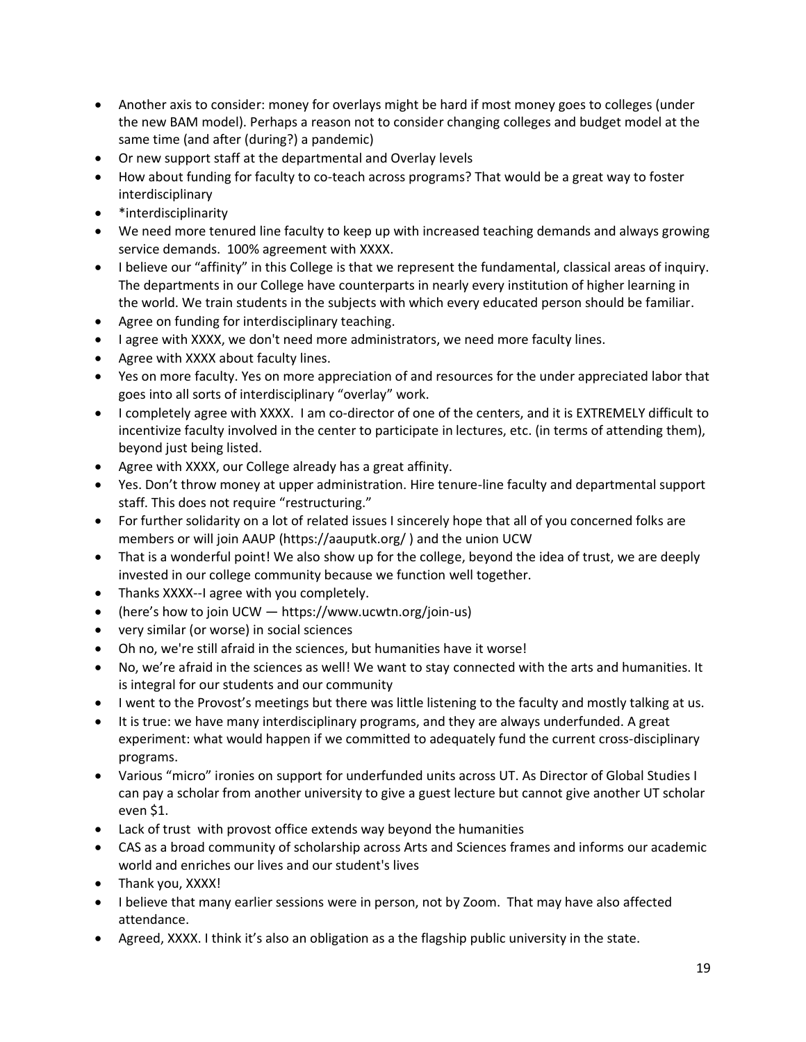- Another axis to consider: money for overlays might be hard if most money goes to colleges (under the new BAM model). Perhaps a reason not to consider changing colleges and budget model at the same time (and after (during?) a pandemic)
- Or new support staff at the departmental and Overlay levels
- How about funding for faculty to co-teach across programs? That would be a great way to foster interdisciplinary
- \*interdisciplinarity
- We need more tenured line faculty to keep up with increased teaching demands and always growing service demands. 100% agreement with XXXX.
- I believe our "affinity" in this College is that we represent the fundamental, classical areas of inquiry. The departments in our College have counterparts in nearly every institution of higher learning in the world. We train students in the subjects with which every educated person should be familiar.
- Agree on funding for interdisciplinary teaching.
- I agree with XXXX, we don't need more administrators, we need more faculty lines.
- Agree with XXXX about faculty lines.
- Yes on more faculty. Yes on more appreciation of and resources for the under appreciated labor that goes into all sorts of interdisciplinary "overlay" work.
- I completely agree with XXXX. I am co-director of one of the centers, and it is EXTREMELY difficult to incentivize faculty involved in the center to participate in lectures, etc. (in terms of attending them), beyond just being listed.
- Agree with XXXX, our College already has a great affinity.
- Yes. Don't throw money at upper administration. Hire tenure-line faculty and departmental support staff. This does not require "restructuring."
- For further solidarity on a lot of related issues I sincerely hope that all of you concerned folks are members or will join AAUP (https://aauputk.org/ ) and the union UCW
- That is a wonderful point! We also show up for the college, beyond the idea of trust, we are deeply invested in our college community because we function well together.
- Thanks XXXX--I agree with you completely.
- (here's how to join UCW https://www.ucwtn.org/join-us)
- very similar (or worse) in social sciences
- Oh no, we're still afraid in the sciences, but humanities have it worse!
- No, we're afraid in the sciences as well! We want to stay connected with the arts and humanities. It is integral for our students and our community
- I went to the Provost's meetings but there was little listening to the faculty and mostly talking at us.
- It is true: we have many interdisciplinary programs, and they are always underfunded. A great experiment: what would happen if we committed to adequately fund the current cross-disciplinary programs.
- Various "micro" ironies on support for underfunded units across UT. As Director of Global Studies I can pay a scholar from another university to give a guest lecture but cannot give another UT scholar even \$1.
- Lack of trust with provost office extends way beyond the humanities
- CAS as a broad community of scholarship across Arts and Sciences frames and informs our academic world and enriches our lives and our student's lives
- Thank you, XXXX!
- I believe that many earlier sessions were in person, not by Zoom. That may have also affected attendance.
- Agreed, XXXX. I think it's also an obligation as a the flagship public university in the state.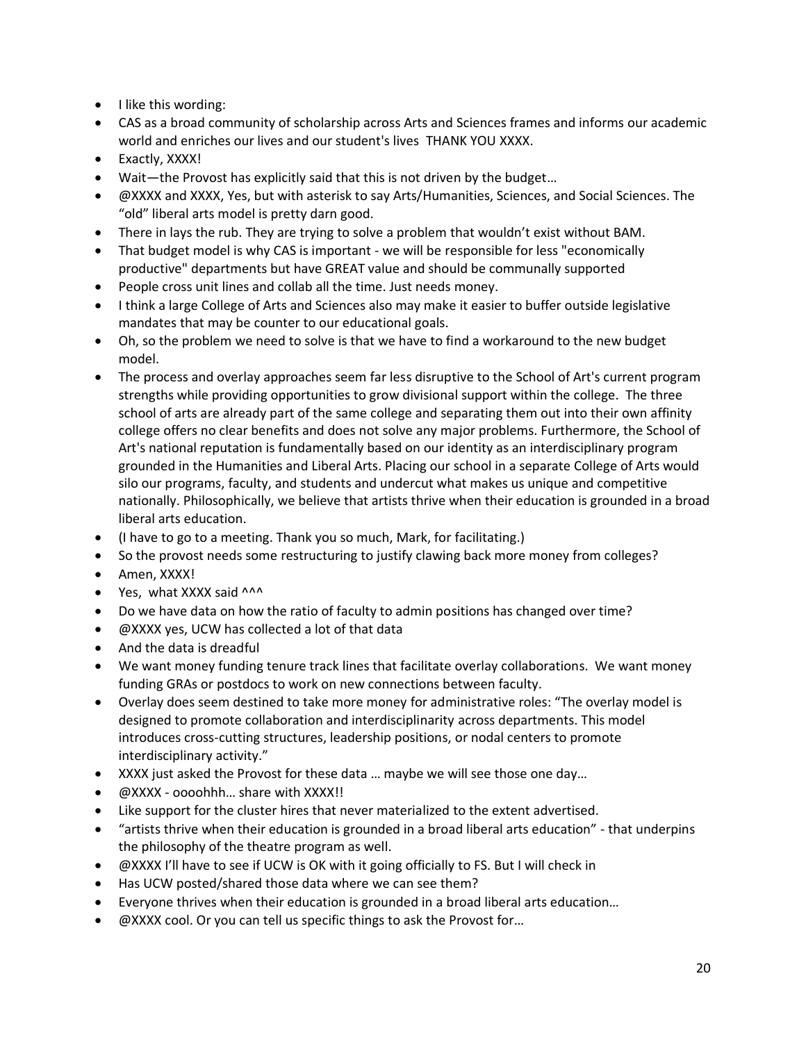- I like this wording:
- CAS as a broad community of scholarship across Arts and Sciences frames and informs our academic world and enriches our lives and our student's lives THANK YOU XXXX.
- Exactly, XXXX!
- Wait—the Provost has explicitly said that this is not driven by the budget…
- @XXXX and XXXX, Yes, but with asterisk to say Arts/Humanities, Sciences, and Social Sciences. The "old" liberal arts model is pretty darn good.
- There in lays the rub. They are trying to solve a problem that wouldn't exist without BAM.
- That budget model is why CAS is important we will be responsible for less "economically productive" departments but have GREAT value and should be communally supported
- People cross unit lines and collab all the time. Just needs money.
- I think a large College of Arts and Sciences also may make it easier to buffer outside legislative mandates that may be counter to our educational goals.
- Oh, so the problem we need to solve is that we have to find a workaround to the new budget model.
- The process and overlay approaches seem far less disruptive to the School of Art's current program strengths while providing opportunities to grow divisional support within the college. The three school of arts are already part of the same college and separating them out into their own affinity college offers no clear benefits and does not solve any major problems. Furthermore, the School of Art's national reputation is fundamentally based on our identity as an interdisciplinary program grounded in the Humanities and Liberal Arts. Placing our school in a separate College of Arts would silo our programs, faculty, and students and undercut what makes us unique and competitive nationally. Philosophically, we believe that artists thrive when their education is grounded in a broad liberal arts education.
- (I have to go to a meeting. Thank you so much, Mark, for facilitating.)
- So the provost needs some restructuring to justify clawing back more money from colleges?
- Amen, XXXX!
- Yes, what XXXX said ^^^
- Do we have data on how the ratio of faculty to admin positions has changed over time?
- @XXXX yes, UCW has collected a lot of that data
- And the data is dreadful
- We want money funding tenure track lines that facilitate overlay collaborations. We want money funding GRAs or postdocs to work on new connections between faculty.
- Overlay does seem destined to take more money for administrative roles: "The overlay model is designed to promote collaboration and interdisciplinarity across departments. This model introduces cross-cutting structures, leadership positions, or nodal centers to promote interdisciplinary activity."
- XXXX just asked the Provost for these data … maybe we will see those one day…
- @XXXX oooohhh... share with XXXX!!
- Like support for the cluster hires that never materialized to the extent advertised.
- "artists thrive when their education is grounded in a broad liberal arts education" that underpins the philosophy of the theatre program as well.
- @XXXX I'll have to see if UCW is OK with it going officially to FS. But I will check in
- Has UCW posted/shared those data where we can see them?
- Everyone thrives when their education is grounded in a broad liberal arts education…
- @XXXX cool. Or you can tell us specific things to ask the Provost for…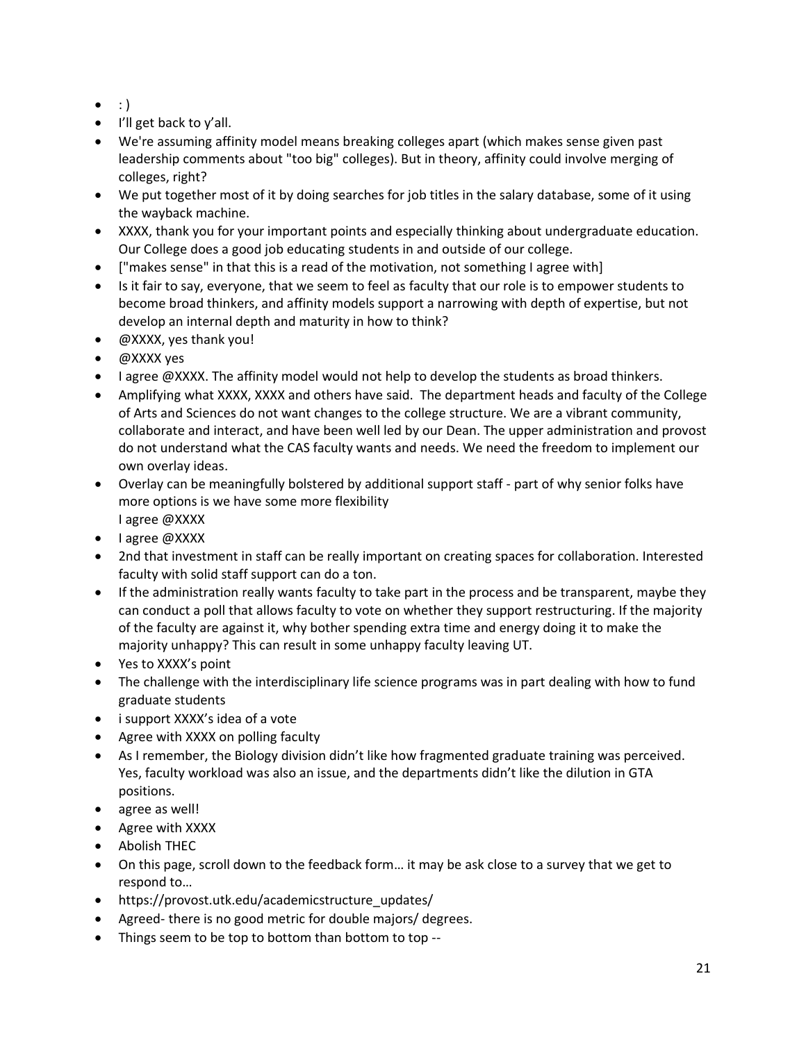- $\bullet$  : )
- I'll get back to y'all.
- We're assuming affinity model means breaking colleges apart (which makes sense given past leadership comments about "too big" colleges). But in theory, affinity could involve merging of colleges, right?
- We put together most of it by doing searches for job titles in the salary database, some of it using the wayback machine.
- XXXX, thank you for your important points and especially thinking about undergraduate education. Our College does a good job educating students in and outside of our college.
- ["makes sense" in that this is a read of the motivation, not something I agree with]
- Is it fair to say, everyone, that we seem to feel as faculty that our role is to empower students to become broad thinkers, and affinity models support a narrowing with depth of expertise, but not develop an internal depth and maturity in how to think?
- @XXXX, yes thank you!
- @XXXX yes
- I agree @XXXX. The affinity model would not help to develop the students as broad thinkers.
- Amplifying what XXXX, XXXX and others have said. The department heads and faculty of the College of Arts and Sciences do not want changes to the college structure. We are a vibrant community, collaborate and interact, and have been well led by our Dean. The upper administration and provost do not understand what the CAS faculty wants and needs. We need the freedom to implement our own overlay ideas.
- Overlay can be meaningfully bolstered by additional support staff part of why senior folks have more options is we have some more flexibility I agree @XXXX
- I agree @XXXX
- 2nd that investment in staff can be really important on creating spaces for collaboration. Interested faculty with solid staff support can do a ton.
- If the administration really wants faculty to take part in the process and be transparent, maybe they can conduct a poll that allows faculty to vote on whether they support restructuring. If the majority of the faculty are against it, why bother spending extra time and energy doing it to make the majority unhappy? This can result in some unhappy faculty leaving UT.
- Yes to XXXX's point
- The challenge with the interdisciplinary life science programs was in part dealing with how to fund graduate students
- i support XXXX's idea of a vote
- Agree with XXXX on polling faculty
- As I remember, the Biology division didn't like how fragmented graduate training was perceived. Yes, faculty workload was also an issue, and the departments didn't like the dilution in GTA positions.
- agree as well!
- Agree with XXXX
- Abolish THEC
- On this page, scroll down to the feedback form… it may be ask close to a survey that we get to respond to…
- https://provost.utk.edu/academicstructure\_updates/
- Agreed- there is no good metric for double majors/ degrees.
- Things seem to be top to bottom than bottom to top --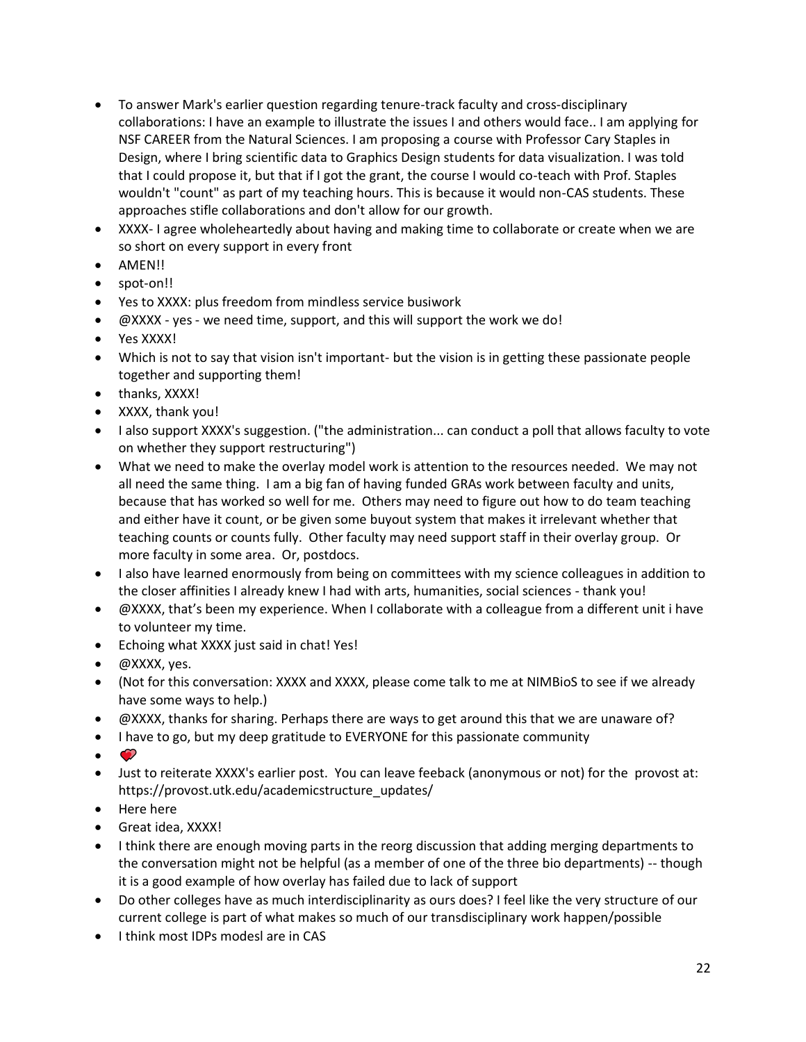- To answer Mark's earlier question regarding tenure-track faculty and cross-disciplinary collaborations: I have an example to illustrate the issues I and others would face.. I am applying for NSF CAREER from the Natural Sciences. I am proposing a course with Professor Cary Staples in Design, where I bring scientific data to Graphics Design students for data visualization. I was told that I could propose it, but that if I got the grant, the course I would co-teach with Prof. Staples wouldn't "count" as part of my teaching hours. This is because it would non-CAS students. These approaches stifle collaborations and don't allow for our growth.
- XXXX- I agree wholeheartedly about having and making time to collaborate or create when we are so short on every support in every front
- AMEN!!
- spot-on!!
- Yes to XXXX: plus freedom from mindless service busiwork
- @XXXX yes we need time, support, and this will support the work we do!
- Yes XXXX!
- Which is not to say that vision isn't important- but the vision is in getting these passionate people together and supporting them!
- thanks, XXXX!
- XXXX, thank you!
- I also support XXXX's suggestion. ("the administration... can conduct a poll that allows faculty to vote on whether they support restructuring")
- What we need to make the overlay model work is attention to the resources needed. We may not all need the same thing. I am a big fan of having funded GRAs work between faculty and units, because that has worked so well for me. Others may need to figure out how to do team teaching and either have it count, or be given some buyout system that makes it irrelevant whether that teaching counts or counts fully. Other faculty may need support staff in their overlay group. Or more faculty in some area. Or, postdocs.
- I also have learned enormously from being on committees with my science colleagues in addition to the closer affinities I already knew I had with arts, humanities, social sciences - thank you!
- @XXXX, that's been my experience. When I collaborate with a colleague from a different unit i have to volunteer my time.
- Echoing what XXXX just said in chat! Yes!
- @XXXX, yes.
- (Not for this conversation: XXXX and XXXX, please come talk to me at NIMBioS to see if we already have some ways to help.)
- @XXXX, thanks for sharing. Perhaps there are ways to get around this that we are unaware of?
- I have to go, but my deep gratitude to EVERYONE for this passionate community
- $\bullet$
- Just to reiterate XXXX's earlier post. You can leave feeback (anonymous or not) for the provost at: https://provost.utk.edu/academicstructure\_updates/
- Here here
- Great idea, XXXX!
- I think there are enough moving parts in the reorg discussion that adding merging departments to the conversation might not be helpful (as a member of one of the three bio departments) -- though it is a good example of how overlay has failed due to lack of support
- Do other colleges have as much interdisciplinarity as ours does? I feel like the very structure of our current college is part of what makes so much of our transdisciplinary work happen/possible
- I think most IDPs modesl are in CAS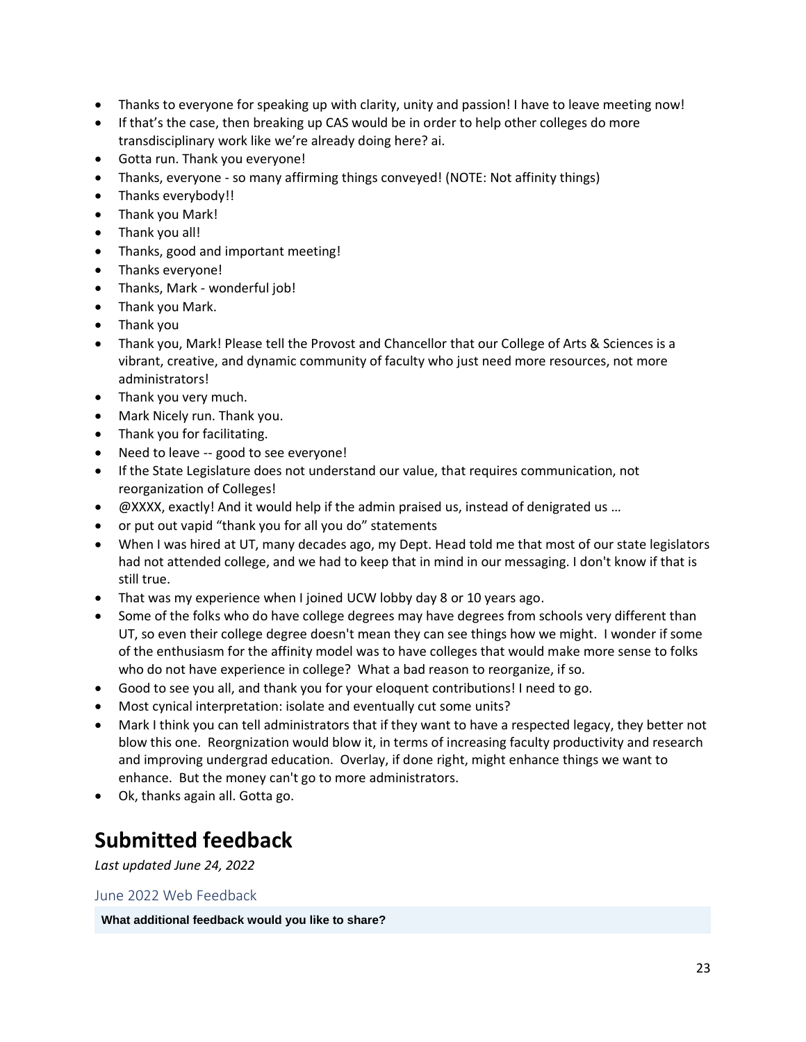- Thanks to everyone for speaking up with clarity, unity and passion! I have to leave meeting now!
- If that's the case, then breaking up CAS would be in order to help other colleges do more transdisciplinary work like we're already doing here? ai.
- Gotta run. Thank you everyone!
- Thanks, everyone so many affirming things conveyed! (NOTE: Not affinity things)
- Thanks everybody!!
- Thank you Mark!
- Thank you all!
- Thanks, good and important meeting!
- Thanks everyone!
- Thanks, Mark wonderful job!
- Thank you Mark.
- Thank you
- Thank you, Mark! Please tell the Provost and Chancellor that our College of Arts & Sciences is a vibrant, creative, and dynamic community of faculty who just need more resources, not more administrators!
- Thank you very much.
- Mark Nicely run. Thank you.
- Thank you for facilitating.
- Need to leave -- good to see everyone!
- If the State Legislature does not understand our value, that requires communication, not reorganization of Colleges!
- @XXXX, exactly! And it would help if the admin praised us, instead of denigrated us …
- or put out vapid "thank you for all you do" statements
- When I was hired at UT, many decades ago, my Dept. Head told me that most of our state legislators had not attended college, and we had to keep that in mind in our messaging. I don't know if that is still true.
- That was my experience when I joined UCW lobby day 8 or 10 years ago.
- Some of the folks who do have college degrees may have degrees from schools very different than UT, so even their college degree doesn't mean they can see things how we might. I wonder if some of the enthusiasm for the affinity model was to have colleges that would make more sense to folks who do not have experience in college? What a bad reason to reorganize, if so.
- Good to see you all, and thank you for your eloquent contributions! I need to go.
- Most cynical interpretation: isolate and eventually cut some units?
- Mark I think you can tell administrators that if they want to have a respected legacy, they better not blow this one. Reorgnization would blow it, in terms of increasing faculty productivity and research and improving undergrad education. Overlay, if done right, might enhance things we want to enhance. But the money can't go to more administrators.
- Ok, thanks again all. Gotta go.

## **Submitted feedback**

*Last updated June 24, 2022*

June 2022 Web Feedback

**What additional feedback would you like to share?**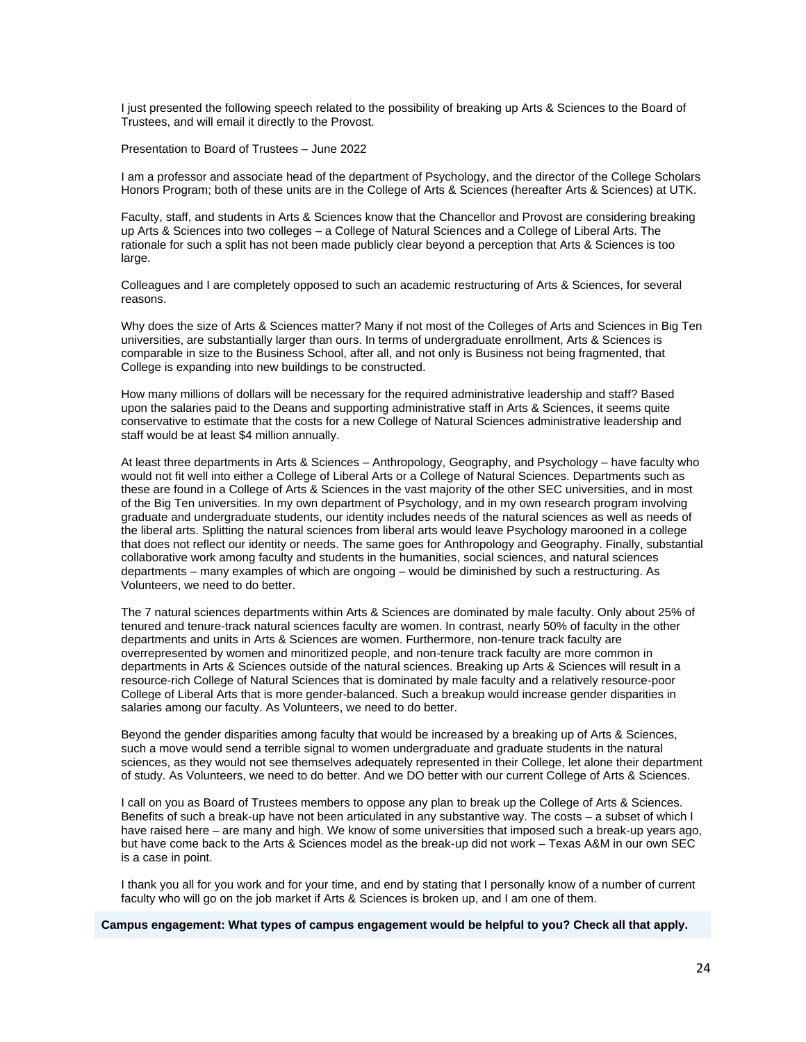I just presented the following speech related to the possibility of breaking up Arts & Sciences to the Board of Trustees, and will email it directly to the Provost.

Presentation to Board of Trustees – June 2022

I am a professor and associate head of the department of Psychology, and the director of the College Scholars Honors Program; both of these units are in the College of Arts & Sciences (hereafter Arts & Sciences) at UTK.

Faculty, staff, and students in Arts & Sciences know that the Chancellor and Provost are considering breaking up Arts & Sciences into two colleges – a College of Natural Sciences and a College of Liberal Arts. The rationale for such a split has not been made publicly clear beyond a perception that Arts & Sciences is too large.

Colleagues and I are completely opposed to such an academic restructuring of Arts & Sciences, for several reasons.

Why does the size of Arts & Sciences matter? Many if not most of the Colleges of Arts and Sciences in Big Ten universities, are substantially larger than ours. In terms of undergraduate enrollment, Arts & Sciences is comparable in size to the Business School, after all, and not only is Business not being fragmented, that College is expanding into new buildings to be constructed.

How many millions of dollars will be necessary for the required administrative leadership and staff? Based upon the salaries paid to the Deans and supporting administrative staff in Arts & Sciences, it seems quite conservative to estimate that the costs for a new College of Natural Sciences administrative leadership and staff would be at least \$4 million annually.

At least three departments in Arts & Sciences – Anthropology, Geography, and Psychology – have faculty who would not fit well into either a College of Liberal Arts or a College of Natural Sciences. Departments such as these are found in a College of Arts & Sciences in the vast majority of the other SEC universities, and in most of the Big Ten universities. In my own department of Psychology, and in my own research program involving graduate and undergraduate students, our identity includes needs of the natural sciences as well as needs of the liberal arts. Splitting the natural sciences from liberal arts would leave Psychology marooned in a college that does not reflect our identity or needs. The same goes for Anthropology and Geography. Finally, substantial collaborative work among faculty and students in the humanities, social sciences, and natural sciences departments – many examples of which are ongoing – would be diminished by such a restructuring. As Volunteers, we need to do better.

The 7 natural sciences departments within Arts & Sciences are dominated by male faculty. Only about 25% of tenured and tenure-track natural sciences faculty are women. In contrast, nearly 50% of faculty in the other departments and units in Arts & Sciences are women. Furthermore, non-tenure track faculty are overrepresented by women and minoritized people, and non-tenure track faculty are more common in departments in Arts & Sciences outside of the natural sciences. Breaking up Arts & Sciences will result in a resource-rich College of Natural Sciences that is dominated by male faculty and a relatively resource-poor College of Liberal Arts that is more gender-balanced. Such a breakup would increase gender disparities in salaries among our faculty. As Volunteers, we need to do better.

Beyond the gender disparities among faculty that would be increased by a breaking up of Arts & Sciences, such a move would send a terrible signal to women undergraduate and graduate students in the natural sciences, as they would not see themselves adequately represented in their College, let alone their department of study. As Volunteers, we need to do better. And we DO better with our current College of Arts & Sciences.

I call on you as Board of Trustees members to oppose any plan to break up the College of Arts & Sciences. Benefits of such a break-up have not been articulated in any substantive way. The costs – a subset of which I have raised here – are many and high. We know of some universities that imposed such a break-up years ago, but have come back to the Arts & Sciences model as the break-up did not work – Texas A&M in our own SEC is a case in point.

I thank you all for you work and for your time, and end by stating that I personally know of a number of current faculty who will go on the job market if Arts & Sciences is broken up, and I am one of them.

**Campus engagement: What types of campus engagement would be helpful to you? Check all that apply.**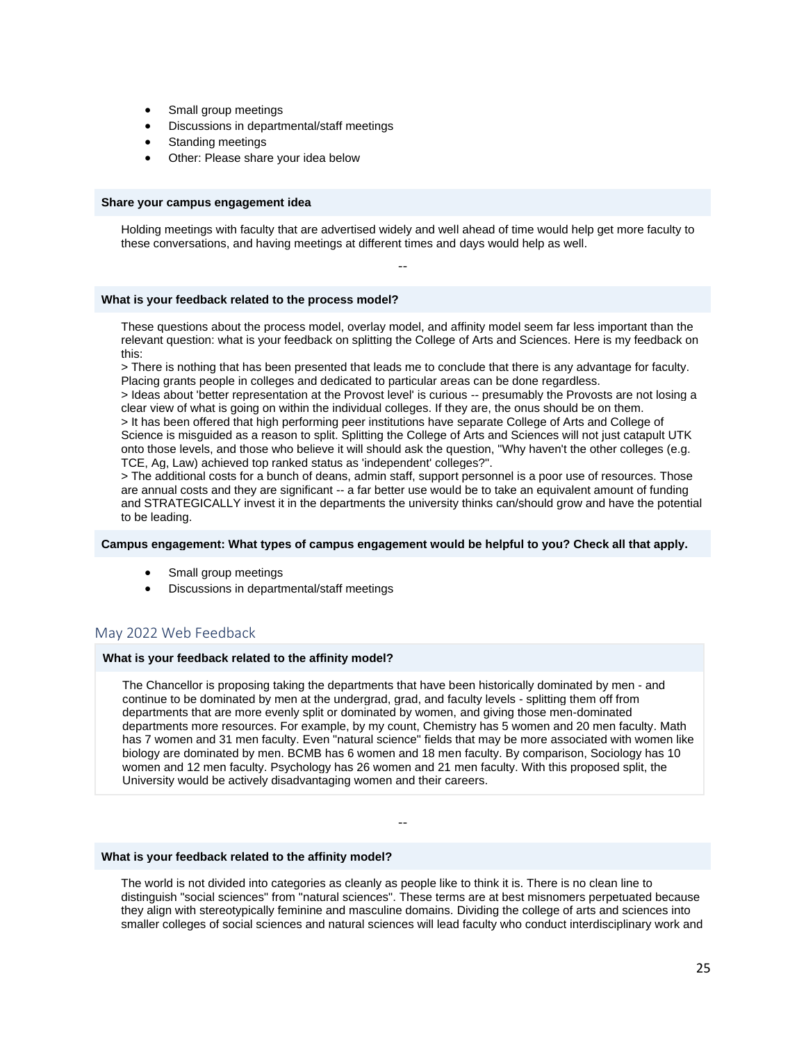- Small group meetings
- Discussions in departmental/staff meetings
- Standing meetings
- Other: Please share your idea below

#### **Share your campus engagement idea**

Holding meetings with faculty that are advertised widely and well ahead of time would help get more faculty to these conversations, and having meetings at different times and days would help as well.

--

#### **What is your feedback related to the process model?**

These questions about the process model, overlay model, and affinity model seem far less important than the relevant question: what is your feedback on splitting the College of Arts and Sciences. Here is my feedback on this:

> There is nothing that has been presented that leads me to conclude that there is any advantage for faculty. Placing grants people in colleges and dedicated to particular areas can be done regardless.

> Ideas about 'better representation at the Provost level' is curious -- presumably the Provosts are not losing a clear view of what is going on within the individual colleges. If they are, the onus should be on them.

> It has been offered that high performing peer institutions have separate College of Arts and College of Science is misguided as a reason to split. Splitting the College of Arts and Sciences will not just catapult UTK onto those levels, and those who believe it will should ask the question, "Why haven't the other colleges (e.g. TCE, Ag, Law) achieved top ranked status as 'independent' colleges?".

> The additional costs for a bunch of deans, admin staff, support personnel is a poor use of resources. Those are annual costs and they are significant -- a far better use would be to take an equivalent amount of funding and STRATEGICALLY invest it in the departments the university thinks can/should grow and have the potential to be leading.

#### **Campus engagement: What types of campus engagement would be helpful to you? Check all that apply.**

- Small group meetings
- Discussions in departmental/staff meetings

## May 2022 Web Feedback

#### **What is your feedback related to the affinity model?**

The Chancellor is proposing taking the departments that have been historically dominated by men - and continue to be dominated by men at the undergrad, grad, and faculty levels - splitting them off from departments that are more evenly split or dominated by women, and giving those men-dominated departments more resources. For example, by my count, Chemistry has 5 women and 20 men faculty. Math has 7 women and 31 men faculty. Even "natural science" fields that may be more associated with women like biology are dominated by men. BCMB has 6 women and 18 men faculty. By comparison, Sociology has 10 women and 12 men faculty. Psychology has 26 women and 21 men faculty. With this proposed split, the University would be actively disadvantaging women and their careers.

--

#### **What is your feedback related to the affinity model?**

The world is not divided into categories as cleanly as people like to think it is. There is no clean line to distinguish "social sciences" from "natural sciences". These terms are at best misnomers perpetuated because they align with stereotypically feminine and masculine domains. Dividing the college of arts and sciences into smaller colleges of social sciences and natural sciences will lead faculty who conduct interdisciplinary work and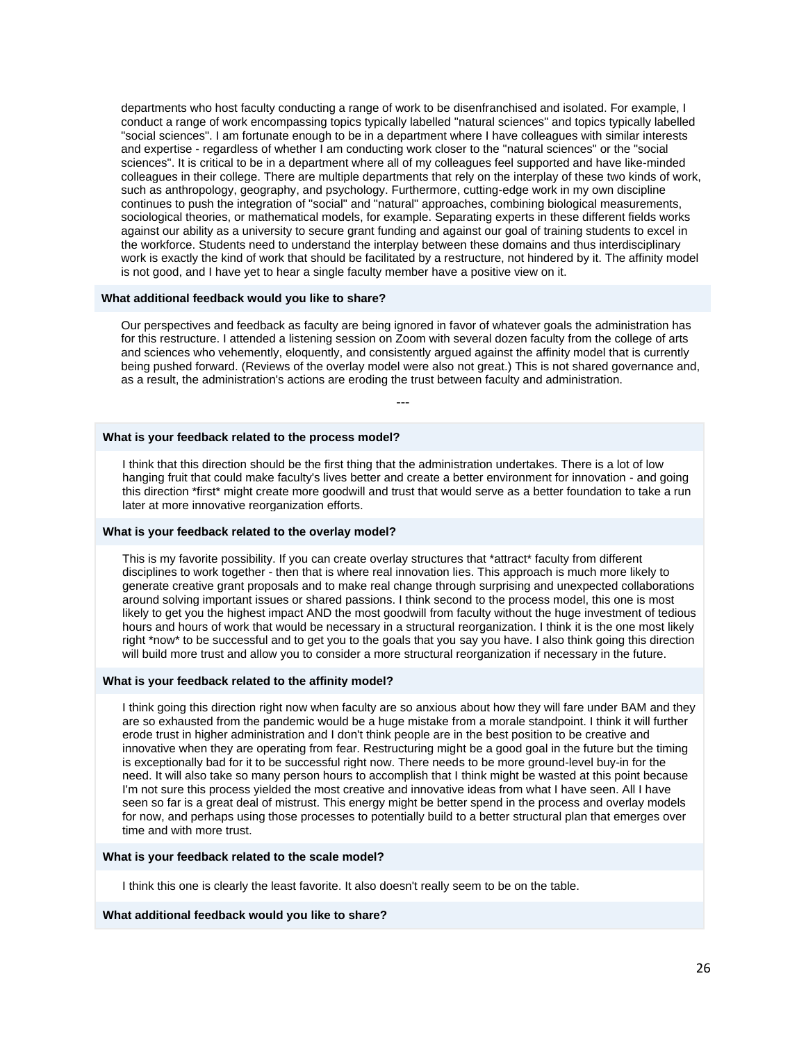departments who host faculty conducting a range of work to be disenfranchised and isolated. For example, I conduct a range of work encompassing topics typically labelled "natural sciences" and topics typically labelled "social sciences". I am fortunate enough to be in a department where I have colleagues with similar interests and expertise - regardless of whether I am conducting work closer to the "natural sciences" or the "social sciences". It is critical to be in a department where all of my colleagues feel supported and have like-minded colleagues in their college. There are multiple departments that rely on the interplay of these two kinds of work, such as anthropology, geography, and psychology. Furthermore, cutting-edge work in my own discipline continues to push the integration of "social" and "natural" approaches, combining biological measurements, sociological theories, or mathematical models, for example. Separating experts in these different fields works against our ability as a university to secure grant funding and against our goal of training students to excel in the workforce. Students need to understand the interplay between these domains and thus interdisciplinary work is exactly the kind of work that should be facilitated by a restructure, not hindered by it. The affinity model is not good, and I have yet to hear a single faculty member have a positive view on it.

#### **What additional feedback would you like to share?**

Our perspectives and feedback as faculty are being ignored in favor of whatever goals the administration has for this restructure. I attended a listening session on Zoom with several dozen faculty from the college of arts and sciences who vehemently, eloquently, and consistently argued against the affinity model that is currently being pushed forward. (Reviews of the overlay model were also not great.) This is not shared governance and, as a result, the administration's actions are eroding the trust between faculty and administration.

---

#### **What is your feedback related to the process model?**

I think that this direction should be the first thing that the administration undertakes. There is a lot of low hanging fruit that could make faculty's lives better and create a better environment for innovation - and going this direction \*first\* might create more goodwill and trust that would serve as a better foundation to take a run later at more innovative reorganization efforts.

#### **What is your feedback related to the overlay model?**

This is my favorite possibility. If you can create overlay structures that \*attract\* faculty from different disciplines to work together - then that is where real innovation lies. This approach is much more likely to generate creative grant proposals and to make real change through surprising and unexpected collaborations around solving important issues or shared passions. I think second to the process model, this one is most likely to get you the highest impact AND the most goodwill from faculty without the huge investment of tedious hours and hours of work that would be necessary in a structural reorganization. I think it is the one most likely right \*now\* to be successful and to get you to the goals that you say you have. I also think going this direction will build more trust and allow you to consider a more structural reorganization if necessary in the future.

#### **What is your feedback related to the affinity model?**

I think going this direction right now when faculty are so anxious about how they will fare under BAM and they are so exhausted from the pandemic would be a huge mistake from a morale standpoint. I think it will further erode trust in higher administration and I don't think people are in the best position to be creative and innovative when they are operating from fear. Restructuring might be a good goal in the future but the timing is exceptionally bad for it to be successful right now. There needs to be more ground-level buy-in for the need. It will also take so many person hours to accomplish that I think might be wasted at this point because I'm not sure this process yielded the most creative and innovative ideas from what I have seen. All I have seen so far is a great deal of mistrust. This energy might be better spend in the process and overlay models for now, and perhaps using those processes to potentially build to a better structural plan that emerges over time and with more trust.

#### **What is your feedback related to the scale model?**

I think this one is clearly the least favorite. It also doesn't really seem to be on the table.

#### **What additional feedback would you like to share?**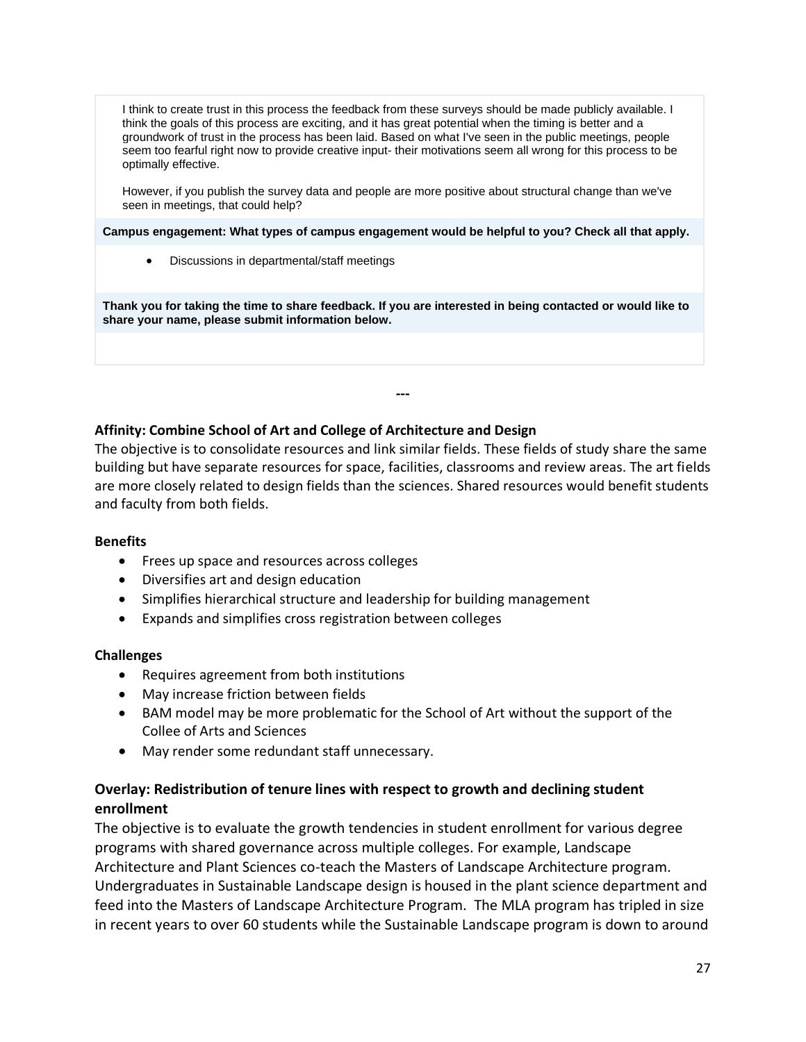I think to create trust in this process the feedback from these surveys should be made publicly available. I think the goals of this process are exciting, and it has great potential when the timing is better and a groundwork of trust in the process has been laid. Based on what I've seen in the public meetings, people seem too fearful right now to provide creative input- their motivations seem all wrong for this process to be optimally effective.

However, if you publish the survey data and people are more positive about structural change than we've seen in meetings, that could help?

**Campus engagement: What types of campus engagement would be helpful to you? Check all that apply.**

• Discussions in departmental/staff meetings

**Thank you for taking the time to share feedback. If you are interested in being contacted or would like to share your name, please submit information below.**

## **Affinity: Combine School of Art and College of Architecture and Design**

The objective is to consolidate resources and link similar fields. These fields of study share the same building but have separate resources for space, facilities, classrooms and review areas. The art fields are more closely related to design fields than the sciences. Shared resources would benefit students and faculty from both fields.

**---**

## **Benefits**

- Frees up space and resources across colleges
- Diversifies art and design education
- Simplifies hierarchical structure and leadership for building management
- Expands and simplifies cross registration between colleges

## **Challenges**

- Requires agreement from both institutions
- May increase friction between fields
- BAM model may be more problematic for the School of Art without the support of the Collee of Arts and Sciences
- May render some redundant staff unnecessary.

## **Overlay: Redistribution of tenure lines with respect to growth and declining student enrollment**

The objective is to evaluate the growth tendencies in student enrollment for various degree programs with shared governance across multiple colleges. For example, Landscape Architecture and Plant Sciences co-teach the Masters of Landscape Architecture program. Undergraduates in Sustainable Landscape design is housed in the plant science department and feed into the Masters of Landscape Architecture Program. The MLA program has tripled in size in recent years to over 60 students while the Sustainable Landscape program is down to around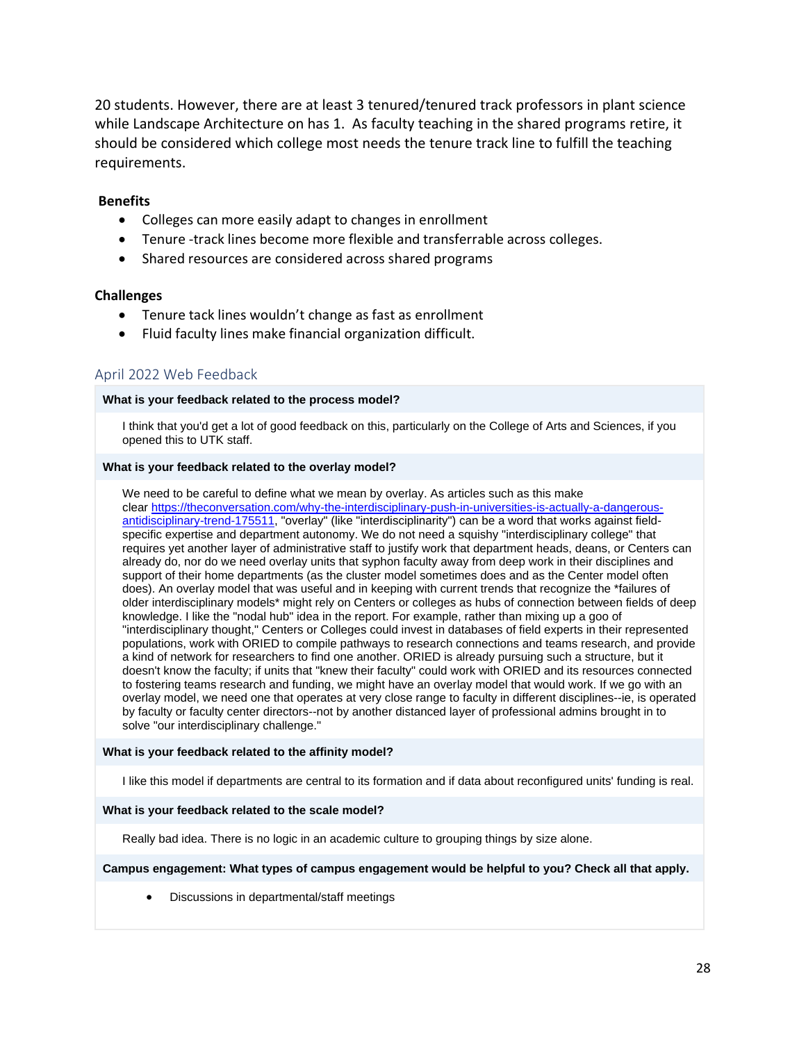20 students. However, there are at least 3 tenured/tenured track professors in plant science while Landscape Architecture on has 1. As faculty teaching in the shared programs retire, it should be considered which college most needs the tenure track line to fulfill the teaching requirements.

### **Benefits**

- Colleges can more easily adapt to changes in enrollment
- Tenure -track lines become more flexible and transferrable across colleges.
- Shared resources are considered across shared programs

#### **Challenges**

- Tenure tack lines wouldn't change as fast as enrollment
- Fluid faculty lines make financial organization difficult.

## April 2022 Web Feedback

#### **What is your feedback related to the process model?**

I think that you'd get a lot of good feedback on this, particularly on the College of Arts and Sciences, if you opened this to UTK staff.

#### **What is your feedback related to the overlay model?**

We need to be careful to define what we mean by overlay. As articles such as this make clear [https://theconversation.com/why-the-interdisciplinary-push-in-universities-is-actually-a-dangerous](https://theconversation.com/why-the-interdisciplinary-push-in-universities-is-actually-a-dangerous-antidisciplinary-trend-175511)[antidisciplinary-trend-175511,](https://theconversation.com/why-the-interdisciplinary-push-in-universities-is-actually-a-dangerous-antidisciplinary-trend-175511) "overlay" (like "interdisciplinarity") can be a word that works against fieldspecific expertise and department autonomy. We do not need a squishy "interdisciplinary college" that requires yet another layer of administrative staff to justify work that department heads, deans, or Centers can already do, nor do we need overlay units that syphon faculty away from deep work in their disciplines and support of their home departments (as the cluster model sometimes does and as the Center model often does). An overlay model that was useful and in keeping with current trends that recognize the \*failures of older interdisciplinary models\* might rely on Centers or colleges as hubs of connection between fields of deep knowledge. I like the "nodal hub" idea in the report. For example, rather than mixing up a goo of "interdisciplinary thought," Centers or Colleges could invest in databases of field experts in their represented populations, work with ORIED to compile pathways to research connections and teams research, and provide a kind of network for researchers to find one another. ORIED is already pursuing such a structure, but it doesn't know the faculty; if units that "knew their faculty" could work with ORIED and its resources connected to fostering teams research and funding, we might have an overlay model that would work. If we go with an overlay model, we need one that operates at very close range to faculty in different disciplines--ie, is operated by faculty or faculty center directors--not by another distanced layer of professional admins brought in to solve "our interdisciplinary challenge."

#### **What is your feedback related to the affinity model?**

I like this model if departments are central to its formation and if data about reconfigured units' funding is real.

#### **What is your feedback related to the scale model?**

Really bad idea. There is no logic in an academic culture to grouping things by size alone.

#### **Campus engagement: What types of campus engagement would be helpful to you? Check all that apply.**

• Discussions in departmental/staff meetings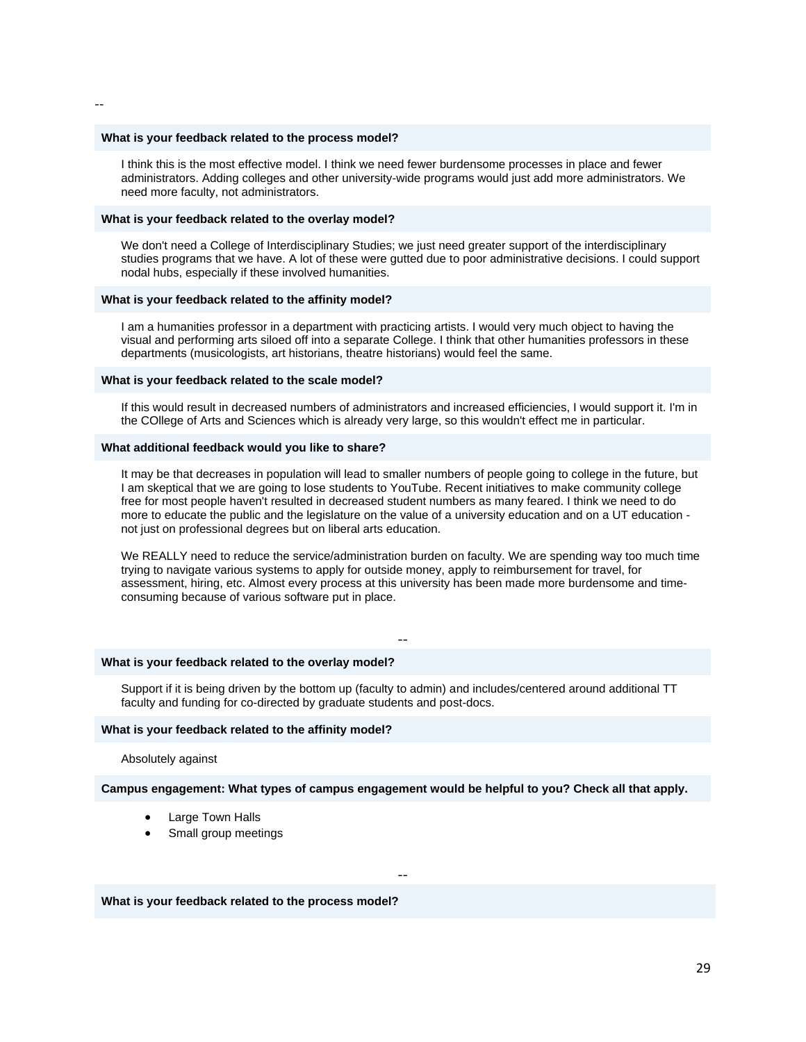#### **What is your feedback related to the process model?**

I think this is the most effective model. I think we need fewer burdensome processes in place and fewer administrators. Adding colleges and other university-wide programs would just add more administrators. We need more faculty, not administrators.

#### **What is your feedback related to the overlay model?**

We don't need a College of Interdisciplinary Studies; we just need greater support of the interdisciplinary studies programs that we have. A lot of these were gutted due to poor administrative decisions. I could support nodal hubs, especially if these involved humanities.

#### **What is your feedback related to the affinity model?**

I am a humanities professor in a department with practicing artists. I would very much object to having the visual and performing arts siloed off into a separate College. I think that other humanities professors in these departments (musicologists, art historians, theatre historians) would feel the same.

#### **What is your feedback related to the scale model?**

If this would result in decreased numbers of administrators and increased efficiencies, I would support it. I'm in the COllege of Arts and Sciences which is already very large, so this wouldn't effect me in particular.

#### **What additional feedback would you like to share?**

It may be that decreases in population will lead to smaller numbers of people going to college in the future, but I am skeptical that we are going to lose students to YouTube. Recent initiatives to make community college free for most people haven't resulted in decreased student numbers as many feared. I think we need to do more to educate the public and the legislature on the value of a university education and on a UT education not just on professional degrees but on liberal arts education.

We REALLY need to reduce the service/administration burden on faculty. We are spending way too much time trying to navigate various systems to apply for outside money, apply to reimbursement for travel, for assessment, hiring, etc. Almost every process at this university has been made more burdensome and timeconsuming because of various software put in place.

#### **What is your feedback related to the overlay model?**

Support if it is being driven by the bottom up (faculty to admin) and includes/centered around additional TT faculty and funding for co-directed by graduate students and post-docs.

--

#### **What is your feedback related to the affinity model?**

Absolutely against

**Campus engagement: What types of campus engagement would be helpful to you? Check all that apply.**

--

- Large Town Halls
- Small group meetings

**What is your feedback related to the process model?**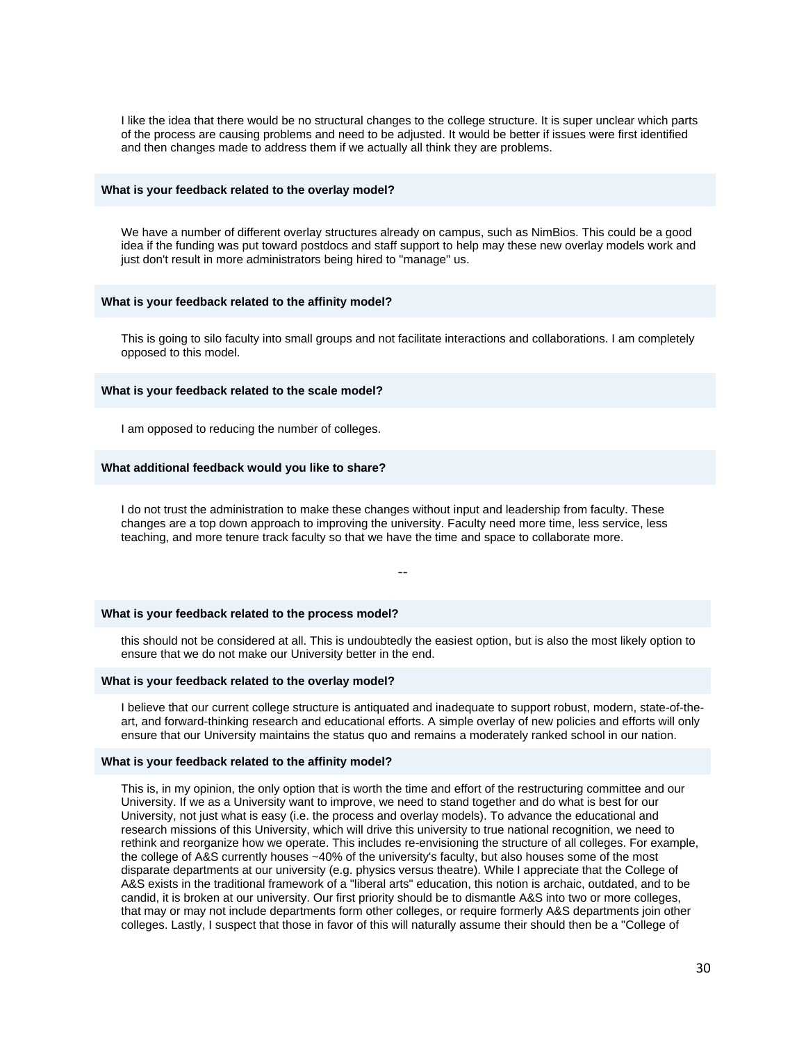I like the idea that there would be no structural changes to the college structure. It is super unclear which parts of the process are causing problems and need to be adjusted. It would be better if issues were first identified and then changes made to address them if we actually all think they are problems.

#### **What is your feedback related to the overlay model?**

We have a number of different overlay structures already on campus, such as NimBios. This could be a good idea if the funding was put toward postdocs and staff support to help may these new overlay models work and just don't result in more administrators being hired to "manage" us.

#### **What is your feedback related to the affinity model?**

This is going to silo faculty into small groups and not facilitate interactions and collaborations. I am completely opposed to this model.

#### **What is your feedback related to the scale model?**

I am opposed to reducing the number of colleges.

#### **What additional feedback would you like to share?**

I do not trust the administration to make these changes without input and leadership from faculty. These changes are a top down approach to improving the university. Faculty need more time, less service, less teaching, and more tenure track faculty so that we have the time and space to collaborate more.

--

#### **What is your feedback related to the process model?**

this should not be considered at all. This is undoubtedly the easiest option, but is also the most likely option to ensure that we do not make our University better in the end.

#### **What is your feedback related to the overlay model?**

I believe that our current college structure is antiquated and inadequate to support robust, modern, state-of-theart, and forward-thinking research and educational efforts. A simple overlay of new policies and efforts will only ensure that our University maintains the status quo and remains a moderately ranked school in our nation.

#### **What is your feedback related to the affinity model?**

This is, in my opinion, the only option that is worth the time and effort of the restructuring committee and our University. If we as a University want to improve, we need to stand together and do what is best for our University, not just what is easy (i.e. the process and overlay models). To advance the educational and research missions of this University, which will drive this university to true national recognition, we need to rethink and reorganize how we operate. This includes re-envisioning the structure of all colleges. For example, the college of A&S currently houses ~40% of the university's faculty, but also houses some of the most disparate departments at our university (e.g. physics versus theatre). While I appreciate that the College of A&S exists in the traditional framework of a "liberal arts" education, this notion is archaic, outdated, and to be candid, it is broken at our university. Our first priority should be to dismantle A&S into two or more colleges, that may or may not include departments form other colleges, or require formerly A&S departments join other colleges. Lastly, I suspect that those in favor of this will naturally assume their should then be a "College of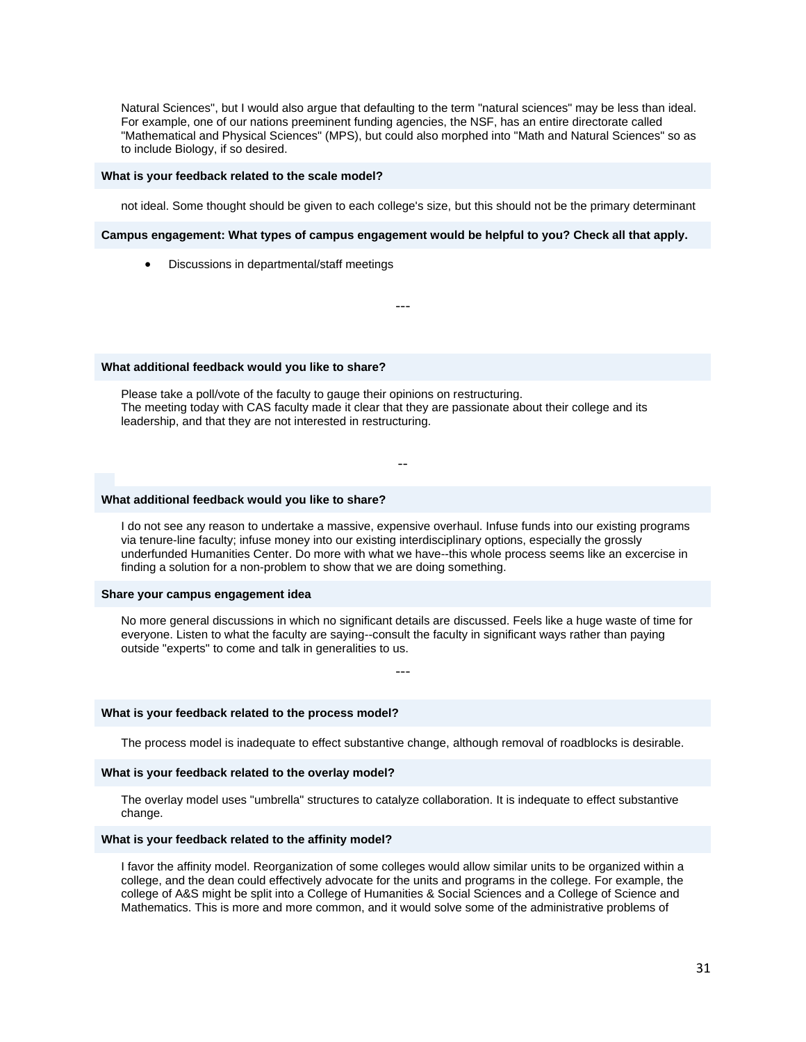Natural Sciences", but I would also argue that defaulting to the term "natural sciences" may be less than ideal. For example, one of our nations preeminent funding agencies, the NSF, has an entire directorate called "Mathematical and Physical Sciences" (MPS), but could also morphed into "Math and Natural Sciences" so as to include Biology, if so desired.

#### **What is your feedback related to the scale model?**

not ideal. Some thought should be given to each college's size, but this should not be the primary determinant

#### **Campus engagement: What types of campus engagement would be helpful to you? Check all that apply.**

---

• Discussions in departmental/staff meetings

#### **What additional feedback would you like to share?**

Please take a poll/vote of the faculty to gauge their opinions on restructuring. The meeting today with CAS faculty made it clear that they are passionate about their college and its leadership, and that they are not interested in restructuring.

#### **What additional feedback would you like to share?**

I do not see any reason to undertake a massive, expensive overhaul. Infuse funds into our existing programs via tenure-line faculty; infuse money into our existing interdisciplinary options, especially the grossly underfunded Humanities Center. Do more with what we have--this whole process seems like an excercise in finding a solution for a non-problem to show that we are doing something.

--

#### **Share your campus engagement idea**

No more general discussions in which no significant details are discussed. Feels like a huge waste of time for everyone. Listen to what the faculty are saying--consult the faculty in significant ways rather than paying outside "experts" to come and talk in generalities to us.

---

#### **What is your feedback related to the process model?**

The process model is inadequate to effect substantive change, although removal of roadblocks is desirable.

#### **What is your feedback related to the overlay model?**

The overlay model uses "umbrella" structures to catalyze collaboration. It is indequate to effect substantive change.

#### **What is your feedback related to the affinity model?**

I favor the affinity model. Reorganization of some colleges would allow similar units to be organized within a college, and the dean could effectively advocate for the units and programs in the college. For example, the college of A&S might be split into a College of Humanities & Social Sciences and a College of Science and Mathematics. This is more and more common, and it would solve some of the administrative problems of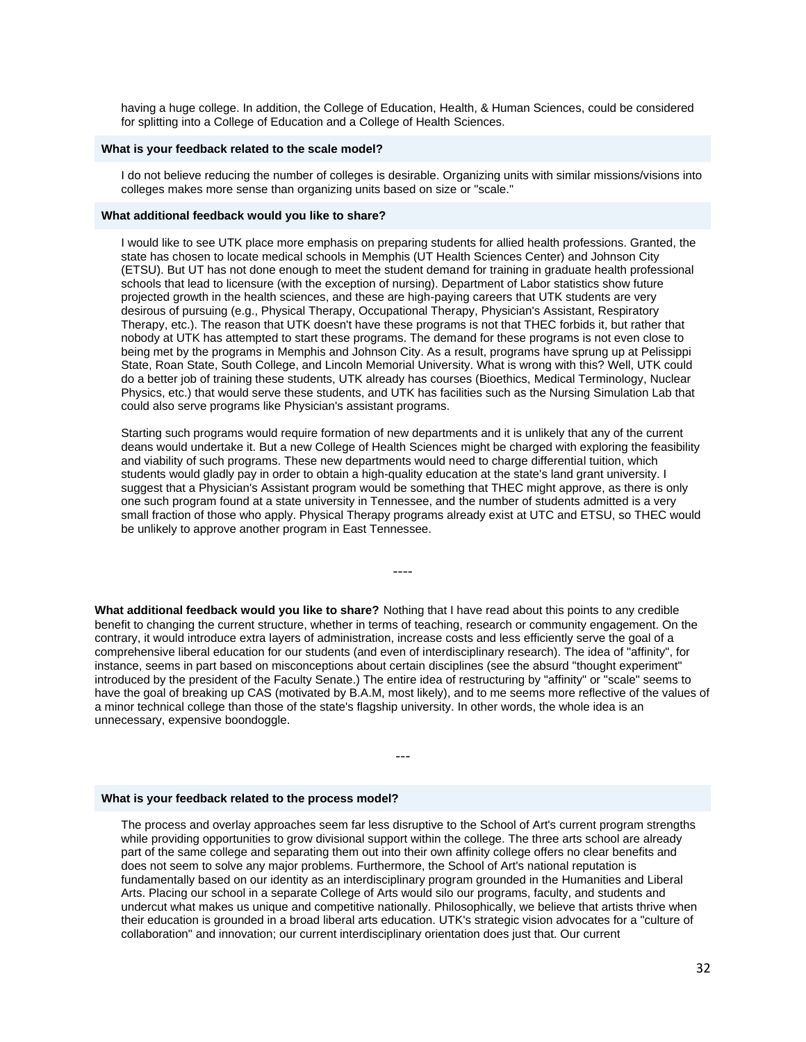having a huge college. In addition, the College of Education, Health, & Human Sciences, could be considered for splitting into a College of Education and a College of Health Sciences.

#### **What is your feedback related to the scale model?**

I do not believe reducing the number of colleges is desirable. Organizing units with similar missions/visions into colleges makes more sense than organizing units based on size or "scale."

#### **What additional feedback would you like to share?**

I would like to see UTK place more emphasis on preparing students for allied health professions. Granted, the state has chosen to locate medical schools in Memphis (UT Health Sciences Center) and Johnson City (ETSU). But UT has not done enough to meet the student demand for training in graduate health professional schools that lead to licensure (with the exception of nursing). Department of Labor statistics show future projected growth in the health sciences, and these are high-paying careers that UTK students are very desirous of pursuing (e.g., Physical Therapy, Occupational Therapy, Physician's Assistant, Respiratory Therapy, etc.). The reason that UTK doesn't have these programs is not that THEC forbids it, but rather that nobody at UTK has attempted to start these programs. The demand for these programs is not even close to being met by the programs in Memphis and Johnson City. As a result, programs have sprung up at Pelissippi State, Roan State, South College, and Lincoln Memorial University. What is wrong with this? Well, UTK could do a better job of training these students, UTK already has courses (Bioethics, Medical Terminology, Nuclear Physics, etc.) that would serve these students, and UTK has facilities such as the Nursing Simulation Lab that could also serve programs like Physician's assistant programs.

Starting such programs would require formation of new departments and it is unlikely that any of the current deans would undertake it. But a new College of Health Sciences might be charged with exploring the feasibility and viability of such programs. These new departments would need to charge differential tuition, which students would gladly pay in order to obtain a high-quality education at the state's land grant university. I suggest that a Physician's Assistant program would be something that THEC might approve, as there is only one such program found at a state university in Tennessee, and the number of students admitted is a very small fraction of those who apply. Physical Therapy programs already exist at UTC and ETSU, so THEC would be unlikely to approve another program in East Tennessee.

**What additional feedback would you like to share?** Nothing that I have read about this points to any credible benefit to changing the current structure, whether in terms of teaching, research or community engagement. On the contrary, it would introduce extra layers of administration, increase costs and less efficiently serve the goal of a comprehensive liberal education for our students (and even of interdisciplinary research). The idea of "affinity", for instance, seems in part based on misconceptions about certain disciplines (see the absurd "thought experiment" introduced by the president of the Faculty Senate.) The entire idea of restructuring by "affinity" or "scale" seems to have the goal of breaking up CAS (motivated by B.A.M, most likely), and to me seems more reflective of the values of a minor technical college than those of the state's flagship university. In other words, the whole idea is an unnecessary, expensive boondoggle.

---

----

#### **What is your feedback related to the process model?**

The process and overlay approaches seem far less disruptive to the School of Art's current program strengths while providing opportunities to grow divisional support within the college. The three arts school are already part of the same college and separating them out into their own affinity college offers no clear benefits and does not seem to solve any major problems. Furthermore, the School of Art's national reputation is fundamentally based on our identity as an interdisciplinary program grounded in the Humanities and Liberal Arts. Placing our school in a separate College of Arts would silo our programs, faculty, and students and undercut what makes us unique and competitive nationally. Philosophically, we believe that artists thrive when their education is grounded in a broad liberal arts education. UTK's strategic vision advocates for a "culture of collaboration" and innovation; our current interdisciplinary orientation does just that. Our current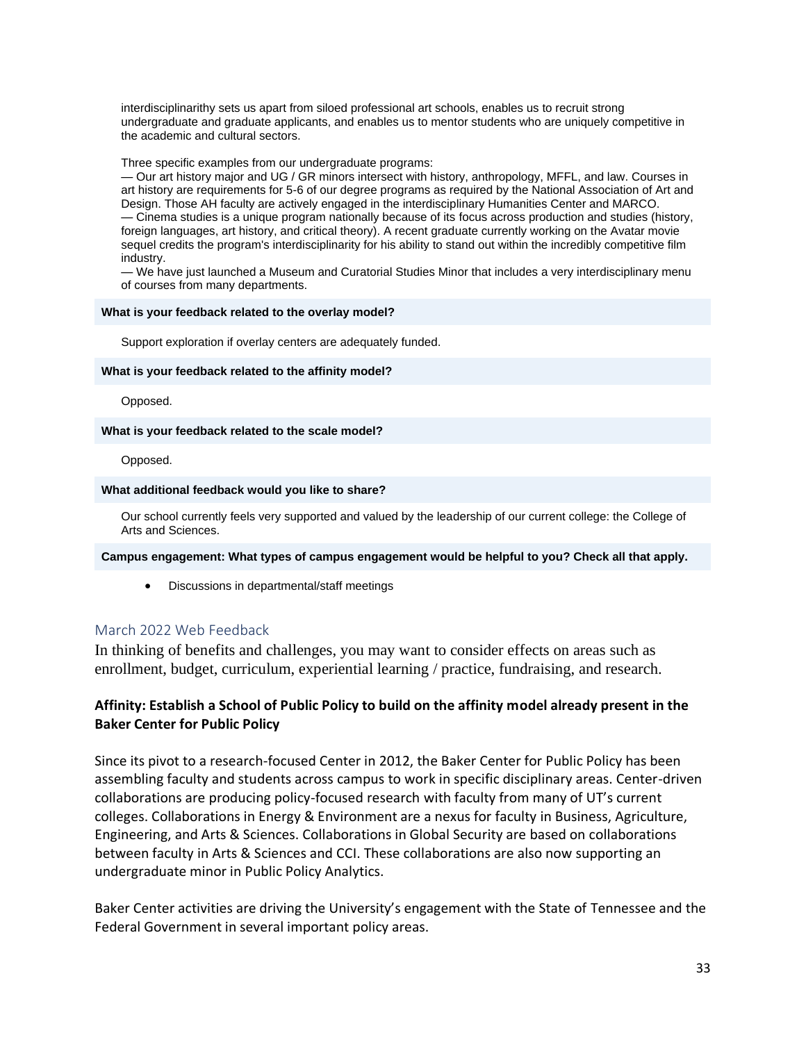interdisciplinarithy sets us apart from siloed professional art schools, enables us to recruit strong undergraduate and graduate applicants, and enables us to mentor students who are uniquely competitive in the academic and cultural sectors.

Three specific examples from our undergraduate programs:

— Our art history major and UG / GR minors intersect with history, anthropology, MFFL, and law. Courses in art history are requirements for 5-6 of our degree programs as required by the National Association of Art and Design. Those AH faculty are actively engaged in the interdisciplinary Humanities Center and MARCO. — Cinema studies is a unique program nationally because of its focus across production and studies (history, foreign languages, art history, and critical theory). A recent graduate currently working on the Avatar movie sequel credits the program's interdisciplinarity for his ability to stand out within the incredibly competitive film industry.

— We have just launched a Museum and Curatorial Studies Minor that includes a very interdisciplinary menu of courses from many departments.

#### **What is your feedback related to the overlay model?**

Support exploration if overlay centers are adequately funded.

#### **What is your feedback related to the affinity model?**

Opposed.

#### **What is your feedback related to the scale model?**

Opposed.

#### **What additional feedback would you like to share?**

Our school currently feels very supported and valued by the leadership of our current college: the College of Arts and Sciences.

#### **Campus engagement: What types of campus engagement would be helpful to you? Check all that apply.**

• Discussions in departmental/staff meetings

## March 2022 Web Feedback

In thinking of benefits and challenges, you may want to consider effects on areas such as enrollment, budget, curriculum, experiential learning / practice, fundraising, and research.

## **Affinity: Establish a School of Public Policy to build on the affinity model already present in the Baker Center for Public Policy**

Since its pivot to a research-focused Center in 2012, the Baker Center for Public Policy has been assembling faculty and students across campus to work in specific disciplinary areas. Center-driven collaborations are producing policy-focused research with faculty from many of UT's current colleges. Collaborations in Energy & Environment are a nexus for faculty in Business, Agriculture, Engineering, and Arts & Sciences. Collaborations in Global Security are based on collaborations between faculty in Arts & Sciences and CCI. These collaborations are also now supporting an undergraduate minor in Public Policy Analytics.

Baker Center activities are driving the University's engagement with the State of Tennessee and the Federal Government in several important policy areas.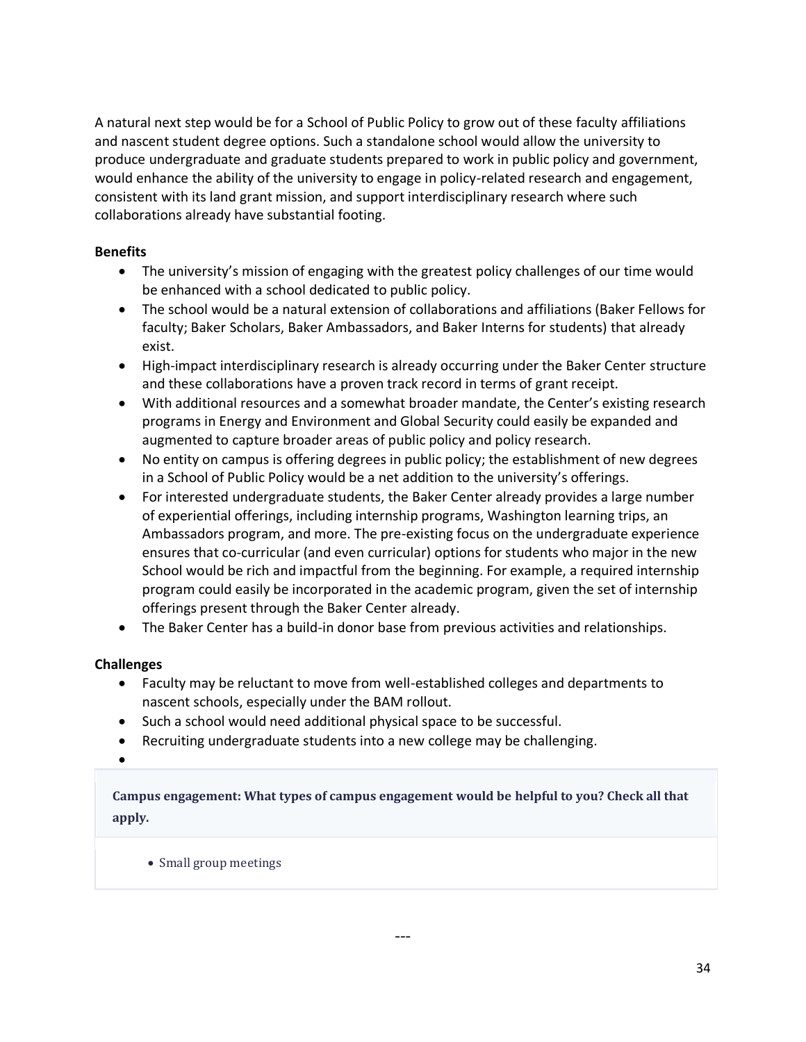A natural next step would be for a School of Public Policy to grow out of these faculty affiliations and nascent student degree options. Such a standalone school would allow the university to produce undergraduate and graduate students prepared to work in public policy and government, would enhance the ability of the university to engage in policy-related research and engagement, consistent with its land grant mission, and support interdisciplinary research where such collaborations already have substantial footing.

## **Benefits**

- The university's mission of engaging with the greatest policy challenges of our time would be enhanced with a school dedicated to public policy.
- The school would be a natural extension of collaborations and affiliations (Baker Fellows for faculty; Baker Scholars, Baker Ambassadors, and Baker Interns for students) that already exist.
- High-impact interdisciplinary research is already occurring under the Baker Center structure and these collaborations have a proven track record in terms of grant receipt.
- With additional resources and a somewhat broader mandate, the Center's existing research programs in Energy and Environment and Global Security could easily be expanded and augmented to capture broader areas of public policy and policy research.
- No entity on campus is offering degrees in public policy; the establishment of new degrees in a School of Public Policy would be a net addition to the university's offerings.
- For interested undergraduate students, the Baker Center already provides a large number of experiential offerings, including internship programs, Washington learning trips, an Ambassadors program, and more. The pre-existing focus on the undergraduate experience ensures that co-curricular (and even curricular) options for students who major in the new School would be rich and impactful from the beginning. For example, a required internship program could easily be incorporated in the academic program, given the set of internship offerings present through the Baker Center already.
- The Baker Center has a build-in donor base from previous activities and relationships.

## **Challenges**

- Faculty may be reluctant to move from well-established colleges and departments to nascent schools, especially under the BAM rollout.
- Such a school would need additional physical space to be successful.
- Recruiting undergraduate students into a new college may be challenging.
- •

**Campus engagement: What types of campus engagement would be helpful to you? Check all that apply.**

• Small group meetings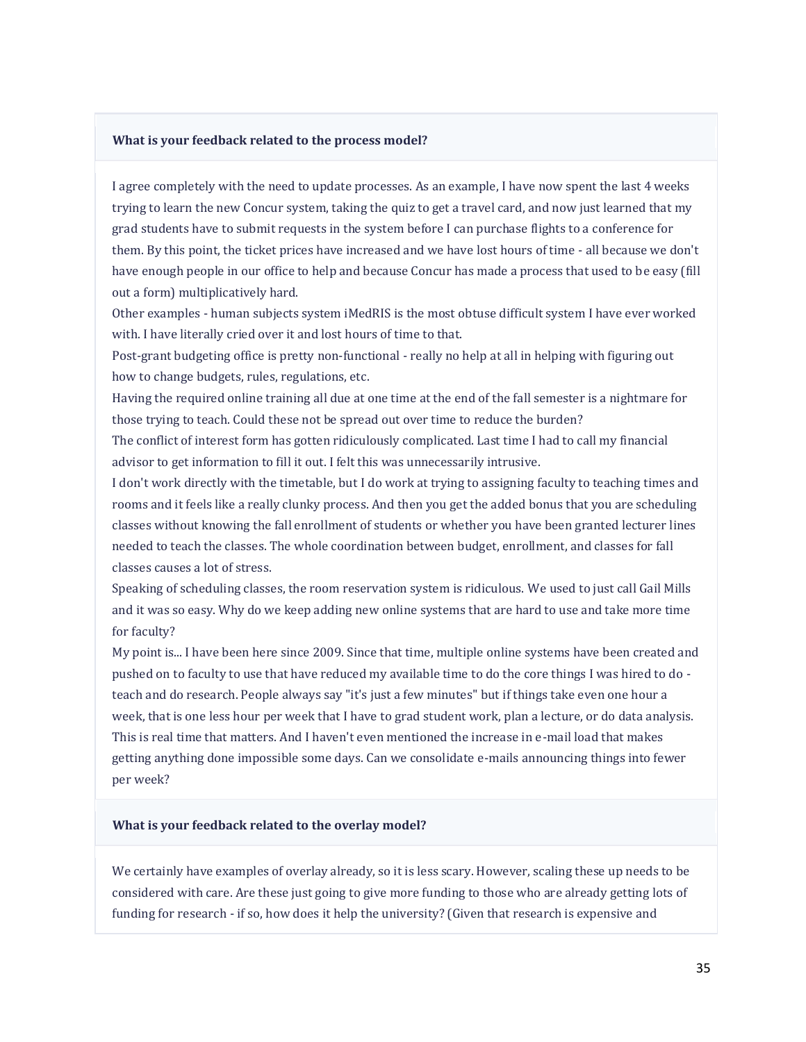#### **What is your feedback related to the process model?**

I agree completely with the need to update processes. As an example, I have now spent the last 4 weeks trying to learn the new Concur system, taking the quiz to get a travel card, and now just learned that my grad students have to submit requests in the system before I can purchase flights to a conference for them. By this point, the ticket prices have increased and we have lost hours of time - all because we don't have enough people in our office to help and because Concur has made a process that used to be easy (fill out a form) multiplicatively hard.

Other examples - human subjects system iMedRIS is the most obtuse difficult system I have ever worked with. I have literally cried over it and lost hours of time to that.

Post-grant budgeting office is pretty non-functional - really no help at all in helping with figuring out how to change budgets, rules, regulations, etc.

Having the required online training all due at one time at the end of the fall semester is a nightmare for those trying to teach. Could these not be spread out over time to reduce the burden?

The conflict of interest form has gotten ridiculously complicated. Last time I had to call my financial advisor to get information to fill it out. I felt this was unnecessarily intrusive.

I don't work directly with the timetable, but I do work at trying to assigning faculty to teaching times and rooms and it feels like a really clunky process. And then you get the added bonus that you are scheduling classes without knowing the fall enrollment of students or whether you have been granted lecturer lines needed to teach the classes. The whole coordination between budget, enrollment, and classes for fall classes causes a lot of stress.

Speaking of scheduling classes, the room reservation system is ridiculous. We used to just call Gail Mills and it was so easy. Why do we keep adding new online systems that are hard to use and take more time for faculty?

My point is... I have been here since 2009. Since that time, multiple online systems have been created and pushed on to faculty to use that have reduced my available time to do the core things I was hired to do teach and do research. People always say "it's just a few minutes" but if things take even one hour a week, that is one less hour per week that I have to grad student work, plan a lecture, or do data analysis. This is real time that matters. And I haven't even mentioned the increase in e-mail load that makes getting anything done impossible some days. Can we consolidate e-mails announcing things into fewer per week?

#### **What is your feedback related to the overlay model?**

We certainly have examples of overlay already, so it is less scary. However, scaling these up needs to be considered with care. Are these just going to give more funding to those who are already getting lots of funding for research - if so, how does it help the university? (Given that research is expensive and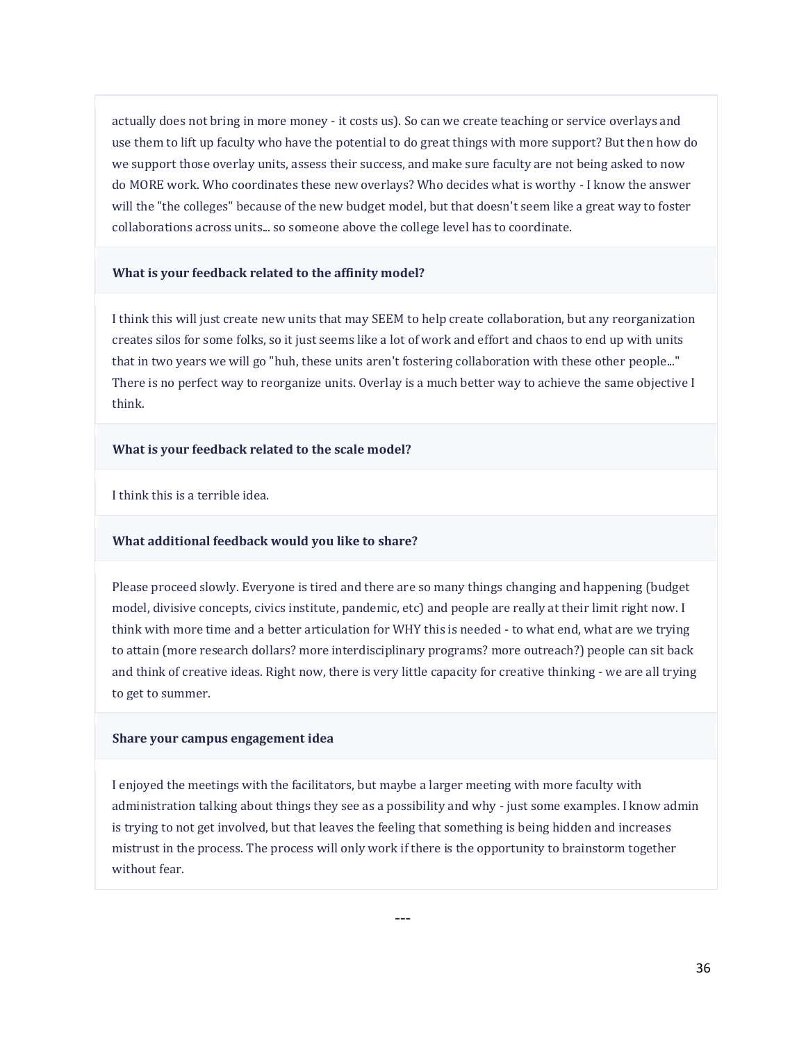actually does not bring in more money - it costs us). So can we create teaching or service overlays and use them to lift up faculty who have the potential to do great things with more support? But then how do we support those overlay units, assess their success, and make sure faculty are not being asked to now do MORE work. Who coordinates these new overlays? Who decides what is worthy - I know the answer will the "the colleges" because of the new budget model, but that doesn't seem like a great way to foster collaborations across units... so someone above the college level has to coordinate.

#### **What is your feedback related to the affinity model?**

I think this will just create new units that may SEEM to help create collaboration, but any reorganization creates silos for some folks, so it just seems like a lot of work and effort and chaos to end up with units that in two years we will go "huh, these units aren't fostering collaboration with these other people..." There is no perfect way to reorganize units. Overlay is a much better way to achieve the same objective I think.

#### **What is your feedback related to the scale model?**

I think this is a terrible idea.

#### **What additional feedback would you like to share?**

Please proceed slowly. Everyone is tired and there are so many things changing and happening (budget model, divisive concepts, civics institute, pandemic, etc) and people are really at their limit right now. I think with more time and a better articulation for WHY this is needed - to what end, what are we trying to attain (more research dollars? more interdisciplinary programs? more outreach?) people can sit back and think of creative ideas. Right now, there is very little capacity for creative thinking - we are all trying to get to summer.

#### **Share your campus engagement idea**

I enjoyed the meetings with the facilitators, but maybe a larger meeting with more faculty with administration talking about things they see as a possibility and why - just some examples. I know admin is trying to not get involved, but that leaves the feeling that something is being hidden and increases mistrust in the process. The process will only work if there is the opportunity to brainstorm together without fear.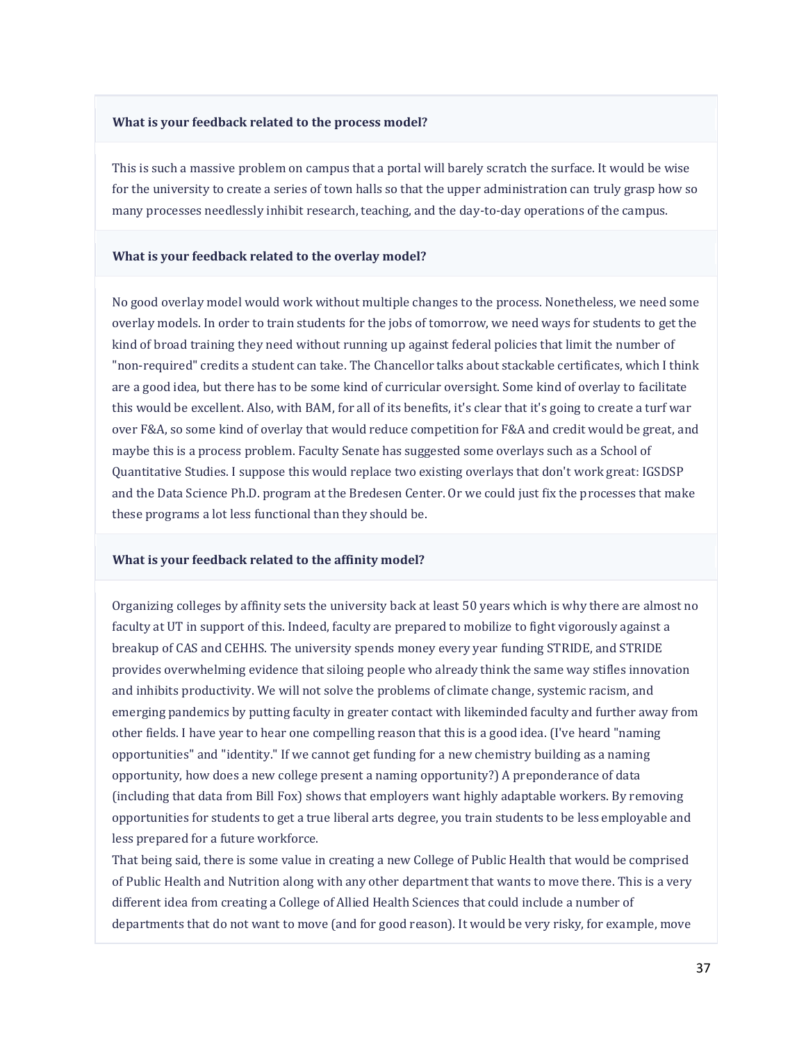#### **What is your feedback related to the process model?**

This is such a massive problem on campus that a portal will barely scratch the surface. It would be wise for the university to create a series of town halls so that the upper administration can truly grasp how so many processes needlessly inhibit research, teaching, and the day-to-day operations of the campus.

#### **What is your feedback related to the overlay model?**

No good overlay model would work without multiple changes to the process. Nonetheless, we need some overlay models. In order to train students for the jobs of tomorrow, we need ways for students to get the kind of broad training they need without running up against federal policies that limit the number of "non-required" credits a student can take. The Chancellor talks about stackable certificates, which I think are a good idea, but there has to be some kind of curricular oversight. Some kind of overlay to facilitate this would be excellent. Also, with BAM, for all of its benefits, it's clear that it's going to create a turf war over F&A, so some kind of overlay that would reduce competition for F&A and credit would be great, and maybe this is a process problem. Faculty Senate has suggested some overlays such as a School of Quantitative Studies. I suppose this would replace two existing overlays that don't work great: IGSDSP and the Data Science Ph.D. program at the Bredesen Center. Or we could just fix the processes that make these programs a lot less functional than they should be.

#### **What is your feedback related to the affinity model?**

Organizing colleges by affinity sets the university back at least 50 years which is why there are almost no faculty at UT in support of this. Indeed, faculty are prepared to mobilize to fight vigorously against a breakup of CAS and CEHHS. The university spends money every year funding STRIDE, and STRIDE provides overwhelming evidence that siloing people who already think the same way stifles innovation and inhibits productivity. We will not solve the problems of climate change, systemic racism, and emerging pandemics by putting faculty in greater contact with likeminded faculty and further away from other fields. I have year to hear one compelling reason that this is a good idea. (I've heard "naming opportunities" and "identity." If we cannot get funding for a new chemistry building as a naming opportunity, how does a new college present a naming opportunity?) A preponderance of data (including that data from Bill Fox) shows that employers want highly adaptable workers. By removing opportunities for students to get a true liberal arts degree, you train students to be less employable and less prepared for a future workforce.

That being said, there is some value in creating a new College of Public Health that would be comprised of Public Health and Nutrition along with any other department that wants to move there. This is a very different idea from creating a College of Allied Health Sciences that could include a number of departments that do not want to move (and for good reason). It would be very risky, for example, move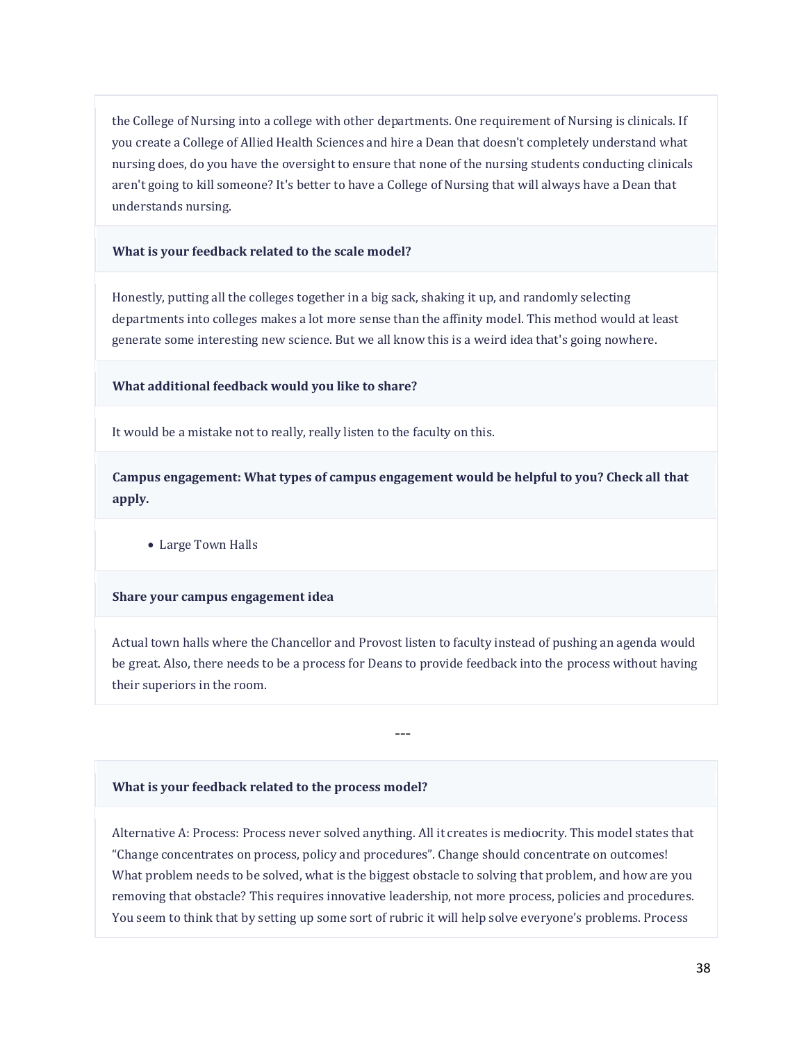the College of Nursing into a college with other departments. One requirement of Nursing is clinicals. If you create a College of Allied Health Sciences and hire a Dean that doesn't completely understand what nursing does, do you have the oversight to ensure that none of the nursing students conducting clinicals aren't going to kill someone? It's better to have a College of Nursing that will always have a Dean that understands nursing.

#### **What is your feedback related to the scale model?**

Honestly, putting all the colleges together in a big sack, shaking it up, and randomly selecting departments into colleges makes a lot more sense than the affinity model. This method would at least generate some interesting new science. But we all know this is a weird idea that's going nowhere.

## **What additional feedback would you like to share?**

It would be a mistake not to really, really listen to the faculty on this.

**Campus engagement: What types of campus engagement would be helpful to you? Check all that apply.**

• Large Town Halls

#### **Share your campus engagement idea**

Actual town halls where the Chancellor and Provost listen to faculty instead of pushing an agenda would be great. Also, there needs to be a process for Deans to provide feedback into the process without having their superiors in the room.

---

#### **What is your feedback related to the process model?**

Alternative A: Process: Process never solved anything. All it creates is mediocrity. This model states that "Change concentrates on process, policy and procedures". Change should concentrate on outcomes! What problem needs to be solved, what is the biggest obstacle to solving that problem, and how are you removing that obstacle? This requires innovative leadership, not more process, policies and procedures. You seem to think that by setting up some sort of rubric it will help solve everyone's problems. Process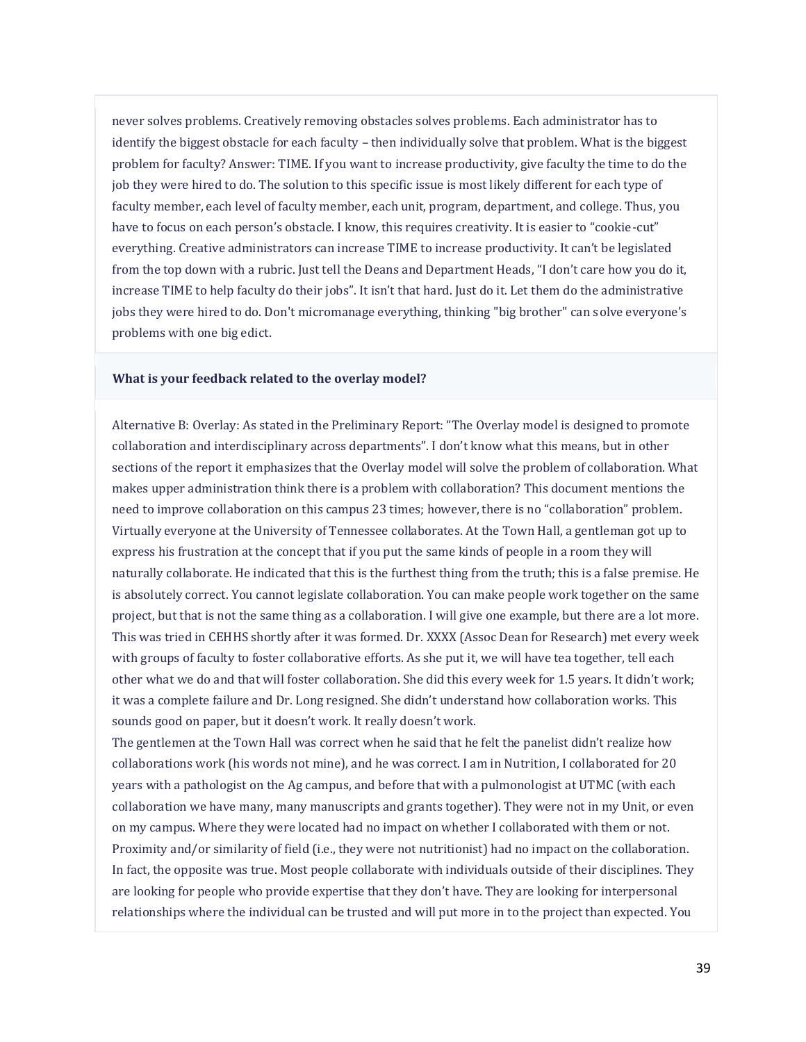never solves problems. Creatively removing obstacles solves problems. Each administrator has to identify the biggest obstacle for each faculty – then individually solve that problem. What is the biggest problem for faculty? Answer: TIME. If you want to increase productivity, give faculty the time to do the job they were hired to do. The solution to this specific issue is most likely different for each type of faculty member, each level of faculty member, each unit, program, department, and college. Thus, you have to focus on each person's obstacle. I know, this requires creativity. It is easier to "cookie-cut" everything. Creative administrators can increase TIME to increase productivity. It can't be legislated from the top down with a rubric. Just tell the Deans and Department Heads, "I don't care how you do it, increase TIME to help faculty do their jobs". It isn't that hard. Just do it. Let them do the administrative jobs they were hired to do. Don't micromanage everything, thinking "big brother" can solve everyone's problems with one big edict.

### **What is your feedback related to the overlay model?**

Alternative B: Overlay: As stated in the Preliminary Report: "The Overlay model is designed to promote collaboration and interdisciplinary across departments". I don't know what this means, but in other sections of the report it emphasizes that the Overlay model will solve the problem of collaboration. What makes upper administration think there is a problem with collaboration? This document mentions the need to improve collaboration on this campus 23 times; however, there is no "collaboration" problem. Virtually everyone at the University of Tennessee collaborates. At the Town Hall, a gentleman got up to express his frustration at the concept that if you put the same kinds of people in a room they will naturally collaborate. He indicated that this is the furthest thing from the truth; this is a false premise. He is absolutely correct. You cannot legislate collaboration. You can make people work together on the same project, but that is not the same thing as a collaboration. I will give one example, but there are a lot more. This was tried in CEHHS shortly after it was formed. Dr. XXXX (Assoc Dean for Research) met every week with groups of faculty to foster collaborative efforts. As she put it, we will have tea together, tell each other what we do and that will foster collaboration. She did this every week for 1.5 years. It didn't work; it was a complete failure and Dr. Long resigned. She didn't understand how collaboration works. This sounds good on paper, but it doesn't work. It really doesn't work.

The gentlemen at the Town Hall was correct when he said that he felt the panelist didn't realize how collaborations work (his words not mine), and he was correct. I am in Nutrition, I collaborated for 20 years with a pathologist on the Ag campus, and before that with a pulmonologist at UTMC (with each collaboration we have many, many manuscripts and grants together). They were not in my Unit, or even on my campus. Where they were located had no impact on whether I collaborated with them or not. Proximity and/or similarity of field (i.e., they were not nutritionist) had no impact on the collaboration. In fact, the opposite was true. Most people collaborate with individuals outside of their disciplines. They are looking for people who provide expertise that they don't have. They are looking for interpersonal relationships where the individual can be trusted and will put more in to the project than expected. You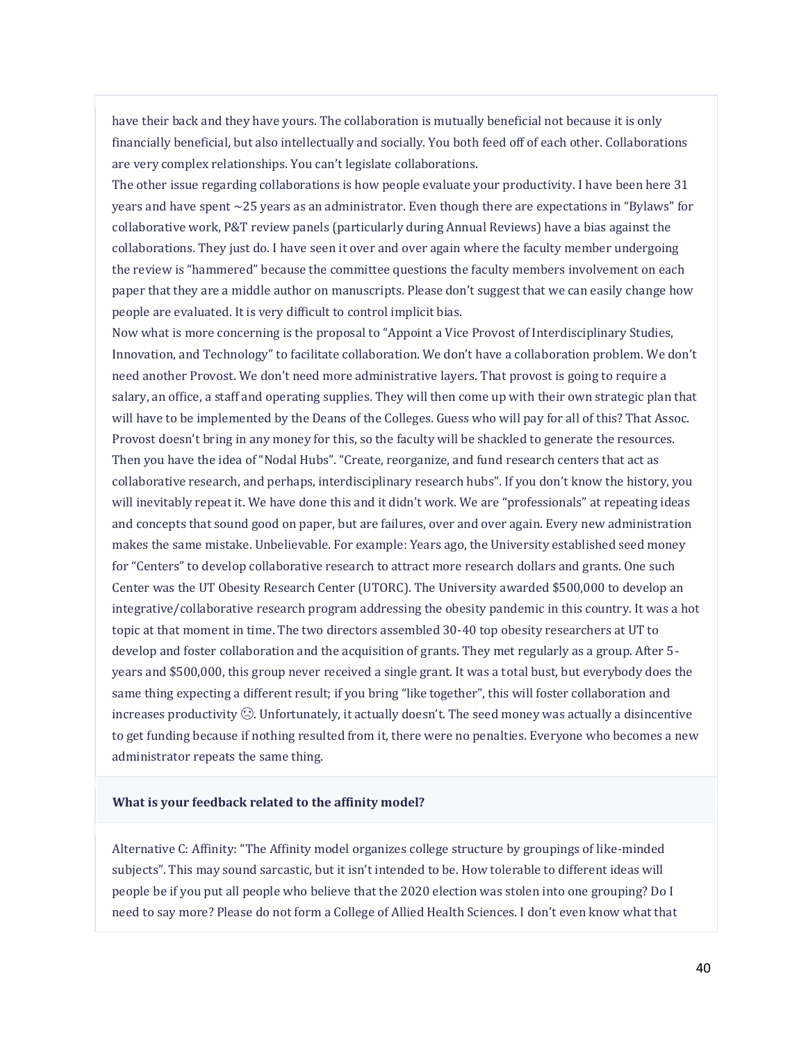have their back and they have yours. The collaboration is mutually beneficial not because it is only financially beneficial, but also intellectually and socially. You both feed off of each other. Collaborations are very complex relationships. You can't legislate collaborations.

The other issue regarding collaborations is how people evaluate your productivity. I have been here 31 years and have spent ~25 years as an administrator. Even though there are expectations in "Bylaws" for collaborative work, P&T review panels (particularly during Annual Reviews) have a bias against the collaborations. They just do. I have seen it over and over again where the faculty member undergoing the review is "hammered" because the committee questions the faculty members involvement on each paper that they are a middle author on manuscripts. Please don't suggest that we can easily change how people are evaluated. It is very difficult to control implicit bias.

Now what is more concerning is the proposal to "Appoint a Vice Provost of Interdisciplinary Studies, Innovation, and Technology" to facilitate collaboration. We don't have a collaboration problem. We don't need another Provost. We don't need more administrative layers. That provost is going to require a salary, an office, a staff and operating supplies. They will then come up with their own strategic plan that will have to be implemented by the Deans of the Colleges. Guess who will pay for all of this? That Assoc. Provost doesn't bring in any money for this, so the faculty will be shackled to generate the resources. Then you have the idea of "Nodal Hubs". "Create, reorganize, and fund research centers that act as collaborative research, and perhaps, interdisciplinary research hubs". If you don't know the history, you will inevitably repeat it. We have done this and it didn't work. We are "professionals" at repeating ideas and concepts that sound good on paper, but are failures, over and over again. Every new administration makes the same mistake. Unbelievable. For example: Years ago, the University established seed money for "Centers" to develop collaborative research to attract more research dollars and grants. One such Center was the UT Obesity Research Center (UTORC). The University awarded \$500,000 to develop an integrative/collaborative research program addressing the obesity pandemic in this country. It was a hot topic at that moment in time. The two directors assembled 30-40 top obesity researchers at UT to develop and foster collaboration and the acquisition of grants. They met regularly as a group. After 5 years and \$500,000, this group never received a single grant. It was a total bust, but everybody does the same thing expecting a different result; if you bring "like together", this will foster collaboration and increases productivity ☹. Unfortunately, it actually doesn't. The seed money was actually a disincentive to get funding because if nothing resulted from it, there were no penalties. Everyone who becomes a new administrator repeats the same thing.

#### **What is your feedback related to the affinity model?**

Alternative C: Affinity: "The Affinity model organizes college structure by groupings of like-minded subjects". This may sound sarcastic, but it isn't intended to be. How tolerable to different ideas will people be if you put all people who believe that the 2020 election was stolen into one grouping? Do I need to say more? Please do not form a College of Allied Health Sciences. I don't even know what that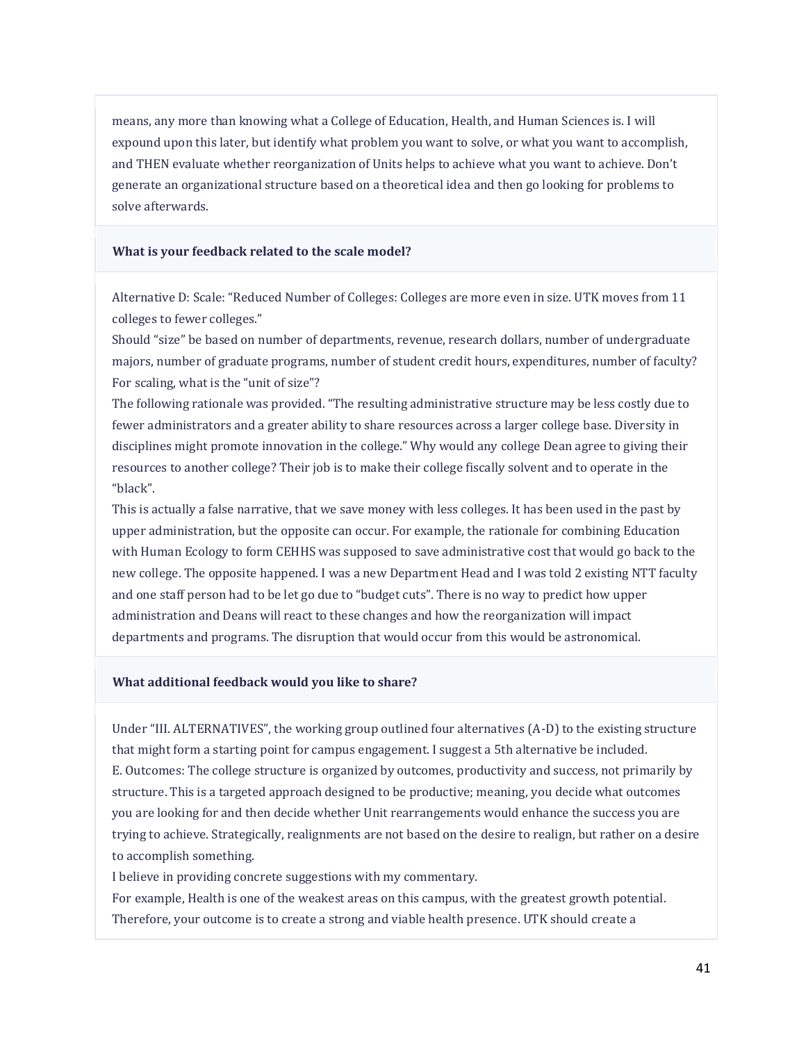means, any more than knowing what a College of Education, Health, and Human Sciences is. I will expound upon this later, but identify what problem you want to solve, or what you want to accomplish, and THEN evaluate whether reorganization of Units helps to achieve what you want to achieve. Don't generate an organizational structure based on a theoretical idea and then go looking for problems to solve afterwards.

#### **What is your feedback related to the scale model?**

Alternative D: Scale: "Reduced Number of Colleges: Colleges are more even in size. UTK moves from 11 colleges to fewer colleges."

Should "size" be based on number of departments, revenue, research dollars, number of undergraduate majors, number of graduate programs, number of student credit hours, expenditures, number of faculty? For scaling, what is the "unit of size"?

The following rationale was provided. "The resulting administrative structure may be less costly due to fewer administrators and a greater ability to share resources across a larger college base. Diversity in disciplines might promote innovation in the college." Why would any college Dean agree to giving their resources to another college? Their job is to make their college fiscally solvent and to operate in the "black".

This is actually a false narrative, that we save money with less colleges. It has been used in the past by upper administration, but the opposite can occur. For example, the rationale for combining Education with Human Ecology to form CEHHS was supposed to save administrative cost that would go back to the new college. The opposite happened. I was a new Department Head and I was told 2 existing NTT faculty and one staff person had to be let go due to "budget cuts". There is no way to predict how upper administration and Deans will react to these changes and how the reorganization will impact departments and programs. The disruption that would occur from this would be astronomical.

#### **What additional feedback would you like to share?**

Under "III. ALTERNATIVES", the working group outlined four alternatives (A-D) to the existing structure that might form a starting point for campus engagement. I suggest a 5th alternative be included. E. Outcomes: The college structure is organized by outcomes, productivity and success, not primarily by structure. This is a targeted approach designed to be productive; meaning, you decide what outcomes you are looking for and then decide whether Unit rearrangements would enhance the success you are trying to achieve. Strategically, realignments are not based on the desire to realign, but rather on a desire to accomplish something.

I believe in providing concrete suggestions with my commentary.

For example, Health is one of the weakest areas on this campus, with the greatest growth potential. Therefore, your outcome is to create a strong and viable health presence. UTK should create a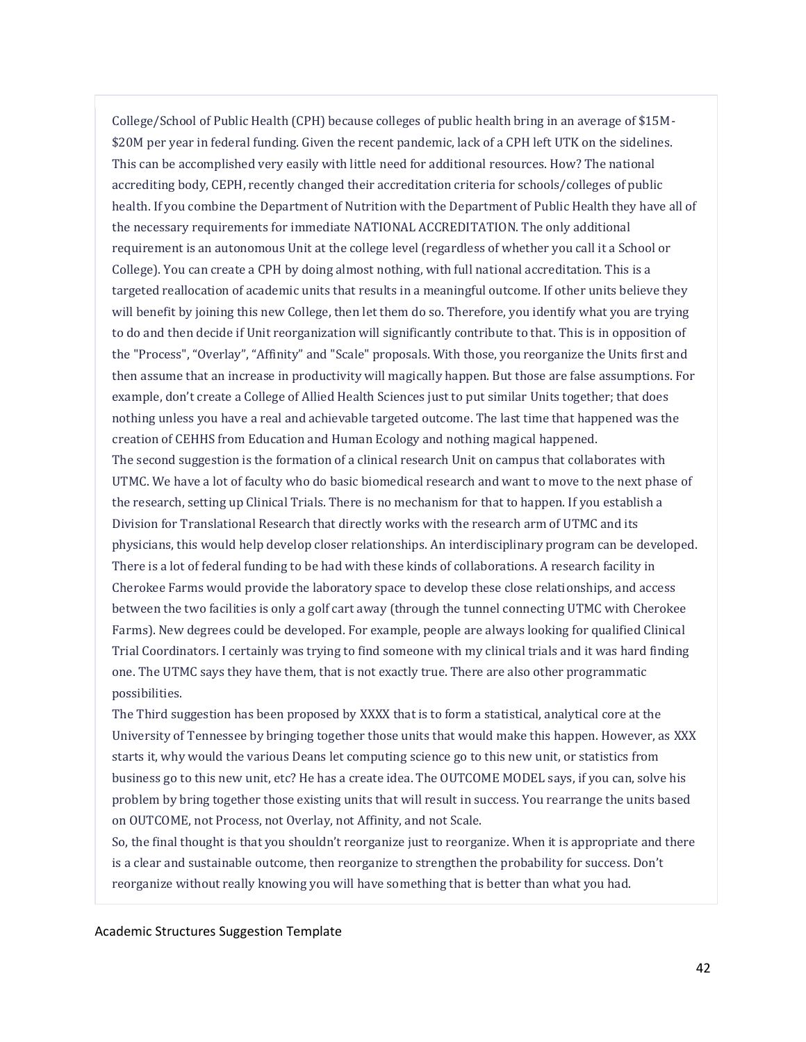College/School of Public Health (CPH) because colleges of public health bring in an average of \$15M- \$20M per year in federal funding. Given the recent pandemic, lack of a CPH left UTK on the sidelines. This can be accomplished very easily with little need for additional resources. How? The national accrediting body, CEPH, recently changed their accreditation criteria for schools/colleges of public health. If you combine the Department of Nutrition with the Department of Public Health they have all of the necessary requirements for immediate NATIONAL ACCREDITATION. The only additional requirement is an autonomous Unit at the college level (regardless of whether you call it a School or College). You can create a CPH by doing almost nothing, with full national accreditation. This is a targeted reallocation of academic units that results in a meaningful outcome. If other units believe they will benefit by joining this new College, then let them do so. Therefore, you identify what you are trying to do and then decide if Unit reorganization will significantly contribute to that. This is in opposition of the "Process", "Overlay", "Affinity" and "Scale" proposals. With those, you reorganize the Units first and then assume that an increase in productivity will magically happen. But those are false assumptions. For example, don't create a College of Allied Health Sciences just to put similar Units together; that does nothing unless you have a real and achievable targeted outcome. The last time that happened was the creation of CEHHS from Education and Human Ecology and nothing magical happened. The second suggestion is the formation of a clinical research Unit on campus that collaborates with UTMC. We have a lot of faculty who do basic biomedical research and want to move to the next phase of the research, setting up Clinical Trials. There is no mechanism for that to happen. If you establish a Division for Translational Research that directly works with the research arm of UTMC and its physicians, this would help develop closer relationships. An interdisciplinary program can be developed. There is a lot of federal funding to be had with these kinds of collaborations. A research facility in

Cherokee Farms would provide the laboratory space to develop these close relationships, and access between the two facilities is only a golf cart away (through the tunnel connecting UTMC with Cherokee Farms). New degrees could be developed. For example, people are always looking for qualified Clinical Trial Coordinators. I certainly was trying to find someone with my clinical trials and it was hard finding one. The UTMC says they have them, that is not exactly true. There are also other programmatic possibilities.

The Third suggestion has been proposed by XXXX that is to form a statistical, analytical core at the University of Tennessee by bringing together those units that would make this happen. However, as XXX starts it, why would the various Deans let computing science go to this new unit, or statistics from business go to this new unit, etc? He has a create idea. The OUTCOME MODEL says, if you can, solve his problem by bring together those existing units that will result in success. You rearrange the units based on OUTCOME, not Process, not Overlay, not Affinity, and not Scale.

So, the final thought is that you shouldn't reorganize just to reorganize. When it is appropriate and there is a clear and sustainable outcome, then reorganize to strengthen the probability for success. Don't reorganize without really knowing you will have something that is better than what you had.

Academic Structures Suggestion Template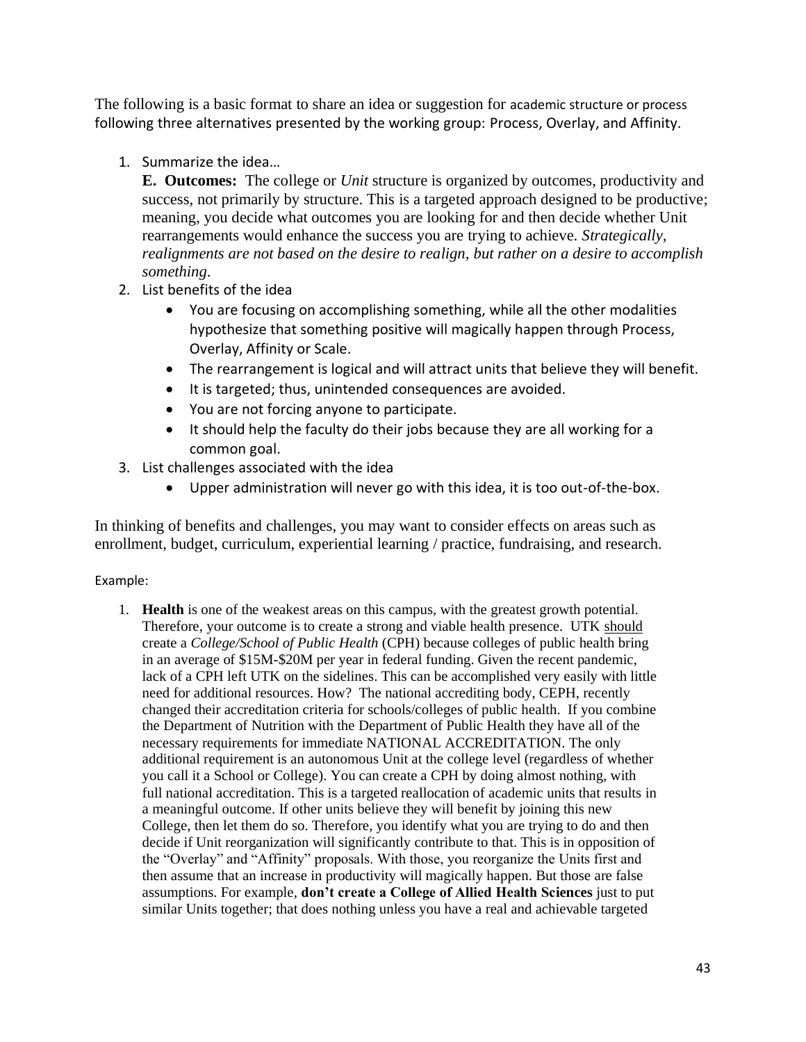The following is a basic format to share an idea or suggestion for academic structure or process following three alternatives presented by the working group: Process, Overlay, and Affinity.

1. Summarize the idea…

**E. Outcomes:** The college or *Unit* structure is organized by outcomes, productivity and success, not primarily by structure. This is a targeted approach designed to be productive; meaning, you decide what outcomes you are looking for and then decide whether Unit rearrangements would enhance the success you are trying to achieve. *Strategically, realignments are not based on the desire to realign, but rather on a desire to accomplish something*.

- 2. List benefits of the idea
	- You are focusing on accomplishing something, while all the other modalities hypothesize that something positive will magically happen through Process, Overlay, Affinity or Scale.
	- The rearrangement is logical and will attract units that believe they will benefit.
	- It is targeted; thus, unintended consequences are avoided.
	- You are not forcing anyone to participate.
	- It should help the faculty do their jobs because they are all working for a common goal.
- 3. List challenges associated with the idea
	- Upper administration will never go with this idea, it is too out-of-the-box.

In thinking of benefits and challenges, you may want to consider effects on areas such as enrollment, budget, curriculum, experiential learning / practice, fundraising, and research.

## Example:

1. **Health** is one of the weakest areas on this campus, with the greatest growth potential. Therefore, your outcome is to create a strong and viable health presence. UTK should create a *College/School of Public Health* (CPH) because colleges of public health bring in an average of \$15M-\$20M per year in federal funding. Given the recent pandemic, lack of a CPH left UTK on the sidelines. This can be accomplished very easily with little need for additional resources. How? The national accrediting body, CEPH, recently changed their accreditation criteria for schools/colleges of public health. If you combine the Department of Nutrition with the Department of Public Health they have all of the necessary requirements for immediate NATIONAL ACCREDITATION. The only additional requirement is an autonomous Unit at the college level (regardless of whether you call it a School or College). You can create a CPH by doing almost nothing, with full national accreditation. This is a targeted reallocation of academic units that results in a meaningful outcome. If other units believe they will benefit by joining this new College, then let them do so. Therefore, you identify what you are trying to do and then decide if Unit reorganization will significantly contribute to that. This is in opposition of the "Overlay" and "Affinity" proposals. With those, you reorganize the Units first and then assume that an increase in productivity will magically happen. But those are false assumptions. For example, **don't create a College of Allied Health Sciences** just to put similar Units together; that does nothing unless you have a real and achievable targeted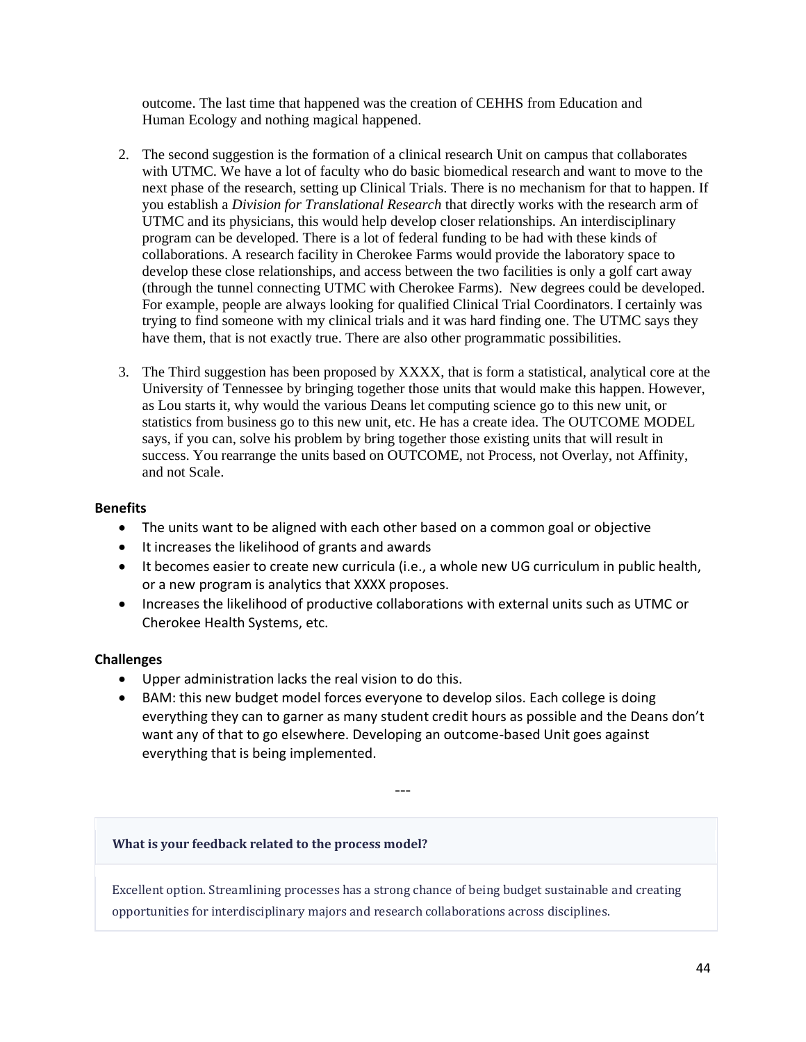outcome. The last time that happened was the creation of CEHHS from Education and Human Ecology and nothing magical happened.

- 2. The second suggestion is the formation of a clinical research Unit on campus that collaborates with UTMC. We have a lot of faculty who do basic biomedical research and want to move to the next phase of the research, setting up Clinical Trials. There is no mechanism for that to happen. If you establish a *Division for Translational Research* that directly works with the research arm of UTMC and its physicians, this would help develop closer relationships. An interdisciplinary program can be developed. There is a lot of federal funding to be had with these kinds of collaborations. A research facility in Cherokee Farms would provide the laboratory space to develop these close relationships, and access between the two facilities is only a golf cart away (through the tunnel connecting UTMC with Cherokee Farms). New degrees could be developed. For example, people are always looking for qualified Clinical Trial Coordinators. I certainly was trying to find someone with my clinical trials and it was hard finding one. The UTMC says they have them, that is not exactly true. There are also other programmatic possibilities.
- 3. The Third suggestion has been proposed by XXXX, that is form a statistical, analytical core at the University of Tennessee by bringing together those units that would make this happen. However, as Lou starts it, why would the various Deans let computing science go to this new unit, or statistics from business go to this new unit, etc. He has a create idea. The OUTCOME MODEL says, if you can, solve his problem by bring together those existing units that will result in success. You rearrange the units based on OUTCOME, not Process, not Overlay, not Affinity, and not Scale.

## **Benefits**

- The units want to be aligned with each other based on a common goal or objective
- It increases the likelihood of grants and awards
- It becomes easier to create new curricula (i.e., a whole new UG curriculum in public health, or a new program is analytics that XXXX proposes.
- Increases the likelihood of productive collaborations with external units such as UTMC or Cherokee Health Systems, etc.

## **Challenges**

- Upper administration lacks the real vision to do this.
- BAM: this new budget model forces everyone to develop silos. Each college is doing everything they can to garner as many student credit hours as possible and the Deans don't want any of that to go elsewhere. Developing an outcome-based Unit goes against everything that is being implemented.

---

## **What is your feedback related to the process model?**

Excellent option. Streamlining processes has a strong chance of being budget sustainable and creating opportunities for interdisciplinary majors and research collaborations across disciplines.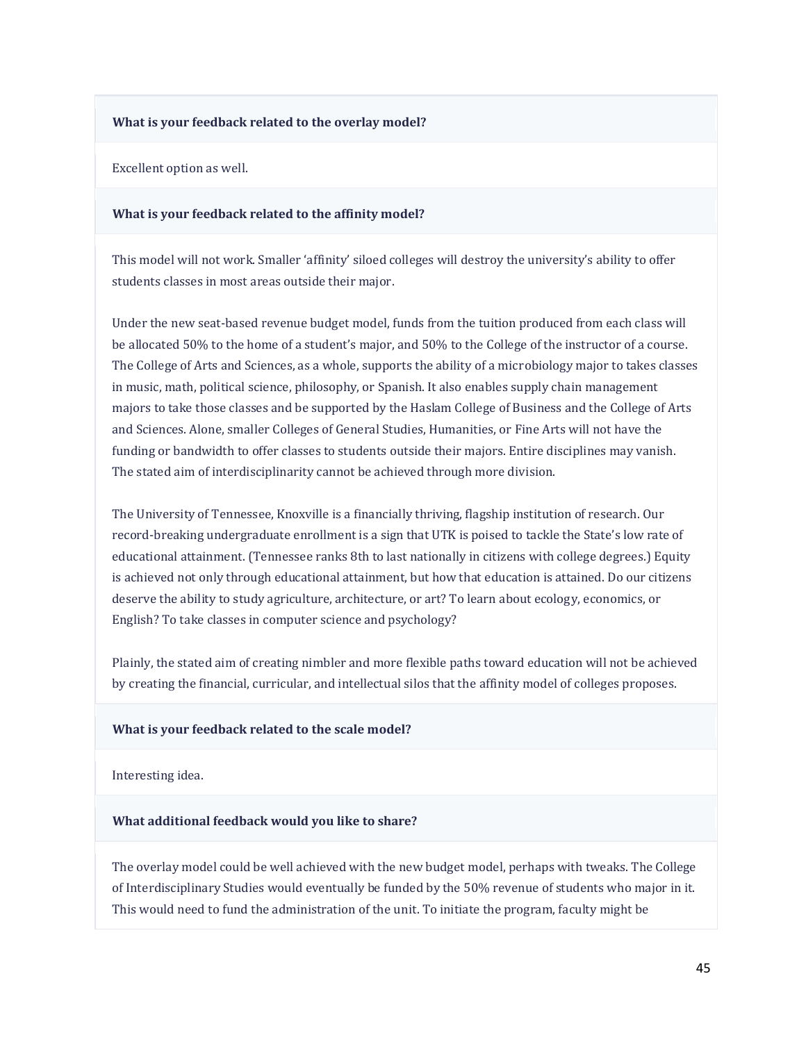#### **What is your feedback related to the overlay model?**

Excellent option as well.

#### **What is your feedback related to the affinity model?**

This model will not work. Smaller 'affinity' siloed colleges will destroy the university's ability to offer students classes in most areas outside their major.

Under the new seat-based revenue budget model, funds from the tuition produced from each class will be allocated 50% to the home of a student's major, and 50% to the College of the instructor of a course. The College of Arts and Sciences, as a whole, supports the ability of a microbiology major to takes classes in music, math, political science, philosophy, or Spanish. It also enables supply chain management majors to take those classes and be supported by the Haslam College of Business and the College of Arts and Sciences. Alone, smaller Colleges of General Studies, Humanities, or Fine Arts will not have the funding or bandwidth to offer classes to students outside their majors. Entire disciplines may vanish. The stated aim of interdisciplinarity cannot be achieved through more division.

The University of Tennessee, Knoxville is a financially thriving, flagship institution of research. Our record-breaking undergraduate enrollment is a sign that UTK is poised to tackle the State's low rate of educational attainment. (Tennessee ranks 8th to last nationally in citizens with college degrees.) Equity is achieved not only through educational attainment, but how that education is attained. Do our citizens deserve the ability to study agriculture, architecture, or art? To learn about ecology, economics, or English? To take classes in computer science and psychology?

Plainly, the stated aim of creating nimbler and more flexible paths toward education will not be achieved by creating the financial, curricular, and intellectual silos that the affinity model of colleges proposes.

#### **What is your feedback related to the scale model?**

Interesting idea.

#### **What additional feedback would you like to share?**

The overlay model could be well achieved with the new budget model, perhaps with tweaks. The College of Interdisciplinary Studies would eventually be funded by the 50% revenue of students who major in it. This would need to fund the administration of the unit. To initiate the program, faculty might be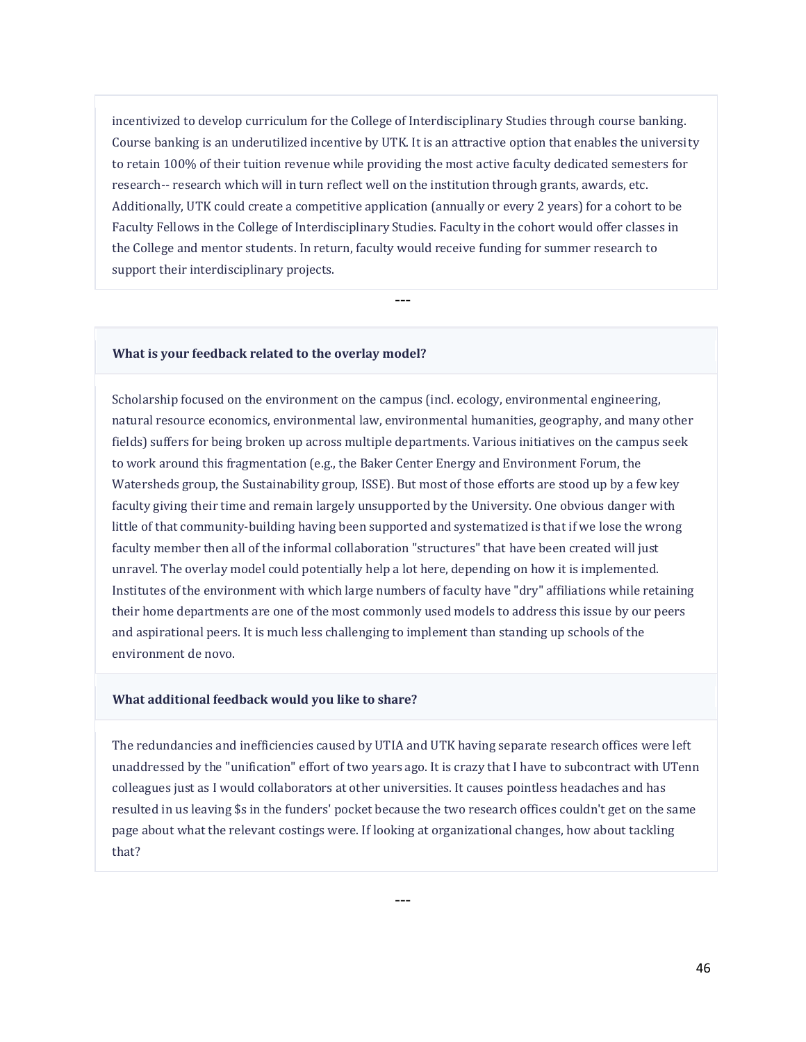incentivized to develop curriculum for the College of Interdisciplinary Studies through course banking. Course banking is an underutilized incentive by UTK. It is an attractive option that enables the university to retain 100% of their tuition revenue while providing the most active faculty dedicated semesters for research-- research which will in turn reflect well on the institution through grants, awards, etc. Additionally, UTK could create a competitive application (annually or every 2 years) for a cohort to be Faculty Fellows in the College of Interdisciplinary Studies. Faculty in the cohort would offer classes in the College and mentor students. In return, faculty would receive funding for summer research to support their interdisciplinary projects.

---

#### **What is your feedback related to the overlay model?**

Scholarship focused on the environment on the campus (incl. ecology, environmental engineering, natural resource economics, environmental law, environmental humanities, geography, and many other fields) suffers for being broken up across multiple departments. Various initiatives on the campus seek to work around this fragmentation (e.g., the Baker Center Energy and Environment Forum, the Watersheds group, the Sustainability group, ISSE). But most of those efforts are stood up by a few key faculty giving their time and remain largely unsupported by the University. One obvious danger with little of that community-building having been supported and systematized is that if we lose the wrong faculty member then all of the informal collaboration "structures" that have been created will just unravel. The overlay model could potentially help a lot here, depending on how it is implemented. Institutes of the environment with which large numbers of faculty have "dry" affiliations while retaining their home departments are one of the most commonly used models to address this issue by our peers and aspirational peers. It is much less challenging to implement than standing up schools of the environment de novo.

## **What additional feedback would you like to share?**

The redundancies and inefficiencies caused by UTIA and UTK having separate research offices were left unaddressed by the "unification" effort of two years ago. It is crazy that I have to subcontract with UTenn colleagues just as I would collaborators at other universities. It causes pointless headaches and has resulted in us leaving \$s in the funders' pocket because the two research offices couldn't get on the same page about what the relevant costings were. If looking at organizational changes, how about tackling that?

---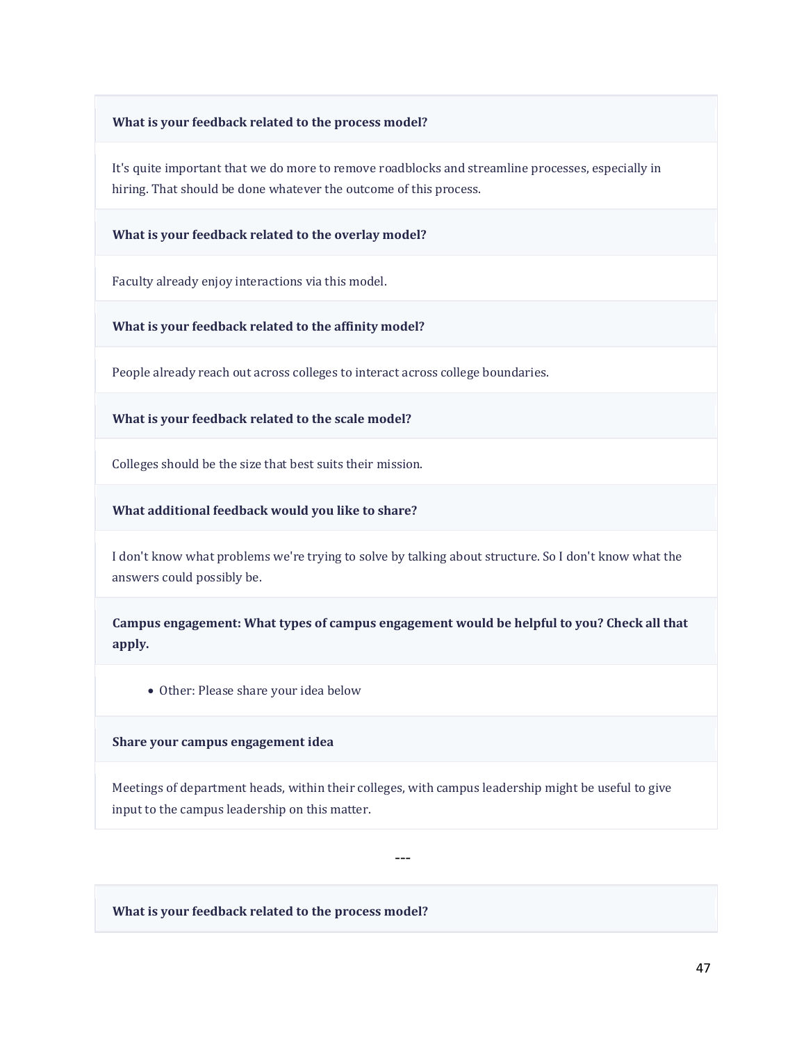#### **What is your feedback related to the process model?**

It's quite important that we do more to remove roadblocks and streamline processes, especially in hiring. That should be done whatever the outcome of this process.

**What is your feedback related to the overlay model?**

Faculty already enjoy interactions via this model.

**What is your feedback related to the affinity model?**

People already reach out across colleges to interact across college boundaries.

**What is your feedback related to the scale model?**

Colleges should be the size that best suits their mission.

**What additional feedback would you like to share?**

I don't know what problems we're trying to solve by talking about structure. So I don't know what the answers could possibly be.

**Campus engagement: What types of campus engagement would be helpful to you? Check all that apply.**

• Other: Please share your idea below

**Share your campus engagement idea**

Meetings of department heads, within their colleges, with campus leadership might be useful to give input to the campus leadership on this matter.

---

**What is your feedback related to the process model?**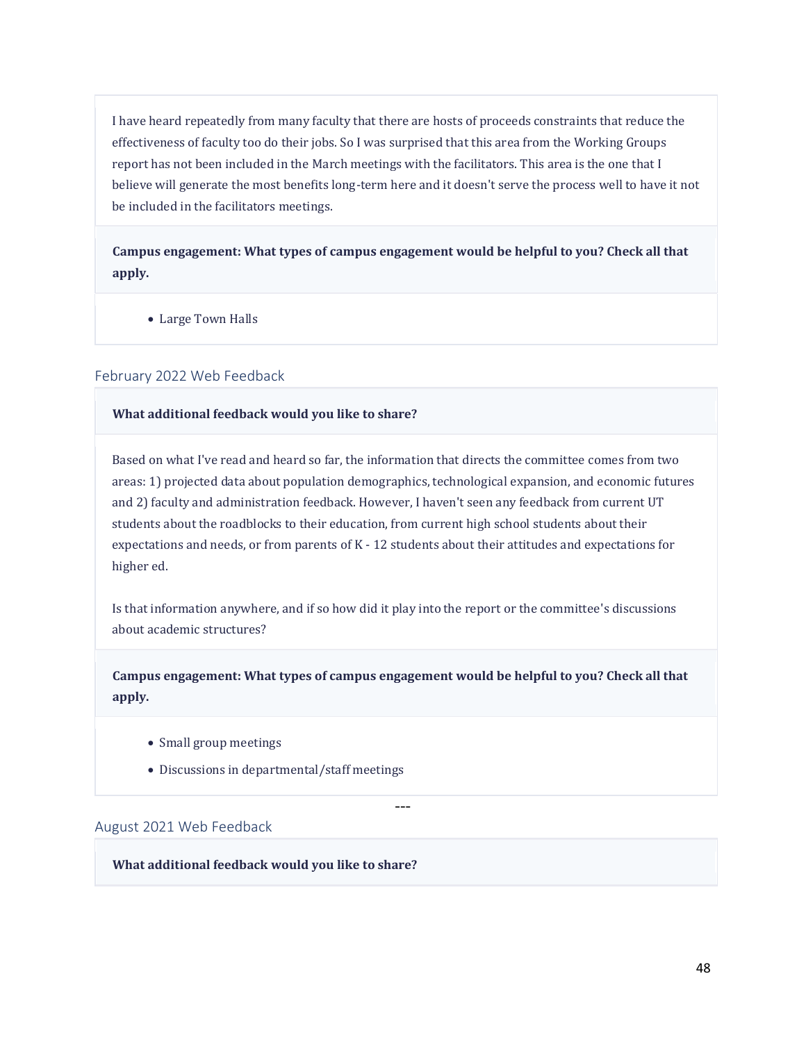I have heard repeatedly from many faculty that there are hosts of proceeds constraints that reduce the effectiveness of faculty too do their jobs. So I was surprised that this area from the Working Groups report has not been included in the March meetings with the facilitators. This area is the one that I believe will generate the most benefits long-term here and it doesn't serve the process well to have it not be included in the facilitators meetings.

**Campus engagement: What types of campus engagement would be helpful to you? Check all that apply.**

• Large Town Halls

## February 2022 Web Feedback

## **What additional feedback would you like to share?**

Based on what I've read and heard so far, the information that directs the committee comes from two areas: 1) projected data about population demographics, technological expansion, and economic futures and 2) faculty and administration feedback. However, I haven't seen any feedback from current UT students about the roadblocks to their education, from current high school students about their expectations and needs, or from parents of K - 12 students about their attitudes and expectations for higher ed.

Is that information anywhere, and if so how did it play into the report or the committee's discussions about academic structures?

**Campus engagement: What types of campus engagement would be helpful to you? Check all that apply.**

---

- Small group meetings
- Discussions in departmental/staff meetings

#### August 2021 Web Feedback

**What additional feedback would you like to share?**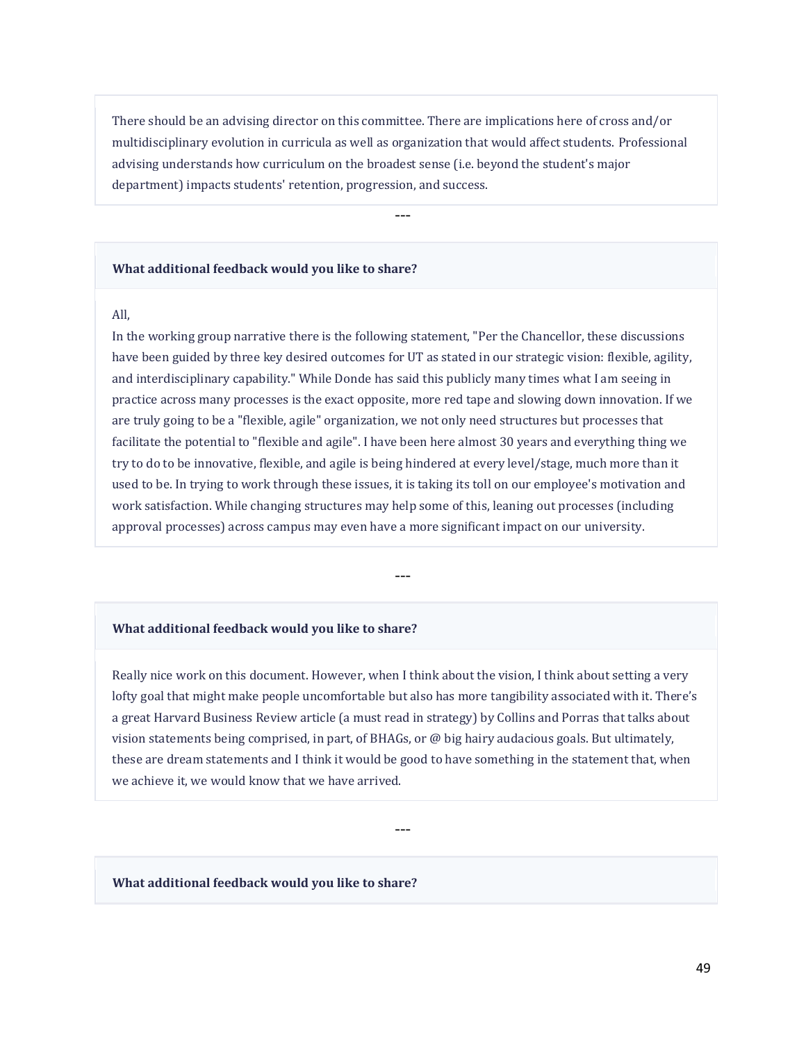There should be an advising director on this committee. There are implications here of cross and/or multidisciplinary evolution in curricula as well as organization that would affect students. Professional advising understands how curriculum on the broadest sense (i.e. beyond the student's major department) impacts students' retention, progression, and success.

---

#### **What additional feedback would you like to share?**

### All,

In the working group narrative there is the following statement, "Per the Chancellor, these discussions have been guided by three key desired outcomes for UT as stated in our strategic vision: flexible, agility, and interdisciplinary capability." While Donde has said this publicly many times what I am seeing in practice across many processes is the exact opposite, more red tape and slowing down innovation. If we are truly going to be a "flexible, agile" organization, we not only need structures but processes that facilitate the potential to "flexible and agile". I have been here almost 30 years and everything thing we try to do to be innovative, flexible, and agile is being hindered at every level/stage, much more than it used to be. In trying to work through these issues, it is taking its toll on our employee's motivation and work satisfaction. While changing structures may help some of this, leaning out processes (including approval processes) across campus may even have a more significant impact on our university.

---

#### **What additional feedback would you like to share?**

Really nice work on this document. However, when I think about the vision, I think about setting a very lofty goal that might make people uncomfortable but also has more tangibility associated with it. There's a great Harvard Business Review article (a must read in strategy) by Collins and Porras that talks about vision statements being comprised, in part, of BHAGs, or @ big hairy audacious goals. But ultimately, these are dream statements and I think it would be good to have something in the statement that, when we achieve it, we would know that we have arrived.

---

#### **What additional feedback would you like to share?**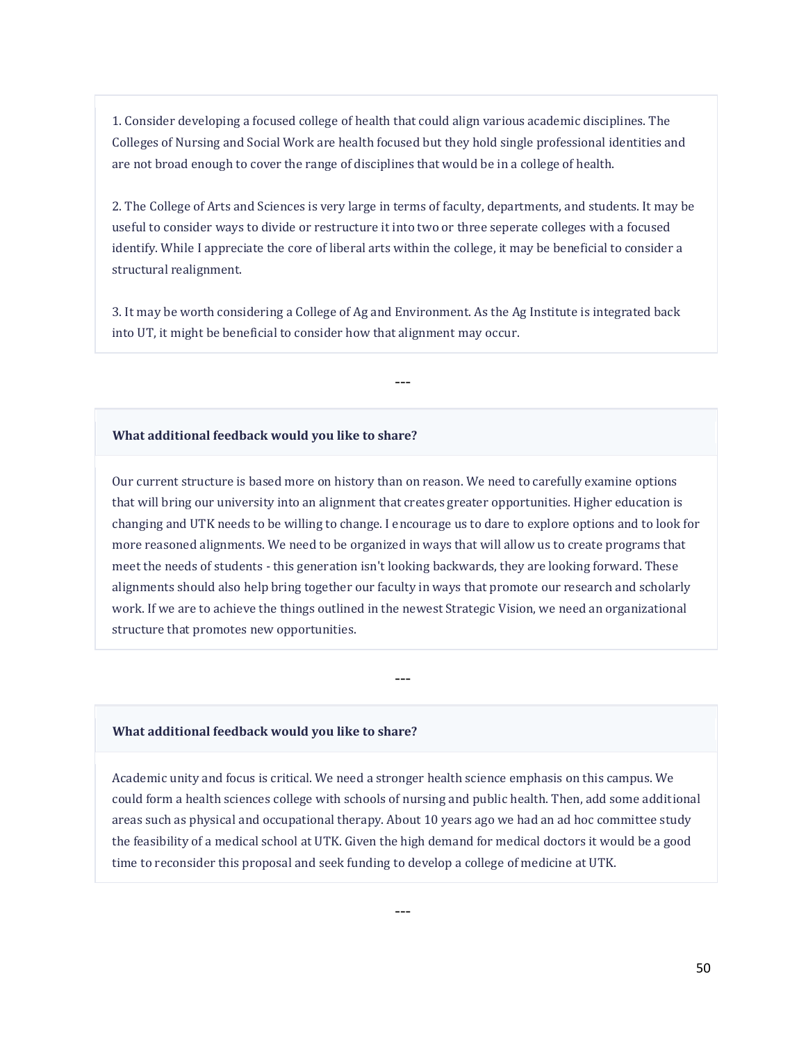1. Consider developing a focused college of health that could align various academic disciplines. The Colleges of Nursing and Social Work are health focused but they hold single professional identities and are not broad enough to cover the range of disciplines that would be in a college of health.

2. The College of Arts and Sciences is very large in terms of faculty, departments, and students. It may be useful to consider ways to divide or restructure it into two or three seperate colleges with a focused identify. While I appreciate the core of liberal arts within the college, it may be beneficial to consider a structural realignment.

3. It may be worth considering a College of Ag and Environment. As the Ag Institute is integrated back into UT, it might be beneficial to consider how that alignment may occur.

---

#### **What additional feedback would you like to share?**

Our current structure is based more on history than on reason. We need to carefully examine options that will bring our university into an alignment that creates greater opportunities. Higher education is changing and UTK needs to be willing to change. I encourage us to dare to explore options and to look for more reasoned alignments. We need to be organized in ways that will allow us to create programs that meet the needs of students - this generation isn't looking backwards, they are looking forward. These alignments should also help bring together our faculty in ways that promote our research and scholarly work. If we are to achieve the things outlined in the newest Strategic Vision, we need an organizational structure that promotes new opportunities.

---

#### **What additional feedback would you like to share?**

Academic unity and focus is critical. We need a stronger health science emphasis on this campus. We could form a health sciences college with schools of nursing and public health. Then, add some additional areas such as physical and occupational therapy. About 10 years ago we had an ad hoc committee study the feasibility of a medical school at UTK. Given the high demand for medical doctors it would be a good time to reconsider this proposal and seek funding to develop a college of medicine at UTK.

---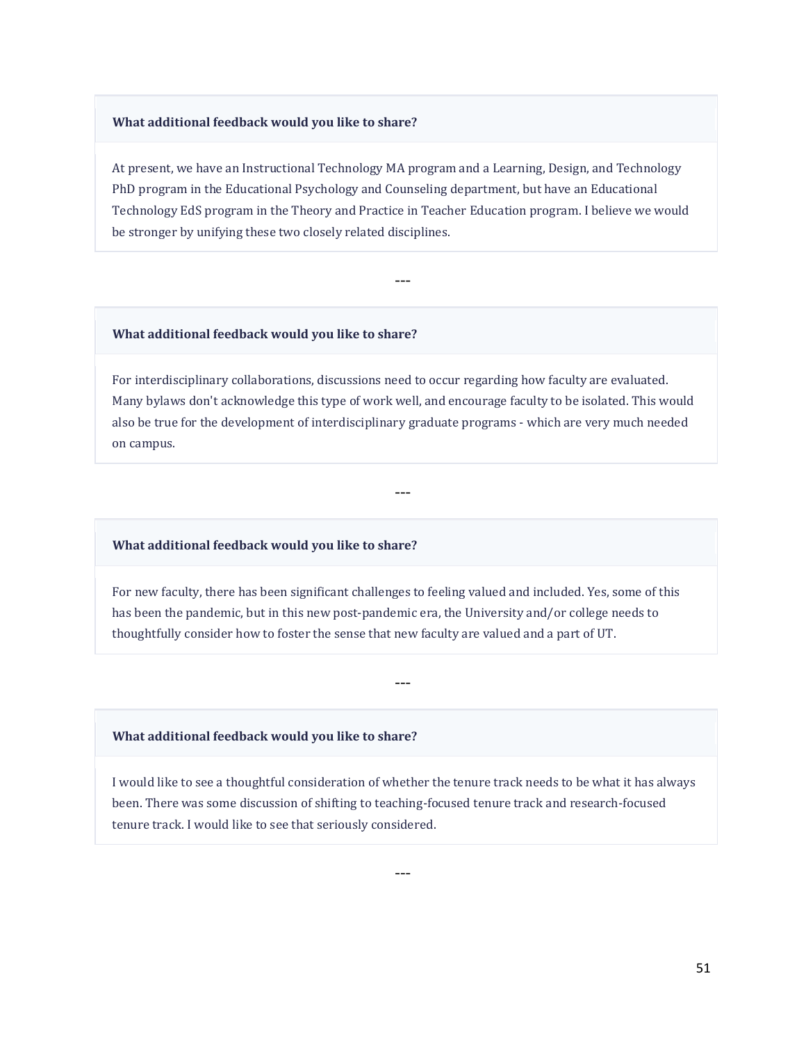#### **What additional feedback would you like to share?**

At present, we have an Instructional Technology MA program and a Learning, Design, and Technology PhD program in the Educational Psychology and Counseling department, but have an Educational Technology EdS program in the Theory and Practice in Teacher Education program. I believe we would be stronger by unifying these two closely related disciplines.

---

#### **What additional feedback would you like to share?**

For interdisciplinary collaborations, discussions need to occur regarding how faculty are evaluated. Many bylaws don't acknowledge this type of work well, and encourage faculty to be isolated. This would also be true for the development of interdisciplinary graduate programs - which are very much needed on campus.

---

#### **What additional feedback would you like to share?**

For new faculty, there has been significant challenges to feeling valued and included. Yes, some of this has been the pandemic, but in this new post-pandemic era, the University and/or college needs to thoughtfully consider how to foster the sense that new faculty are valued and a part of UT.

---

#### **What additional feedback would you like to share?**

I would like to see a thoughtful consideration of whether the tenure track needs to be what it has always been. There was some discussion of shifting to teaching-focused tenure track and research-focused tenure track. I would like to see that seriously considered.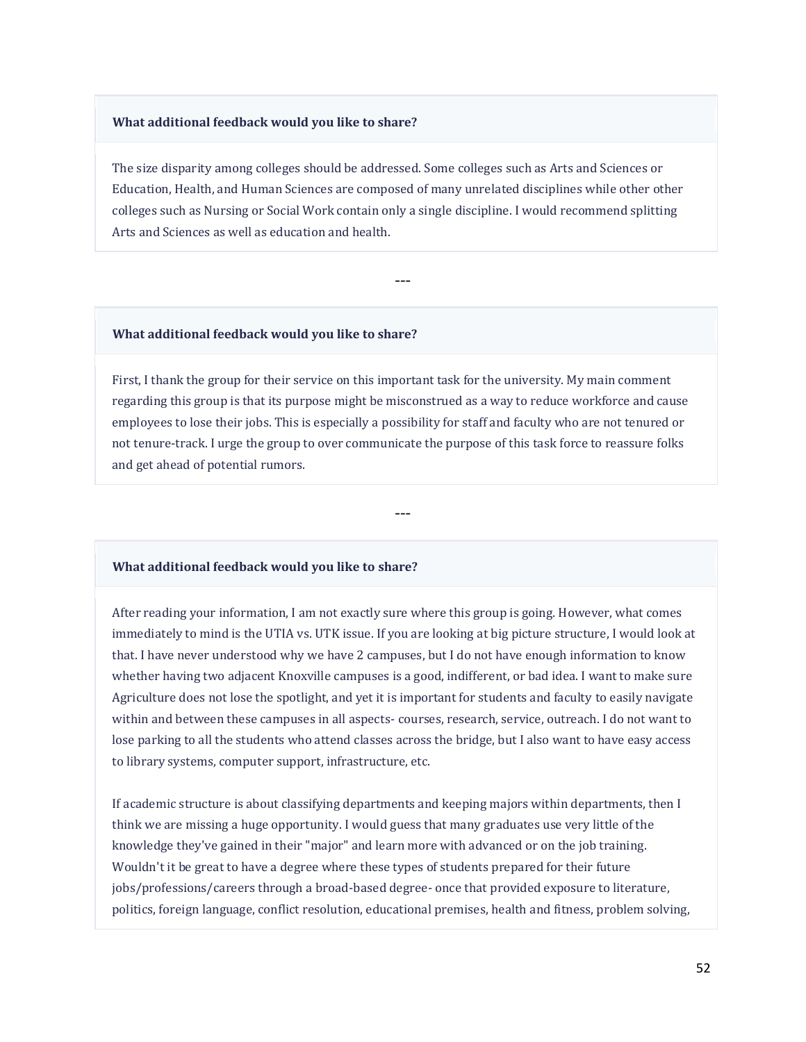#### **What additional feedback would you like to share?**

The size disparity among colleges should be addressed. Some colleges such as Arts and Sciences or Education, Health, and Human Sciences are composed of many unrelated disciplines while other other colleges such as Nursing or Social Work contain only a single discipline. I would recommend splitting Arts and Sciences as well as education and health.

---

#### **What additional feedback would you like to share?**

First, I thank the group for their service on this important task for the university. My main comment regarding this group is that its purpose might be misconstrued as a way to reduce workforce and cause employees to lose their jobs. This is especially a possibility for staff and faculty who are not tenured or not tenure-track. I urge the group to over communicate the purpose of this task force to reassure folks and get ahead of potential rumors.

---

### **What additional feedback would you like to share?**

After reading your information, I am not exactly sure where this group is going. However, what comes immediately to mind is the UTIA vs. UTK issue. If you are looking at big picture structure, I would look at that. I have never understood why we have 2 campuses, but I do not have enough information to know whether having two adjacent Knoxville campuses is a good, indifferent, or bad idea. I want to make sure Agriculture does not lose the spotlight, and yet it is important for students and faculty to easily navigate within and between these campuses in all aspects- courses, research, service, outreach. I do not want to lose parking to all the students who attend classes across the bridge, but I also want to have easy access to library systems, computer support, infrastructure, etc.

If academic structure is about classifying departments and keeping majors within departments, then I think we are missing a huge opportunity. I would guess that many graduates use very little of the knowledge they've gained in their "major" and learn more with advanced or on the job training. Wouldn't it be great to have a degree where these types of students prepared for their future jobs/professions/careers through a broad-based degree- once that provided exposure to literature, politics, foreign language, conflict resolution, educational premises, health and fitness, problem solving,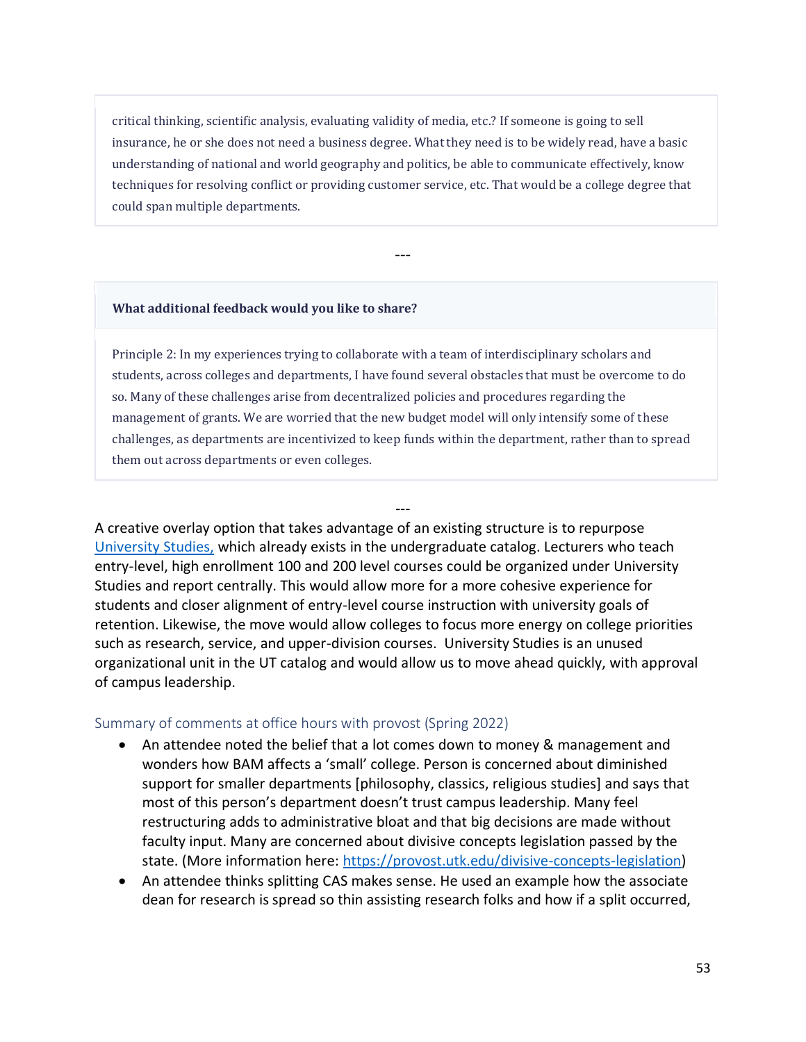critical thinking, scientific analysis, evaluating validity of media, etc.? If someone is going to sell insurance, he or she does not need a business degree. What they need is to be widely read, have a basic understanding of national and world geography and politics, be able to communicate effectively, know techniques for resolving conflict or providing customer service, etc. That would be a college degree that could span multiple departments.

---

#### **What additional feedback would you like to share?**

Principle 2: In my experiences trying to collaborate with a team of interdisciplinary scholars and students, across colleges and departments, I have found several obstacles that must be overcome to do so. Many of these challenges arise from decentralized policies and procedures regarding the management of grants. We are worried that the new budget model will only intensify some of these challenges, as departments are incentivized to keep funds within the department, rather than to spread them out across departments or even colleges.

---

A creative overlay option that takes advantage of an existing structure is to repurpose [University Studies,](https://catalog.utk.edu/content.php?catoid=34&navoid=4748) which already exists in the undergraduate catalog. Lecturers who teach entry-level, high enrollment 100 and 200 level courses could be organized under University Studies and report centrally. This would allow more for a more cohesive experience for students and closer alignment of entry-level course instruction with university goals of retention. Likewise, the move would allow colleges to focus more energy on college priorities such as research, service, and upper-division courses. University Studies is an unused organizational unit in the UT catalog and would allow us to move ahead quickly, with approval of campus leadership.

## Summary of comments at office hours with provost (Spring 2022)

- An attendee noted the belief that a lot comes down to money & management and wonders how BAM affects a 'small' college. Person is concerned about diminished support for smaller departments [philosophy, classics, religious studies] and says that most of this person's department doesn't trust campus leadership. Many feel restructuring adds to administrative bloat and that big decisions are made without faculty input. Many are concerned about divisive concepts legislation passed by the state. (More information here: [https://provost.utk.edu/divisive-concepts-legislation\)](https://provost.utk.edu/divisive-concepts-legislation)
- An attendee thinks splitting CAS makes sense. He used an example how the associate dean for research is spread so thin assisting research folks and how if a split occurred,